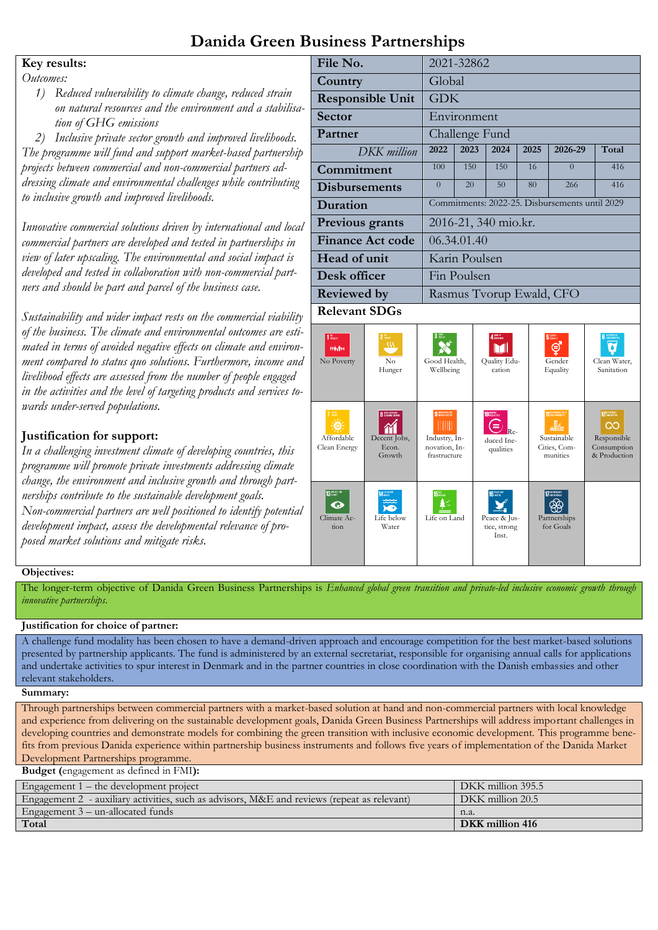### **Danida Green Business Partnerships**

### **Key results:**

*Outcomes:*

*1) Reduced vulnerability to climate change, reduced strain*  on natural resources and the environment and a stabilis *tion of GHG emissions*

*2) Inclusive private sector growth and improved livelihoods. The programme will fund and support market-based partnershi projects between commercial and non-commercial partners addressing climate and environmental challenges while contributing to inclusive growth and improved livelihoods.*

*Innovative commercial solutions driven by international and local commercial partners are developed and tested in partnerships in view of later upscaling. The environmental and social impact is developed and tested in collaboration with non-commercial partners and should be part and parcel of the business case.*

*Sustainability and wider impact rests on the commercial viability of the business. The climate and environmental outcomes are estimated in terms of avoided negative effects on climate and environment compared to status quo solutions. Furthermore, income an livelihood effects are assessed from the number of people engaged*  in the activities and the level of targeting products and services to *wards under-served populations.*

### **Justification for support:**

*In a challenging investment climate of developing countries, this programme will promote private investments addressing climate change, the environment and inclusive growth and through partnerships contribute to the sustainable development goals. Non-commercial partners are well positioned to identify potential development impact, assess the developmental relevance of proposed market solutions and mitigate risks.*

|                                     | File No.                                    |                                                          |                                                                     | 2021-32862      |                                                                    |      |                                                                |                                                                        |  |
|-------------------------------------|---------------------------------------------|----------------------------------------------------------|---------------------------------------------------------------------|-----------------|--------------------------------------------------------------------|------|----------------------------------------------------------------|------------------------------------------------------------------------|--|
|                                     | Country                                     |                                                          |                                                                     | Global          |                                                                    |      |                                                                |                                                                        |  |
| $a-$                                |                                             | <b>Responsible Unit</b>                                  |                                                                     | <b>GDK</b>      |                                                                    |      |                                                                |                                                                        |  |
|                                     | <b>Sector</b>                               |                                                          |                                                                     | Environment     |                                                                    |      |                                                                |                                                                        |  |
|                                     | Partner                                     |                                                          |                                                                     | Challenge Fund  |                                                                    |      |                                                                |                                                                        |  |
| ip                                  |                                             | DKK million                                              | 2022                                                                | 2023            | 2024                                                               | 2025 | 2026-29                                                        | Total                                                                  |  |
|                                     | Commitment                                  |                                                          | 100                                                                 | 150             | 150                                                                | 16   | $\overline{0}$                                                 | 416                                                                    |  |
| g                                   | <b>Disbursements</b>                        |                                                          | $\Omega$                                                            | 20 <sup>2</sup> | 50                                                                 | 80   | 266                                                            | 416                                                                    |  |
|                                     | Duration                                    |                                                          |                                                                     |                 |                                                                    |      | Commitments: 2022-25. Disbursements until 2029                 |                                                                        |  |
| al                                  | Previous grants                             |                                                          |                                                                     |                 | 2016-21, 340 mio.kr.                                               |      |                                                                |                                                                        |  |
|                                     |                                             | <b>Finance Act code</b>                                  |                                                                     | 06.34.01.40     |                                                                    |      |                                                                |                                                                        |  |
|                                     | Head of unit                                |                                                          |                                                                     | Karin Poulsen   |                                                                    |      |                                                                |                                                                        |  |
|                                     | Desk officer                                |                                                          |                                                                     | Fin Poulsen     |                                                                    |      |                                                                |                                                                        |  |
|                                     | <b>Reviewed by</b>                          |                                                          | Rasmus Tvorup Ewald, CFO                                            |                 |                                                                    |      |                                                                |                                                                        |  |
| ty                                  | <b>Relevant SDGs</b>                        |                                                          |                                                                     |                 |                                                                    |      |                                                                |                                                                        |  |
| ij.<br>$\eta$ -<br>ıd<br>$\theta$ - | $1u$ and $1u$<br><b>HOLES</b><br>No Poverty | 322<br>N <sub>0</sub><br>Hunger                          | Good Health,<br>Wellbeing                                           |                 | $\mathbf{4}$ appears $\mathbf{4}$<br><b>Ouality Edu-</b><br>cation |      | 5 icean<br>⊜<br>Gender<br>Equality                             | Clean Water,<br>Sanitation                                             |  |
|                                     | Affordable<br>Clean Energy                  | <b>8</b> CONDITES AND<br>Decent Jobs,<br>Econ.<br>Growth | 9 монтокаю<br>HII<br>Industry, In-<br>novation, In-<br>frastructure |                 | 10 MERGETER<br>duced Ine-<br>qualities                             |      | 11 SUSTAINALE CITES<br>Sustainable<br>Cities, Com-<br>munities | 12 MERINTELL<br><u>റ</u><br>Responsible<br>Consumption<br>& Production |  |
| ıl                                  | 13 HUILLINE<br>G.<br>Climate Ac-<br>tion    | Life below<br>Water                                      | $15^{m}$<br>Life on Land                                            |                 | 16 MARLEN<br>Peace & Jus-<br>tice, strong<br>Inst.                 |      | 17 FORTHERMAS<br>Partnerships<br>for Goals                     |                                                                        |  |

#### **Major risks Major risks and challenges:**

The longer-term objective of Danida Green Business Partnerships is Enhanced global green transition and private-led inclusive economic growth through *major risks are related to selecting partnership projects with a innovative partnerships*.

#### *sufficiently strong business case that can be upscaled by the commercial partner which sustaining a partner:*

*of projects and the support provided during implementation will*  A challenge fund modality has been chosen to have a demand-driven approach and encourage competition for the best market-based solutions *mitigate this risk.* and undertake activities to spur interest in Denmark and in the partner countries in close coordination with the Danish embassies and other<br>relevant stakeholders. presented by partnership applicants. The fund is administered by an external secretariat, responsible for organising annual calls for applications relevant stakeholders.

#### Summary: a competitive environment and encouraging projects and business cases with potential for making a high green impact **Summary:**

Through partnerships between commercial partners with a market-based solution at hand and non-commercial partners with local knowledge and experience from delivering on the sustainable development goals, Danida Green Business Partnerships will address important challenges in developing countries and demonstrate models for combining the green transition with inclusive economic development. This programme benefits from previous Danida experience within partnership business instruments and follows five years of implementation of the Danida Market Development Partnerships programme.

**Budget (**engagement as defined in FMI**):** 

| .                                                                                           |                   |
|---------------------------------------------------------------------------------------------|-------------------|
| Engagement $1$ – the development project                                                    | DKK million 395.5 |
| Engagement 2 - auxiliary activities, such as advisors, M&E and reviews (repeat as relevant) | DKK million 20.5  |
| Engagement 3 - un-allocated funds                                                           | n.a.              |
| Total                                                                                       | DKK million 416   |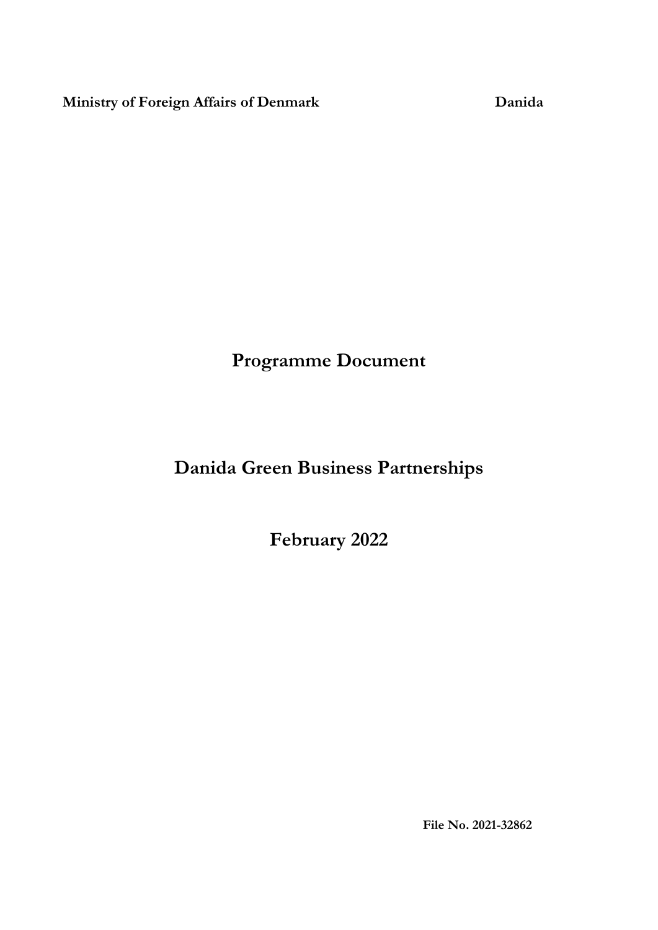**Ministry of Foreign Affairs of Denmark Danida**

**Programme Document**

## **Danida Green Business Partnerships**

**February 2022**

**File No. 2021-32862**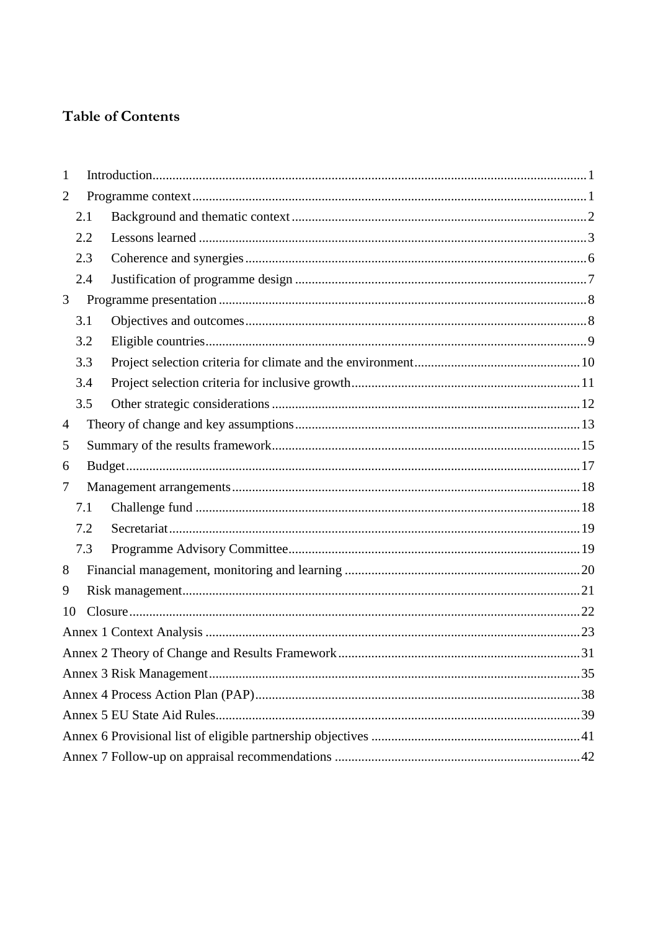### **Table of Contents**

| 1              |     |  |  |  |  |  |  |  |
|----------------|-----|--|--|--|--|--|--|--|
| $\overline{2}$ |     |  |  |  |  |  |  |  |
|                | 2.1 |  |  |  |  |  |  |  |
|                | 2.2 |  |  |  |  |  |  |  |
|                | 2.3 |  |  |  |  |  |  |  |
|                | 2.4 |  |  |  |  |  |  |  |
| 3              |     |  |  |  |  |  |  |  |
|                | 3.1 |  |  |  |  |  |  |  |
|                | 3.2 |  |  |  |  |  |  |  |
|                | 3.3 |  |  |  |  |  |  |  |
|                | 3.4 |  |  |  |  |  |  |  |
|                | 3.5 |  |  |  |  |  |  |  |
| 4              |     |  |  |  |  |  |  |  |
| 5              |     |  |  |  |  |  |  |  |
| 6              |     |  |  |  |  |  |  |  |
| 7              |     |  |  |  |  |  |  |  |
|                | 7.1 |  |  |  |  |  |  |  |
|                | 7.2 |  |  |  |  |  |  |  |
|                | 7.3 |  |  |  |  |  |  |  |
| 8              |     |  |  |  |  |  |  |  |
| 9              |     |  |  |  |  |  |  |  |
| 10             |     |  |  |  |  |  |  |  |
|                |     |  |  |  |  |  |  |  |
|                |     |  |  |  |  |  |  |  |
|                |     |  |  |  |  |  |  |  |
|                |     |  |  |  |  |  |  |  |
|                |     |  |  |  |  |  |  |  |
|                |     |  |  |  |  |  |  |  |
|                |     |  |  |  |  |  |  |  |
|                |     |  |  |  |  |  |  |  |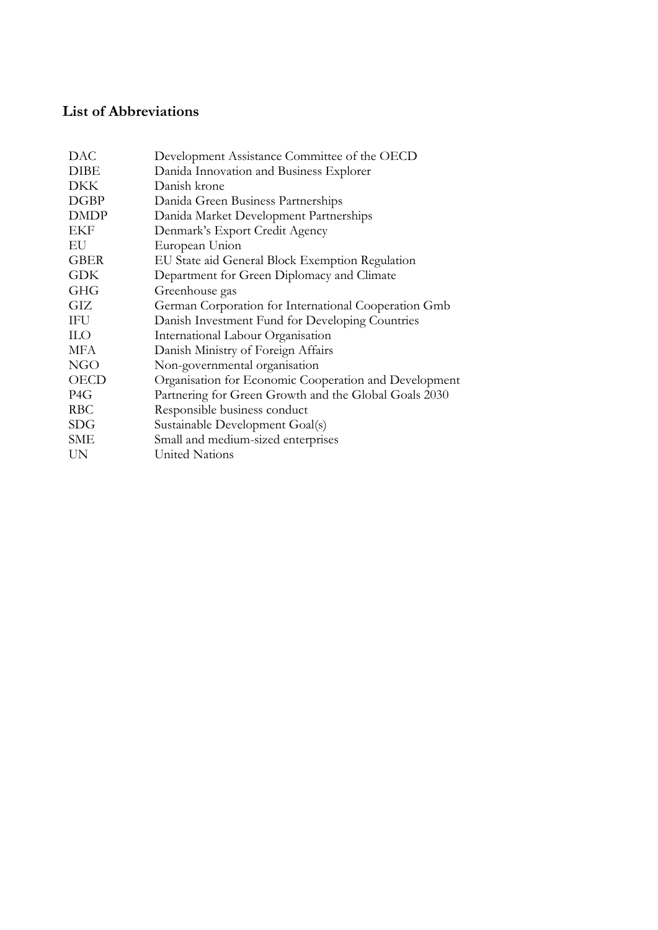### **List of Abbreviations**

| <b>DAC</b>  | Development Assistance Committee of the OECD          |
|-------------|-------------------------------------------------------|
| <b>DIBE</b> | Danida Innovation and Business Explorer               |
| <b>DKK</b>  | Danish krone                                          |
| <b>DGBP</b> | Danida Green Business Partnerships                    |
| <b>DMDP</b> | Danida Market Development Partnerships                |
| EKF         | Denmark's Export Credit Agency                        |
| EU          | European Union                                        |
| <b>GBER</b> | EU State aid General Block Exemption Regulation       |
| <b>GDK</b>  | Department for Green Diplomacy and Climate            |
| <b>GHG</b>  | Greenhouse gas                                        |
| GIZ         | German Corporation for International Cooperation Gmb  |
| IFU         | Danish Investment Fund for Developing Countries       |
| <b>ILO</b>  | International Labour Organisation                     |
| MFA         | Danish Ministry of Foreign Affairs                    |
| <b>NGO</b>  | Non-governmental organisation                         |
| <b>OECD</b> | Organisation for Economic Cooperation and Development |
| P4G         | Partnering for Green Growth and the Global Goals 2030 |
| <b>RBC</b>  | Responsible business conduct                          |
| SDG         | Sustainable Development Goal(s)                       |
| SME         | Small and medium-sized enterprises                    |
| UN          | United Nations                                        |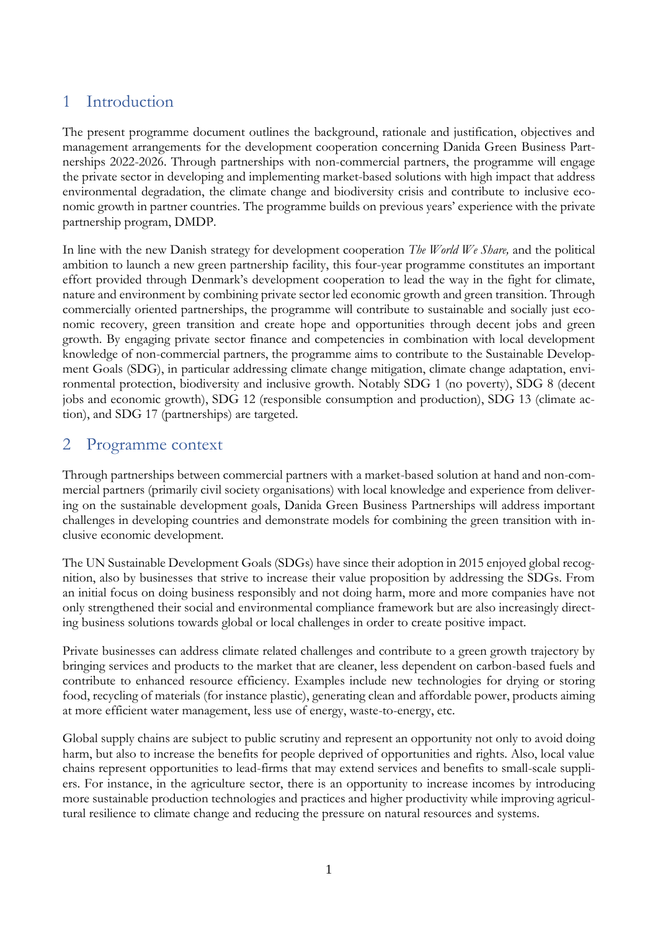### <span id="page-4-0"></span>1 Introduction

The present programme document outlines the background, rationale and justification, objectives and management arrangements for the development cooperation concerning Danida Green Business Partnerships 2022-2026. Through partnerships with non-commercial partners, the programme will engage the private sector in developing and implementing market-based solutions with high impact that address environmental degradation, the climate change and biodiversity crisis and contribute to inclusive economic growth in partner countries. The programme builds on previous years' experience with the private partnership program, DMDP.

In line with the new Danish strategy for development cooperation *The World We Share,* and the political ambition to launch a new green partnership facility, this four-year programme constitutes an important effort provided through Denmark's development cooperation to lead the way in the fight for climate, nature and environment by combining private sector led economic growth and green transition. Through commercially oriented partnerships, the programme will contribute to sustainable and socially just economic recovery, green transition and create hope and opportunities through decent jobs and green growth. By engaging private sector finance and competencies in combination with local development knowledge of non-commercial partners, the programme aims to contribute to the Sustainable Development Goals (SDG), in particular addressing climate change mitigation, climate change adaptation, environmental protection, biodiversity and inclusive growth. Notably SDG 1 (no poverty), SDG 8 (decent jobs and economic growth), SDG 12 (responsible consumption and production), SDG 13 (climate action), and SDG 17 (partnerships) are targeted.

### <span id="page-4-1"></span>2 Programme context

Through partnerships between commercial partners with a market-based solution at hand and non-commercial partners (primarily civil society organisations) with local knowledge and experience from delivering on the sustainable development goals, Danida Green Business Partnerships will address important challenges in developing countries and demonstrate models for combining the green transition with inclusive economic development.

The UN Sustainable Development Goals (SDGs) have since their adoption in 2015 enjoyed global recognition, also by businesses that strive to increase their value proposition by addressing the SDGs. From an initial focus on doing business responsibly and not doing harm, more and more companies have not only strengthened their social and environmental compliance framework but are also increasingly directing business solutions towards global or local challenges in order to create positive impact.

Private businesses can address climate related challenges and contribute to a green growth trajectory by bringing services and products to the market that are cleaner, less dependent on carbon-based fuels and contribute to enhanced resource efficiency. Examples include new technologies for drying or storing food, recycling of materials (for instance plastic), generating clean and affordable power, products aiming at more efficient water management, less use of energy, waste-to-energy, etc.

Global supply chains are subject to public scrutiny and represent an opportunity not only to avoid doing harm, but also to increase the benefits for people deprived of opportunities and rights. Also, local value chains represent opportunities to lead-firms that may extend services and benefits to small-scale suppliers. For instance, in the agriculture sector, there is an opportunity to increase incomes by introducing more sustainable production technologies and practices and higher productivity while improving agricultural resilience to climate change and reducing the pressure on natural resources and systems.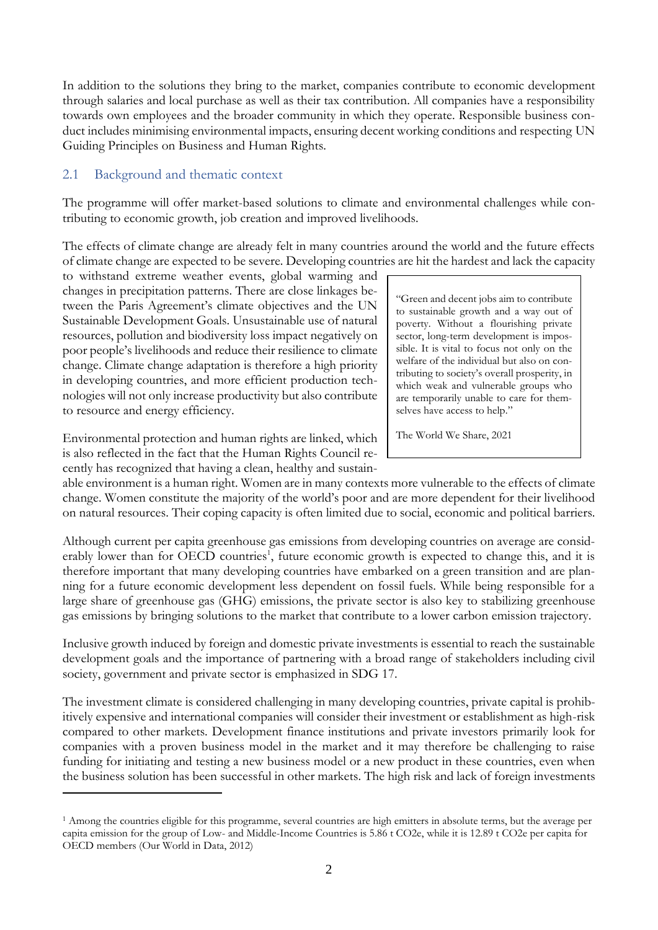In addition to the solutions they bring to the market, companies contribute to economic development through salaries and local purchase as well as their tax contribution. All companies have a responsibility towards own employees and the broader community in which they operate. Responsible business conduct includes minimising environmental impacts, ensuring decent working conditions and respecting UN Guiding Principles on Business and Human Rights.

### <span id="page-5-0"></span>2.1 Background and thematic context

The programme will offer market-based solutions to climate and environmental challenges while contributing to economic growth, job creation and improved livelihoods.

The effects of climate change are already felt in many countries around the world and the future effects of climate change are expected to be severe. Developing countries are hit the hardest and lack the capacity

to withstand extreme weather events, global warming and changes in precipitation patterns. There are close linkages between the Paris Agreement's climate objectives and the UN Sustainable Development Goals. Unsustainable use of natural resources, pollution and biodiversity loss impact negatively on poor people's livelihoods and reduce their resilience to climate change. Climate change adaptation is therefore a high priority in developing countries, and more efficient production technologies will not only increase productivity but also contribute to resource and energy efficiency.

Environmental protection and human rights are linked, which is also reflected in the fact that the Human Rights Council recently has recognized that having a clean, healthy and sustain-

1

"Green and decent jobs aim to contribute to sustainable growth and a way out of poverty. Without a flourishing private sector, long-term development is impossible. It is vital to focus not only on the welfare of the individual but also on contributing to society's overall prosperity, in which weak and vulnerable groups who are temporarily unable to care for themselves have access to help."

The World We Share, 2021

able environment is a human right. Women are in many contexts more vulnerable to the effects of climate change. Women constitute the majority of the world's poor and are more dependent for their livelihood on natural resources. Their coping capacity is often limited due to social, economic and political barriers.

Although current per capita greenhouse gas emissions from developing countries on average are considerably lower than for OECD countries<sup>1</sup>, future economic growth is expected to change this, and it is therefore important that many developing countries have embarked on a green transition and are planning for a future economic development less dependent on fossil fuels. While being responsible for a large share of greenhouse gas (GHG) emissions, the private sector is also key to stabilizing greenhouse gas emissions by bringing solutions to the market that contribute to a lower carbon emission trajectory.

Inclusive growth induced by foreign and domestic private investments is essential to reach the sustainable development goals and the importance of partnering with a broad range of stakeholders including civil society, government and private sector is emphasized in SDG 17.

The investment climate is considered challenging in many developing countries, private capital is prohibitively expensive and international companies will consider their investment or establishment as high-risk compared to other markets. Development finance institutions and private investors primarily look for companies with a proven business model in the market and it may therefore be challenging to raise funding for initiating and testing a new business model or a new product in these countries, even when the business solution has been successful in other markets. The high risk and lack of foreign investments

<sup>1</sup> Among the countries eligible for this programme, several countries are high emitters in absolute terms, but the average per capita emission for the group of Low- and Middle-Income Countries is 5.86 t CO2e, while it is 12.89 t CO2e per capita for OECD members (Our World in Data, 2012)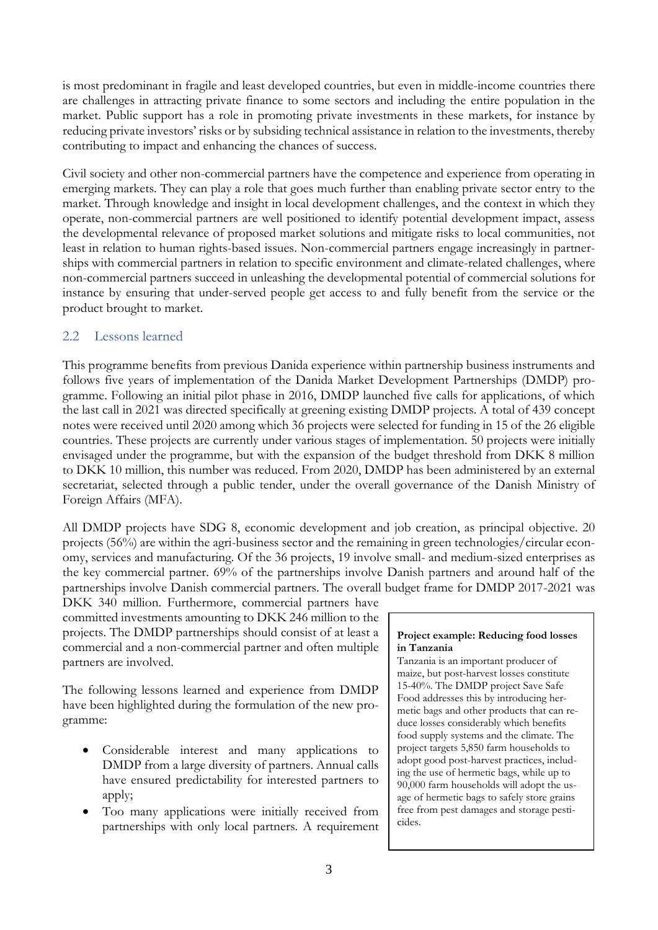is most predominant in fragile and least developed countries, but even in middle-income countries there are challenges in attracting private finance to some sectors and including the entire population in the market. Public support has a role in promoting private investments in these markets, for instance by reducing private investors' risks or by subsiding technical assistance in relation to the investments, thereby contributing to impact and enhancing the chances of success.

Civil society and other non-commercial partners have the competence and experience from operating in emerging markets. They can play a role that goes much further than enabling private sector entry to the market. Through knowledge and insight in local development challenges, and the context in which they operate, non-commercial partners are well positioned to identify potential development impact, assess the developmental relevance of proposed market solutions and mitigate risks to local communities, not least in relation to human rights-based issues. Non-commercial partners engage increasingly in partnerships with commercial partners in relation to specific environment and climate-related challenges, where non-commercial partners succeed in unleashing the developmental potential of commercial solutions for instance by ensuring that under-served people get access to and fully benefit from the service or the product brought to market.

### <span id="page-6-0"></span>2.2 Lessons learned

This programme benefits from previous Danida experience within partnership business instruments and follows five years of implementation of the Danida Market Development Partnerships (DMDP) programme. Following an initial pilot phase in 2016, DMDP launched five calls for applications, of which the last call in 2021 was directed specifically at greening existing DMDP projects. A total of 439 concept notes were received until 2020 among which 36 projects were selected for funding in 15 of the 26 eligible countries. These projects are currently under various stages of implementation. 50 projects were initially envisaged under the programme, but with the expansion of the budget threshold from DKK 8 million to DKK 10 million, this number was reduced. From 2020, DMDP has been administered by an external secretariat, selected through a public tender, under the overall governance of the Danish Ministry of Foreign Affairs (MFA).

All DMDP projects have SDG 8, economic development and job creation, as principal objective. 20 projects (56%) are within the agri-business sector and the remaining in green technologies/circular economy, services and manufacturing. Of the 36 projects, 19 involve small- and medium-sized enterprises as the key commercial partner. 69% of the partnerships involve Danish partners and around half of the partnerships involve Danish commercial partners. The overall budget frame for DMDP 2017-2021 was

DKK 340 million. Furthermore, commercial partners have committed investments amounting to DKK 246 million to the projects. The DMDP partnerships should consist of at least a commercial and a non-commercial partner and often multiple partners are involved.

The following lessons learned and experience from DMDP have been highlighted during the formulation of the new programme:

- Considerable interest and many applications to DMDP from a large diversity of partners. Annual calls have ensured predictability for interested partners to apply;
- Too many applications were initially received from partnerships with only local partners. A requirement

#### **Project example: Reducing food losses in Tanzania**

Tanzania is an important producer of maize, but post-harvest losses constitute 15-40%. The DMDP project Save Safe Food addresses this by introducing hermetic bags and other products that can reduce losses considerably which benefits food supply systems and the climate. The project targets 5,850 farm households to adopt good post-harvest practices, including the use of hermetic bags, while up to 90,000 farm households will adopt the usage of hermetic bags to safely store grains free from pest damages and storage pesticides.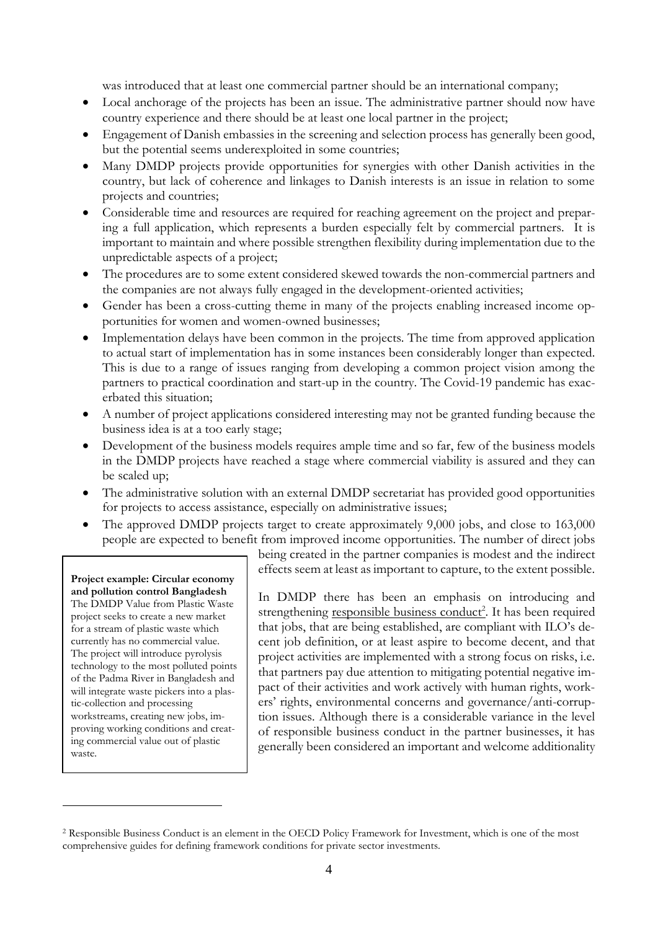was introduced that at least one commercial partner should be an international company;

- Local anchorage of the projects has been an issue. The administrative partner should now have country experience and there should be at least one local partner in the project;
- Engagement of Danish embassies in the screening and selection process has generally been good, but the potential seems underexploited in some countries;
- Many DMDP projects provide opportunities for synergies with other Danish activities in the country, but lack of coherence and linkages to Danish interests is an issue in relation to some projects and countries;
- Considerable time and resources are required for reaching agreement on the project and preparing a full application, which represents a burden especially felt by commercial partners. It is important to maintain and where possible strengthen flexibility during implementation due to the unpredictable aspects of a project;
- The procedures are to some extent considered skewed towards the non-commercial partners and the companies are not always fully engaged in the development-oriented activities;
- Gender has been a cross-cutting theme in many of the projects enabling increased income opportunities for women and women-owned businesses;
- Implementation delays have been common in the projects. The time from approved application to actual start of implementation has in some instances been considerably longer than expected. This is due to a range of issues ranging from developing a common project vision among the partners to practical coordination and start-up in the country. The Covid-19 pandemic has exacerbated this situation;
- A number of project applications considered interesting may not be granted funding because the business idea is at a too early stage;
- Development of the business models requires ample time and so far, few of the business models in the DMDP projects have reached a stage where commercial viability is assured and they can be scaled up;
- The administrative solution with an external DMDP secretariat has provided good opportunities for projects to access assistance, especially on administrative issues;
- The approved DMDP projects target to create approximately 9,000 jobs, and close to 163,000 people are expected to benefit from improved income opportunities. The number of direct jobs

#### **Project example: Circular economy and pollution control Bangladesh**

The DMDP Value from Plastic Waste project seeks to create a new market for a stream of plastic waste which currently has no commercial value. The project will introduce pyrolysis technology to the most polluted points of the Padma River in Bangladesh and will integrate waste pickers into a plastic-collection and processing workstreams, creating new jobs, improving working conditions and creating commercial value out of plastic waste.

1

being created in the partner companies is modest and the indirect effects seem at least as important to capture, to the extent possible.

In DMDP there has been an emphasis on introducing and strengthening responsible business conduct<sup>2</sup>. It has been required that jobs, that are being established, are compliant with ILO's decent job definition, or at least aspire to become decent, and that project activities are implemented with a strong focus on risks, i.e. that partners pay due attention to mitigating potential negative impact of their activities and work actively with human rights, workers' rights, environmental concerns and governance/anti-corruption issues. Although there is a considerable variance in the level of responsible business conduct in the partner businesses, it has generally been considered an important and welcome additionality

<sup>2</sup> Responsible Business Conduct is an element in the OECD Policy Framework for Investment, which is one of the most comprehensive guides for defining framework conditions for private sector investments.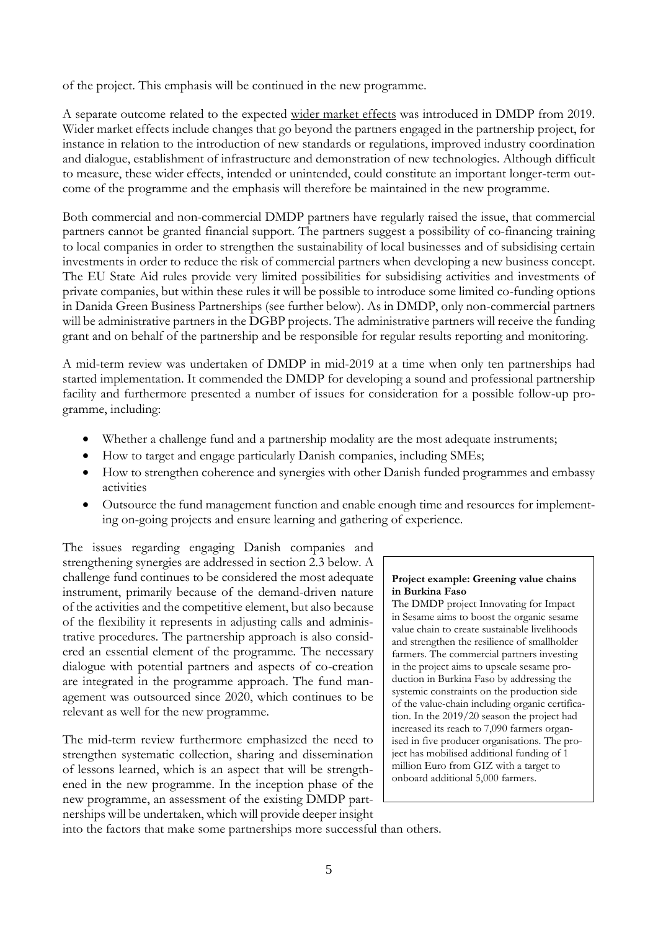of the project. This emphasis will be continued in the new programme.

A separate outcome related to the expected wider market effects was introduced in DMDP from 2019. Wider market effects include changes that go beyond the partners engaged in the partnership project, for instance in relation to the introduction of new standards or regulations, improved industry coordination and dialogue, establishment of infrastructure and demonstration of new technologies. Although difficult to measure, these wider effects, intended or unintended, could constitute an important longer-term outcome of the programme and the emphasis will therefore be maintained in the new programme.

Both commercial and non-commercial DMDP partners have regularly raised the issue, that commercial partners cannot be granted financial support. The partners suggest a possibility of co-financing training to local companies in order to strengthen the sustainability of local businesses and of subsidising certain investments in order to reduce the risk of commercial partners when developing a new business concept. The EU State Aid rules provide very limited possibilities for subsidising activities and investments of private companies, but within these rules it will be possible to introduce some limited co-funding options in Danida Green Business Partnerships (see further below). As in DMDP, only non-commercial partners will be administrative partners in the DGBP projects. The administrative partners will receive the funding grant and on behalf of the partnership and be responsible for regular results reporting and monitoring.

A mid-term review was undertaken of DMDP in mid-2019 at a time when only ten partnerships had started implementation. It commended the DMDP for developing a sound and professional partnership facility and furthermore presented a number of issues for consideration for a possible follow-up programme, including:

- Whether a challenge fund and a partnership modality are the most adequate instruments;
- How to target and engage particularly Danish companies, including SMEs;
- How to strengthen coherence and synergies with other Danish funded programmes and embassy activities
- Outsource the fund management function and enable enough time and resources for implementing on-going projects and ensure learning and gathering of experience.

The issues regarding engaging Danish companies and strengthening synergies are addressed in section 2.3 below. A challenge fund continues to be considered the most adequate instrument, primarily because of the demand-driven nature of the activities and the competitive element, but also because of the flexibility it represents in adjusting calls and administrative procedures. The partnership approach is also considered an essential element of the programme. The necessary dialogue with potential partners and aspects of co-creation are integrated in the programme approach. The fund management was outsourced since 2020, which continues to be relevant as well for the new programme.

The mid-term review furthermore emphasized the need to strengthen systematic collection, sharing and dissemination of lessons learned, which is an aspect that will be strengthened in the new programme. In the inception phase of the new programme, an assessment of the existing DMDP partnerships will be undertaken, which will provide deeper insight

#### **Project example: Greening value chains in Burkina Faso**

The DMDP project Innovating for Impact in Sesame aims to boost the organic sesame value chain to create sustainable livelihoods and strengthen the resilience of smallholder farmers. The commercial partners investing in the project aims to upscale sesame production in Burkina Faso by addressing the systemic constraints on the production side of the value-chain including organic certification. In the 2019/20 season the project had increased its reach to 7,090 farmers organised in five producer organisations. The project has mobilised additional funding of 1 million Euro from GIZ with a target to onboard additional 5,000 farmers.

into the factors that make some partnerships more successful than others.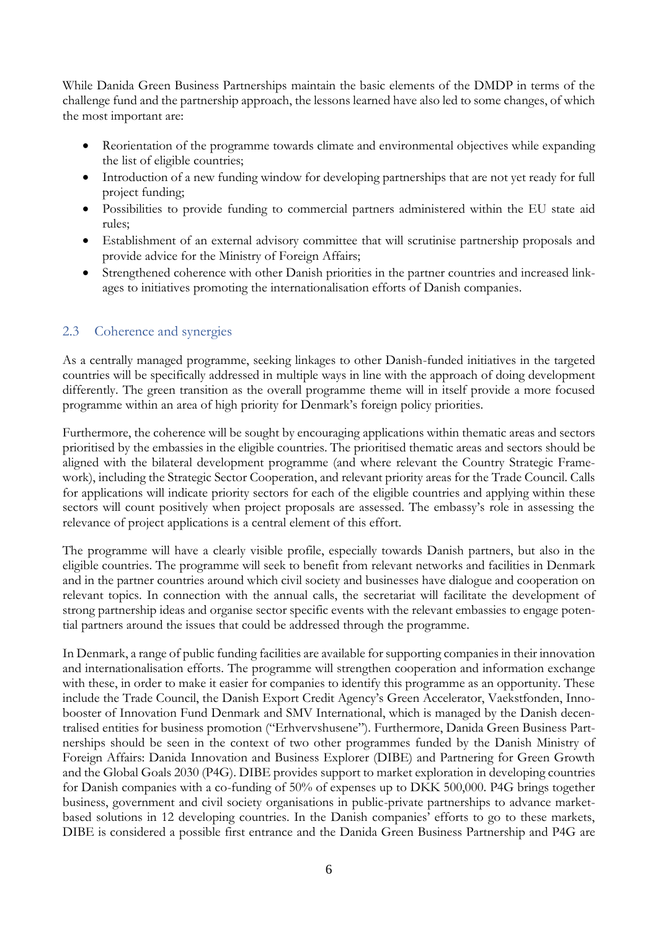While Danida Green Business Partnerships maintain the basic elements of the DMDP in terms of the challenge fund and the partnership approach, the lessons learned have also led to some changes, of which the most important are:

- Reorientation of the programme towards climate and environmental objectives while expanding the list of eligible countries;
- Introduction of a new funding window for developing partnerships that are not yet ready for full project funding;
- Possibilities to provide funding to commercial partners administered within the EU state aid rules;
- Establishment of an external advisory committee that will scrutinise partnership proposals and provide advice for the Ministry of Foreign Affairs;
- Strengthened coherence with other Danish priorities in the partner countries and increased linkages to initiatives promoting the internationalisation efforts of Danish companies.

### <span id="page-9-0"></span>2.3 Coherence and synergies

As a centrally managed programme, seeking linkages to other Danish-funded initiatives in the targeted countries will be specifically addressed in multiple ways in line with the approach of doing development differently. The green transition as the overall programme theme will in itself provide a more focused programme within an area of high priority for Denmark's foreign policy priorities.

Furthermore, the coherence will be sought by encouraging applications within thematic areas and sectors prioritised by the embassies in the eligible countries. The prioritised thematic areas and sectors should be aligned with the bilateral development programme (and where relevant the Country Strategic Framework), including the Strategic Sector Cooperation, and relevant priority areas for the Trade Council. Calls for applications will indicate priority sectors for each of the eligible countries and applying within these sectors will count positively when project proposals are assessed. The embassy's role in assessing the relevance of project applications is a central element of this effort.

The programme will have a clearly visible profile, especially towards Danish partners, but also in the eligible countries. The programme will seek to benefit from relevant networks and facilities in Denmark and in the partner countries around which civil society and businesses have dialogue and cooperation on relevant topics. In connection with the annual calls, the secretariat will facilitate the development of strong partnership ideas and organise sector specific events with the relevant embassies to engage potential partners around the issues that could be addressed through the programme.

In Denmark, a range of public funding facilities are available for supporting companies in their innovation and internationalisation efforts. The programme will strengthen cooperation and information exchange with these, in order to make it easier for companies to identify this programme as an opportunity. These include the Trade Council, the Danish Export Credit Agency's Green Accelerator, Vaekstfonden, Innobooster of Innovation Fund Denmark and SMV International, which is managed by the Danish decentralised entities for business promotion ("Erhvervshusene"). Furthermore, Danida Green Business Partnerships should be seen in the context of two other programmes funded by the Danish Ministry of Foreign Affairs: Danida Innovation and Business Explorer (DIBE) and Partnering for Green Growth and the Global Goals 2030 (P4G). DIBE provides support to market exploration in developing countries for Danish companies with a co-funding of 50% of expenses up to DKK 500,000. P4G brings together business, government and civil society organisations in public-private partnerships to advance marketbased solutions in 12 developing countries. In the Danish companies' efforts to go to these markets, DIBE is considered a possible first entrance and the Danida Green Business Partnership and P4G are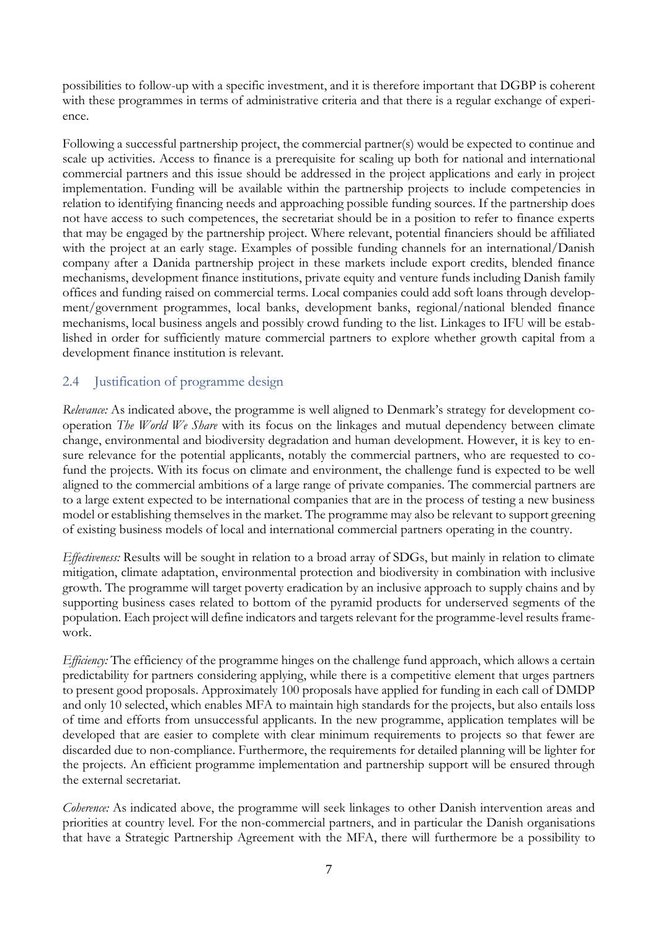possibilities to follow-up with a specific investment, and it is therefore important that DGBP is coherent with these programmes in terms of administrative criteria and that there is a regular exchange of experience.

Following a successful partnership project, the commercial partner(s) would be expected to continue and scale up activities. Access to finance is a prerequisite for scaling up both for national and international commercial partners and this issue should be addressed in the project applications and early in project implementation. Funding will be available within the partnership projects to include competencies in relation to identifying financing needs and approaching possible funding sources. If the partnership does not have access to such competences, the secretariat should be in a position to refer to finance experts that may be engaged by the partnership project. Where relevant, potential financiers should be affiliated with the project at an early stage. Examples of possible funding channels for an international/Danish company after a Danida partnership project in these markets include export credits, blended finance mechanisms, development finance institutions, private equity and venture funds including Danish family offices and funding raised on commercial terms. Local companies could add soft loans through development/government programmes, local banks, development banks, regional/national blended finance mechanisms, local business angels and possibly crowd funding to the list. Linkages to IFU will be established in order for sufficiently mature commercial partners to explore whether growth capital from a development finance institution is relevant.

### <span id="page-10-0"></span>2.4 Justification of programme design

*Relevance:* As indicated above, the programme is well aligned to Denmark's strategy for development cooperation *The World We Share* with its focus on the linkages and mutual dependency between climate change, environmental and biodiversity degradation and human development. However, it is key to ensure relevance for the potential applicants, notably the commercial partners, who are requested to cofund the projects. With its focus on climate and environment, the challenge fund is expected to be well aligned to the commercial ambitions of a large range of private companies. The commercial partners are to a large extent expected to be international companies that are in the process of testing a new business model or establishing themselves in the market. The programme may also be relevant to support greening of existing business models of local and international commercial partners operating in the country.

*Effectiveness:* Results will be sought in relation to a broad array of SDGs, but mainly in relation to climate mitigation, climate adaptation, environmental protection and biodiversity in combination with inclusive growth. The programme will target poverty eradication by an inclusive approach to supply chains and by supporting business cases related to bottom of the pyramid products for underserved segments of the population. Each project will define indicators and targets relevant for the programme-level results framework.

*Efficiency:* The efficiency of the programme hinges on the challenge fund approach, which allows a certain predictability for partners considering applying, while there is a competitive element that urges partners to present good proposals. Approximately 100 proposals have applied for funding in each call of DMDP and only 10 selected, which enables MFA to maintain high standards for the projects, but also entails loss of time and efforts from unsuccessful applicants. In the new programme, application templates will be developed that are easier to complete with clear minimum requirements to projects so that fewer are discarded due to non-compliance. Furthermore, the requirements for detailed planning will be lighter for the projects. An efficient programme implementation and partnership support will be ensured through the external secretariat.

*Coherence:* As indicated above, the programme will seek linkages to other Danish intervention areas and priorities at country level. For the non-commercial partners, and in particular the Danish organisations that have a Strategic Partnership Agreement with the MFA, there will furthermore be a possibility to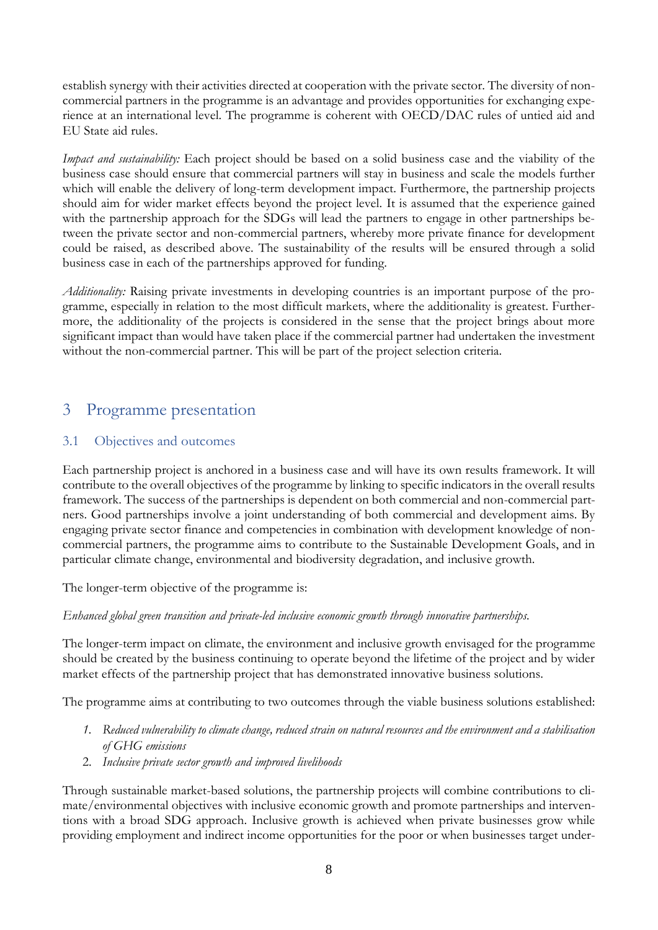establish synergy with their activities directed at cooperation with the private sector. The diversity of noncommercial partners in the programme is an advantage and provides opportunities for exchanging experience at an international level. The programme is coherent with OECD/DAC rules of untied aid and EU State aid rules.

*Impact and sustainability:* Each project should be based on a solid business case and the viability of the business case should ensure that commercial partners will stay in business and scale the models further which will enable the delivery of long-term development impact. Furthermore, the partnership projects should aim for wider market effects beyond the project level. It is assumed that the experience gained with the partnership approach for the SDGs will lead the partners to engage in other partnerships between the private sector and non-commercial partners, whereby more private finance for development could be raised, as described above. The sustainability of the results will be ensured through a solid business case in each of the partnerships approved for funding.

*Additionality:* Raising private investments in developing countries is an important purpose of the programme, especially in relation to the most difficult markets, where the additionality is greatest. Furthermore, the additionality of the projects is considered in the sense that the project brings about more significant impact than would have taken place if the commercial partner had undertaken the investment without the non-commercial partner. This will be part of the project selection criteria.

### <span id="page-11-0"></span>3 Programme presentation

### <span id="page-11-1"></span>3.1 Objectives and outcomes

Each partnership project is anchored in a business case and will have its own results framework. It will contribute to the overall objectives of the programme by linking to specific indicators in the overall results framework. The success of the partnerships is dependent on both commercial and non-commercial partners. Good partnerships involve a joint understanding of both commercial and development aims. By engaging private sector finance and competencies in combination with development knowledge of noncommercial partners, the programme aims to contribute to the Sustainable Development Goals, and in particular climate change, environmental and biodiversity degradation, and inclusive growth.

The longer-term objective of the programme is:

### *Enhanced global green transition and private-led inclusive economic growth through innovative partnerships.*

The longer-term impact on climate, the environment and inclusive growth envisaged for the programme should be created by the business continuing to operate beyond the lifetime of the project and by wider market effects of the partnership project that has demonstrated innovative business solutions.

The programme aims at contributing to two outcomes through the viable business solutions established:

- *1. Reduced vulnerability to climate change, reduced strain on natural resources and the environment and a stabilisation of GHG emissions*
- 2. *Inclusive private sector growth and improved livelihoods*

Through sustainable market-based solutions, the partnership projects will combine contributions to climate/environmental objectives with inclusive economic growth and promote partnerships and interventions with a broad SDG approach. Inclusive growth is achieved when private businesses grow while providing employment and indirect income opportunities for the poor or when businesses target under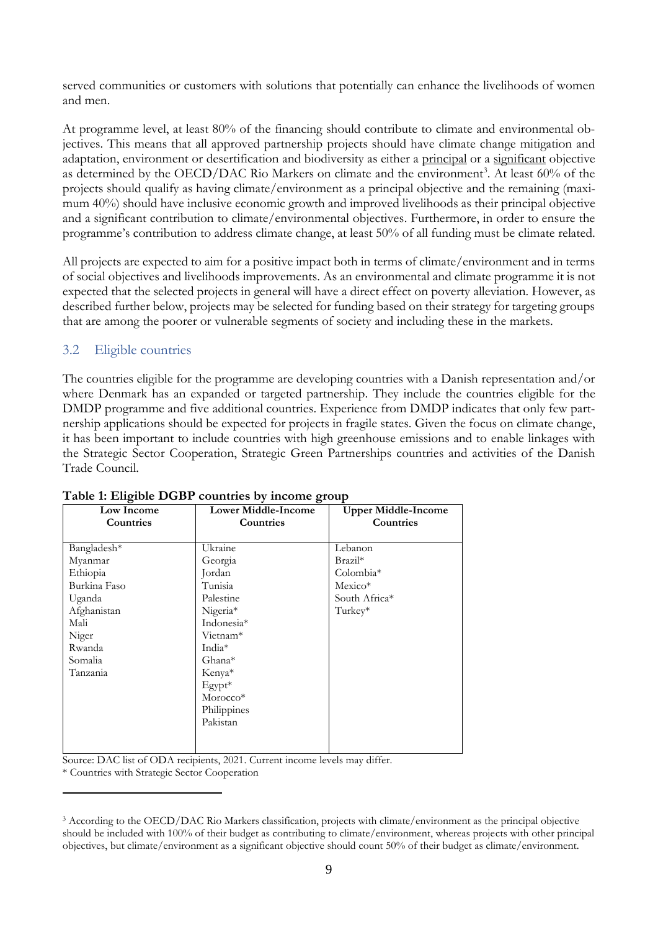served communities or customers with solutions that potentially can enhance the livelihoods of women and men.

At programme level, at least 80% of the financing should contribute to climate and environmental objectives. This means that all approved partnership projects should have climate change mitigation and adaptation, environment or desertification and biodiversity as either a principal or a significant objective as determined by the OECD/DAC Rio Markers on climate and the environment<sup>3</sup>. At least 60% of the projects should qualify as having climate/environment as a principal objective and the remaining (maximum 40%) should have inclusive economic growth and improved livelihoods as their principal objective and a significant contribution to climate/environmental objectives. Furthermore, in order to ensure the programme's contribution to address climate change, at least 50% of all funding must be climate related.

All projects are expected to aim for a positive impact both in terms of climate/environment and in terms of social objectives and livelihoods improvements. As an environmental and climate programme it is not expected that the selected projects in general will have a direct effect on poverty alleviation. However, as described further below, projects may be selected for funding based on their strategy for targeting groups that are among the poorer or vulnerable segments of society and including these in the markets.

### <span id="page-12-0"></span>3.2 Eligible countries

The countries eligible for the programme are developing countries with a Danish representation and/or where Denmark has an expanded or targeted partnership. They include the countries eligible for the DMDP programme and five additional countries. Experience from DMDP indicates that only few partnership applications should be expected for projects in fragile states. Given the focus on climate change, it has been important to include countries with high greenhouse emissions and to enable linkages with the Strategic Sector Cooperation, Strategic Green Partnerships countries and activities of the Danish Trade Council.

| Low Income       | <b>Lower Middle-Income</b> | <b>Upper Middle-Income</b> |  |
|------------------|----------------------------|----------------------------|--|
| <b>Countries</b> | Countries                  | Countries                  |  |
|                  |                            |                            |  |
| Bangladesh*      | Ukraine                    | Lebanon                    |  |
| Myanmar          | Georgia                    | $Brazil*$                  |  |
| Ethiopia         | Jordan                     | Colombia*                  |  |
| Burkina Faso     | Tunisia                    | $Mexico*$                  |  |
| Uganda           | Palestine                  | South Africa*              |  |
| Afghanistan      | Nigeria*                   | Turkey*                    |  |
| Mali             | Indonesia*                 |                            |  |
| Niger            | Vietnam <sup>*</sup>       |                            |  |
| Rwanda           | India <sup>*</sup>         |                            |  |
| Somalia          | Ghana*                     |                            |  |
| Tanzania         | Kenya*                     |                            |  |
|                  | $E$ gypt <sup>*</sup>      |                            |  |
|                  | Morocco*                   |                            |  |
|                  | Philippines                |                            |  |
|                  | Pakistan                   |                            |  |
|                  |                            |                            |  |
|                  |                            |                            |  |

#### **Table 1: Eligible DGBP countries by income group**

Source: DAC list of ODA recipients, 2021. Current income levels may differ.

\* Countries with Strategic Sector Cooperation

1

<sup>3</sup> According to the OECD/DAC Rio Markers classification, projects with climate/environment as the principal objective should be included with 100% of their budget as contributing to climate/environment, whereas projects with other principal objectives, but climate/environment as a significant objective should count 50% of their budget as climate/environment.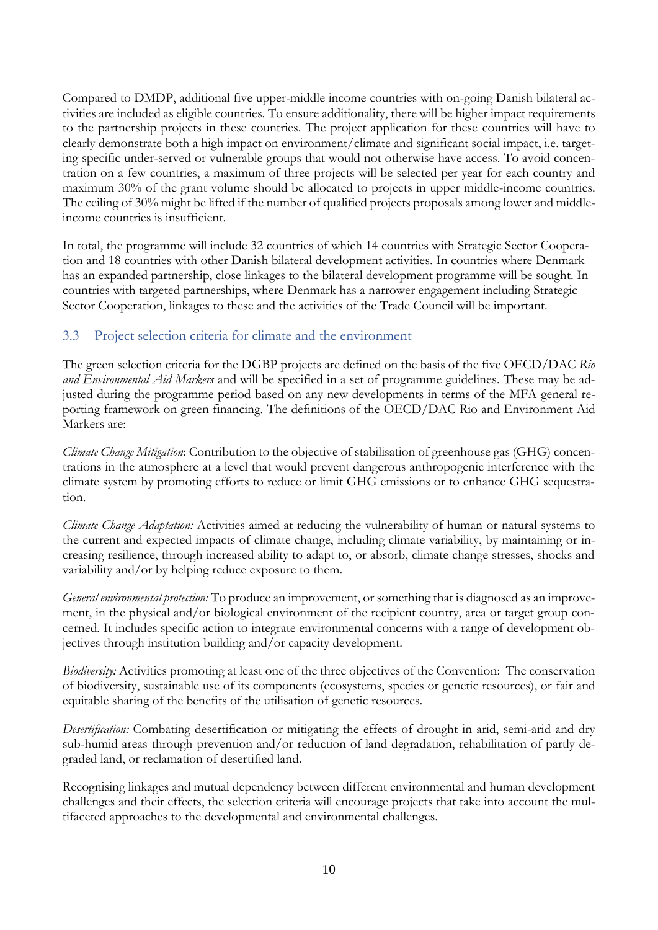Compared to DMDP, additional five upper-middle income countries with on-going Danish bilateral activities are included as eligible countries. To ensure additionality, there will be higher impact requirements to the partnership projects in these countries. The project application for these countries will have to clearly demonstrate both a high impact on environment/climate and significant social impact, i.e. targeting specific under-served or vulnerable groups that would not otherwise have access. To avoid concentration on a few countries, a maximum of three projects will be selected per year for each country and maximum 30% of the grant volume should be allocated to projects in upper middle-income countries. The ceiling of 30% might be lifted if the number of qualified projects proposals among lower and middleincome countries is insufficient.

In total, the programme will include 32 countries of which 14 countries with Strategic Sector Cooperation and 18 countries with other Danish bilateral development activities. In countries where Denmark has an expanded partnership, close linkages to the bilateral development programme will be sought. In countries with targeted partnerships, where Denmark has a narrower engagement including Strategic Sector Cooperation, linkages to these and the activities of the Trade Council will be important.

### <span id="page-13-0"></span>3.3 Project selection criteria for climate and the environment

The green selection criteria for the DGBP projects are defined on the basis of the five OECD/DAC *Rio and Environmental Aid Markers* and will be specified in a set of programme guidelines*.* These may be adjusted during the programme period based on any new developments in terms of the MFA general reporting framework on green financing*.* The definitions of the OECD/DAC Rio and Environment Aid Markers are:

*Climate Change Mitigation*: Contribution to the objective of stabilisation of greenhouse gas (GHG) concentrations in the atmosphere at a level that would prevent dangerous anthropogenic interference with the climate system by promoting efforts to reduce or limit GHG emissions or to enhance GHG sequestration.

*Climate Change Adaptation:* Activities aimed at reducing the vulnerability of human or natural systems to the current and expected impacts of climate change, including climate variability, by maintaining or increasing resilience, through increased ability to adapt to, or absorb, climate change stresses, shocks and variability and/or by helping reduce exposure to them.

*General environmental protection:* To produce an improvement, or something that is diagnosed as an improvement, in the physical and/or biological environment of the recipient country, area or target group concerned. It includes specific action to integrate environmental concerns with a range of development objectives through institution building and/or capacity development.

*Biodiversity:* Activities promoting at least one of the three objectives of the Convention: The conservation of biodiversity, sustainable use of its components (ecosystems, species or genetic resources), or fair and equitable sharing of the benefits of the utilisation of genetic resources.

*Desertification:* Combating desertification or mitigating the effects of drought in arid, semi-arid and dry sub-humid areas through prevention and/or reduction of land degradation, rehabilitation of partly degraded land, or reclamation of desertified land.

Recognising linkages and mutual dependency between different environmental and human development challenges and their effects, the selection criteria will encourage projects that take into account the multifaceted approaches to the developmental and environmental challenges.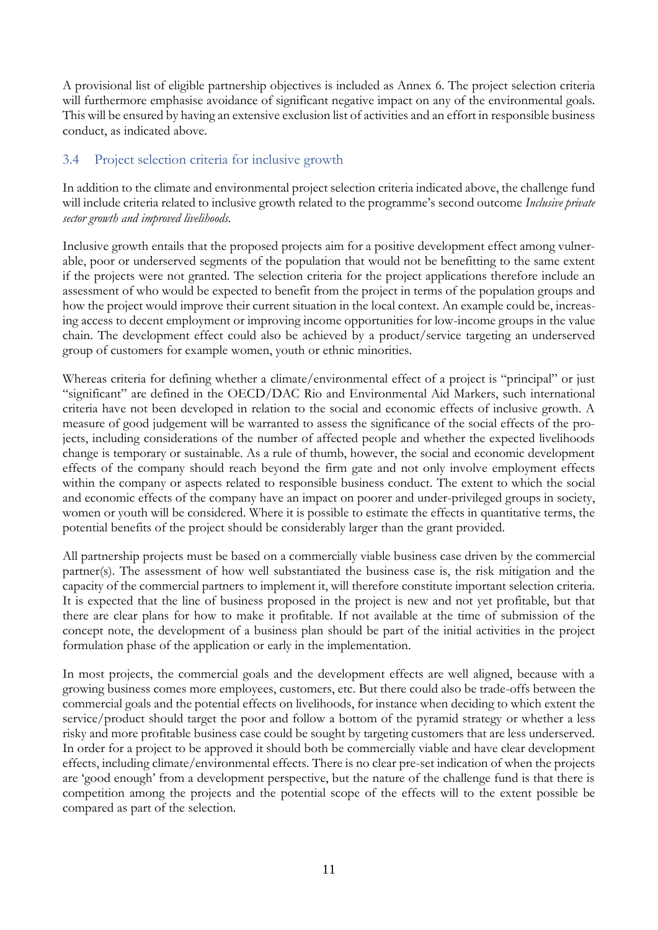A provisional list of eligible partnership objectives is included as Annex 6. The project selection criteria will furthermore emphasise avoidance of significant negative impact on any of the environmental goals. This will be ensured by having an extensive exclusion list of activities and an effort in responsible business conduct, as indicated above.

### <span id="page-14-0"></span>3.4 Project selection criteria for inclusive growth

In addition to the climate and environmental project selection criteria indicated above, the challenge fund will include criteria related to inclusive growth related to the programme's second outcome *Inclusive private sector growth and improved livelihoods.*

Inclusive growth entails that the proposed projects aim for a positive development effect among vulnerable, poor or underserved segments of the population that would not be benefitting to the same extent if the projects were not granted. The selection criteria for the project applications therefore include an assessment of who would be expected to benefit from the project in terms of the population groups and how the project would improve their current situation in the local context. An example could be, increasing access to decent employment or improving income opportunities for low-income groups in the value chain. The development effect could also be achieved by a product/service targeting an underserved group of customers for example women, youth or ethnic minorities.

Whereas criteria for defining whether a climate/environmental effect of a project is "principal" or just "significant" are defined in the OECD/DAC Rio and Environmental Aid Markers, such international criteria have not been developed in relation to the social and economic effects of inclusive growth. A measure of good judgement will be warranted to assess the significance of the social effects of the projects, including considerations of the number of affected people and whether the expected livelihoods change is temporary or sustainable. As a rule of thumb, however, the social and economic development effects of the company should reach beyond the firm gate and not only involve employment effects within the company or aspects related to responsible business conduct. The extent to which the social and economic effects of the company have an impact on poorer and under-privileged groups in society, women or youth will be considered. Where it is possible to estimate the effects in quantitative terms, the potential benefits of the project should be considerably larger than the grant provided.

All partnership projects must be based on a commercially viable business case driven by the commercial partner(s). The assessment of how well substantiated the business case is, the risk mitigation and the capacity of the commercial partners to implement it, will therefore constitute important selection criteria. It is expected that the line of business proposed in the project is new and not yet profitable, but that there are clear plans for how to make it profitable. If not available at the time of submission of the concept note, the development of a business plan should be part of the initial activities in the project formulation phase of the application or early in the implementation.

In most projects, the commercial goals and the development effects are well aligned, because with a growing business comes more employees, customers, etc. But there could also be trade-offs between the commercial goals and the potential effects on livelihoods, for instance when deciding to which extent the service/product should target the poor and follow a bottom of the pyramid strategy or whether a less risky and more profitable business case could be sought by targeting customers that are less underserved. In order for a project to be approved it should both be commercially viable and have clear development effects, including climate/environmental effects. There is no clear pre-set indication of when the projects are 'good enough' from a development perspective, but the nature of the challenge fund is that there is competition among the projects and the potential scope of the effects will to the extent possible be compared as part of the selection.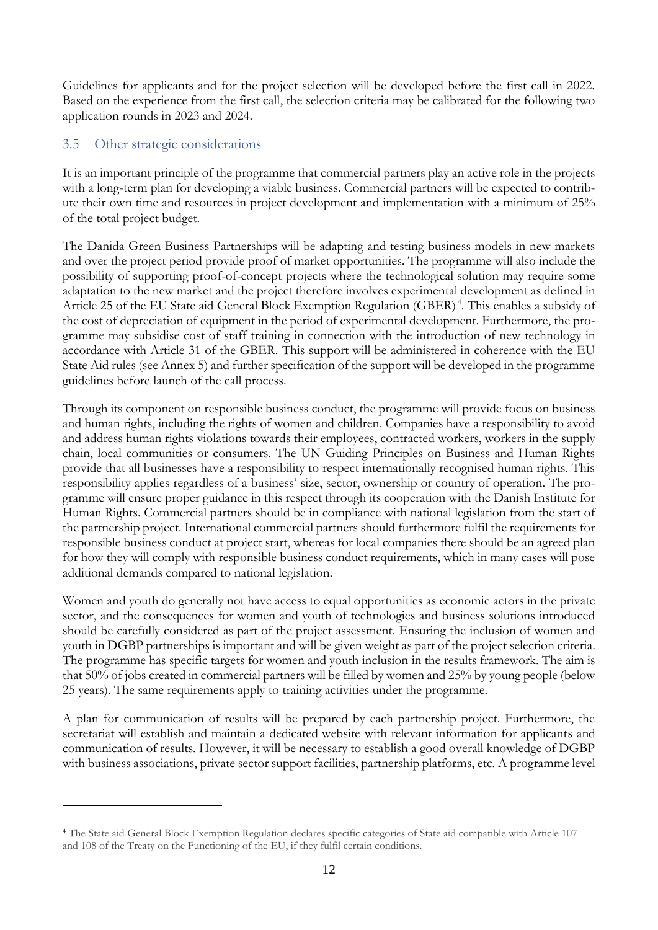Guidelines for applicants and for the project selection will be developed before the first call in 2022. Based on the experience from the first call, the selection criteria may be calibrated for the following two application rounds in 2023 and 2024.

### <span id="page-15-0"></span>3.5 Other strategic considerations

1

It is an important principle of the programme that commercial partners play an active role in the projects with a long-term plan for developing a viable business. Commercial partners will be expected to contribute their own time and resources in project development and implementation with a minimum of 25% of the total project budget.

The Danida Green Business Partnerships will be adapting and testing business models in new markets and over the project period provide proof of market opportunities. The programme will also include the possibility of supporting proof-of-concept projects where the technological solution may require some adaptation to the new market and the project therefore involves experimental development as defined in Article 25 of the EU State aid General Block Exemption Regulation (GBER)<sup>4</sup>. This enables a subsidy of the cost of depreciation of equipment in the period of experimental development. Furthermore, the programme may subsidise cost of staff training in connection with the introduction of new technology in accordance with Article 31 of the GBER. This support will be administered in coherence with the EU State Aid rules (see Annex 5) and further specification of the support will be developed in the programme guidelines before launch of the call process.

Through its component on responsible business conduct, the programme will provide focus on business and human rights, including the rights of women and children. Companies have a responsibility to avoid and address human rights violations towards their employees, contracted workers, workers in the supply chain, local communities or consumers. The UN Guiding Principles on Business and Human Rights provide that all businesses have a responsibility to respect internationally recognised human rights. This responsibility applies regardless of a business' size, sector, ownership or country of operation. The programme will ensure proper guidance in this respect through its cooperation with the Danish Institute for Human Rights. Commercial partners should be in compliance with national legislation from the start of the partnership project. International commercial partners should furthermore fulfil the requirements for responsible business conduct at project start, whereas for local companies there should be an agreed plan for how they will comply with responsible business conduct requirements, which in many cases will pose additional demands compared to national legislation.

Women and youth do generally not have access to equal opportunities as economic actors in the private sector, and the consequences for women and youth of technologies and business solutions introduced should be carefully considered as part of the project assessment. Ensuring the inclusion of women and youth in DGBP partnerships is important and will be given weight as part of the project selection criteria. The programme has specific targets for women and youth inclusion in the results framework. The aim is that 50% of jobs created in commercial partners will be filled by women and 25% by young people (below 25 years). The same requirements apply to training activities under the programme.

A plan for communication of results will be prepared by each partnership project. Furthermore, the secretariat will establish and maintain a dedicated website with relevant information for applicants and communication of results. However, it will be necessary to establish a good overall knowledge of DGBP with business associations, private sector support facilities, partnership platforms, etc. A programme level

<sup>4</sup> The State aid General Block Exemption Regulation declares specific categories of State aid compatible with Article 107 and 108 of the Treaty on the Functioning of the EU, if they fulfil certain conditions.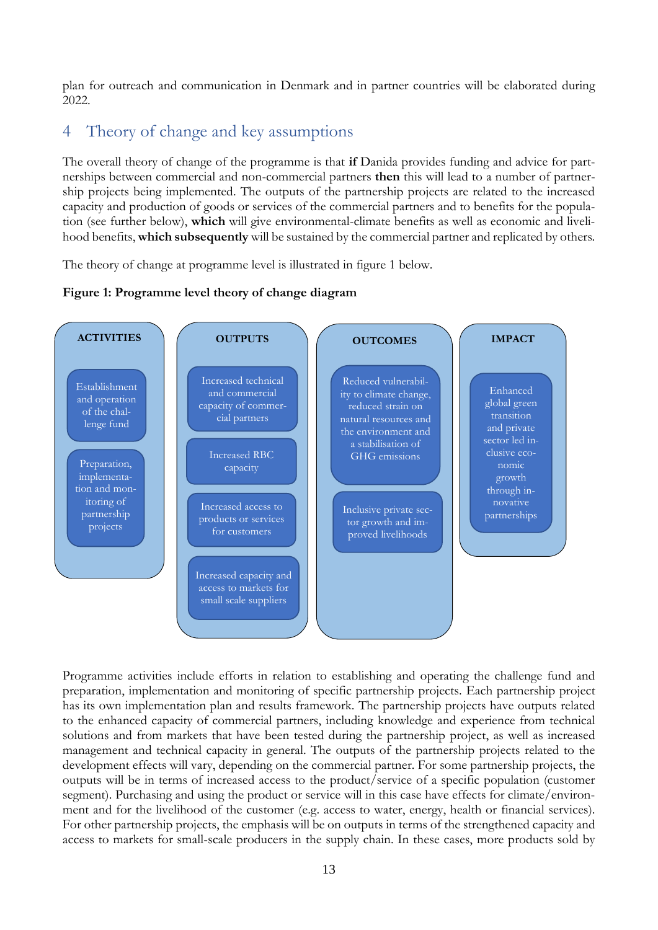plan for outreach and communication in Denmark and in partner countries will be elaborated during 2022

### <span id="page-16-0"></span>4 Theory of change and key assumptions

The overall theory of change of the programme is that **if** Danida provides funding and advice for partnerships between commercial and non-commercial partners **then** this will lead to a number of partnership projects being implemented. The outputs of the partnership projects are related to the increased capacity and production of goods or services of the commercial partners and to benefits for the population (see further below), **which** will give environmental-climate benefits as well as economic and livelihood benefits, **which subsequently** will be sustained by the commercial partner and replicated by others.

The theory of change at programme level is illustrated in figure 1 below.

### **Figure 1: Programme level theory of change diagram**



Programme activities include efforts in relation to establishing and operating the challenge fund and preparation, implementation and monitoring of specific partnership projects. Each partnership project has its own implementation plan and results framework. The partnership projects have outputs related to the enhanced capacity of commercial partners, including knowledge and experience from technical solutions and from markets that have been tested during the partnership project, as well as increased management and technical capacity in general. The outputs of the partnership projects related to the development effects will vary, depending on the commercial partner. For some partnership projects, the outputs will be in terms of increased access to the product/service of a specific population (customer segment). Purchasing and using the product or service will in this case have effects for climate/environment and for the livelihood of the customer (e.g. access to water, energy, health or financial services). For other partnership projects, the emphasis will be on outputs in terms of the strengthened capacity and access to markets for small-scale producers in the supply chain. In these cases, more products sold by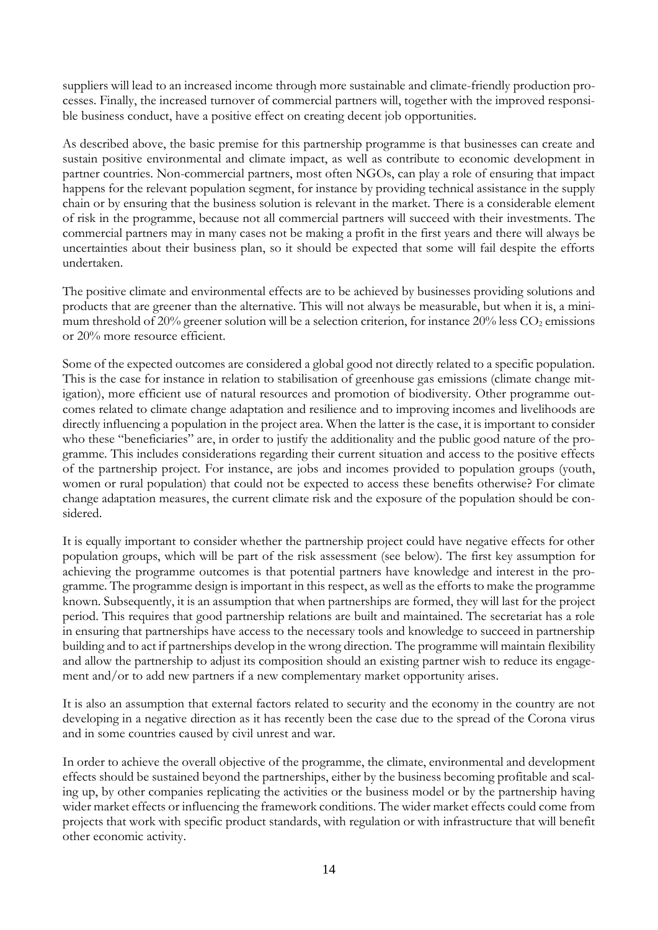suppliers will lead to an increased income through more sustainable and climate-friendly production processes. Finally, the increased turnover of commercial partners will, together with the improved responsible business conduct, have a positive effect on creating decent job opportunities.

As described above, the basic premise for this partnership programme is that businesses can create and sustain positive environmental and climate impact, as well as contribute to economic development in partner countries. Non-commercial partners, most often NGOs, can play a role of ensuring that impact happens for the relevant population segment, for instance by providing technical assistance in the supply chain or by ensuring that the business solution is relevant in the market. There is a considerable element of risk in the programme, because not all commercial partners will succeed with their investments. The commercial partners may in many cases not be making a profit in the first years and there will always be uncertainties about their business plan, so it should be expected that some will fail despite the efforts undertaken.

The positive climate and environmental effects are to be achieved by businesses providing solutions and products that are greener than the alternative. This will not always be measurable, but when it is, a minimum threshold of 20% greener solution will be a selection criterion, for instance  $20\%$  less CO<sub>2</sub> emissions or 20% more resource efficient.

Some of the expected outcomes are considered a global good not directly related to a specific population. This is the case for instance in relation to stabilisation of greenhouse gas emissions (climate change mitigation), more efficient use of natural resources and promotion of biodiversity. Other programme outcomes related to climate change adaptation and resilience and to improving incomes and livelihoods are directly influencing a population in the project area. When the latter is the case, it is important to consider who these "beneficiaries" are, in order to justify the additionality and the public good nature of the programme. This includes considerations regarding their current situation and access to the positive effects of the partnership project. For instance, are jobs and incomes provided to population groups (youth, women or rural population) that could not be expected to access these benefits otherwise? For climate change adaptation measures, the current climate risk and the exposure of the population should be considered.

It is equally important to consider whether the partnership project could have negative effects for other population groups, which will be part of the risk assessment (see below). The first key assumption for achieving the programme outcomes is that potential partners have knowledge and interest in the programme. The programme design is important in this respect, as well as the efforts to make the programme known. Subsequently, it is an assumption that when partnerships are formed, they will last for the project period. This requires that good partnership relations are built and maintained. The secretariat has a role in ensuring that partnerships have access to the necessary tools and knowledge to succeed in partnership building and to act if partnerships develop in the wrong direction. The programme will maintain flexibility and allow the partnership to adjust its composition should an existing partner wish to reduce its engagement and/or to add new partners if a new complementary market opportunity arises.

It is also an assumption that external factors related to security and the economy in the country are not developing in a negative direction as it has recently been the case due to the spread of the Corona virus and in some countries caused by civil unrest and war.

In order to achieve the overall objective of the programme, the climate, environmental and development effects should be sustained beyond the partnerships, either by the business becoming profitable and scaling up, by other companies replicating the activities or the business model or by the partnership having wider market effects or influencing the framework conditions. The wider market effects could come from projects that work with specific product standards, with regulation or with infrastructure that will benefit other economic activity.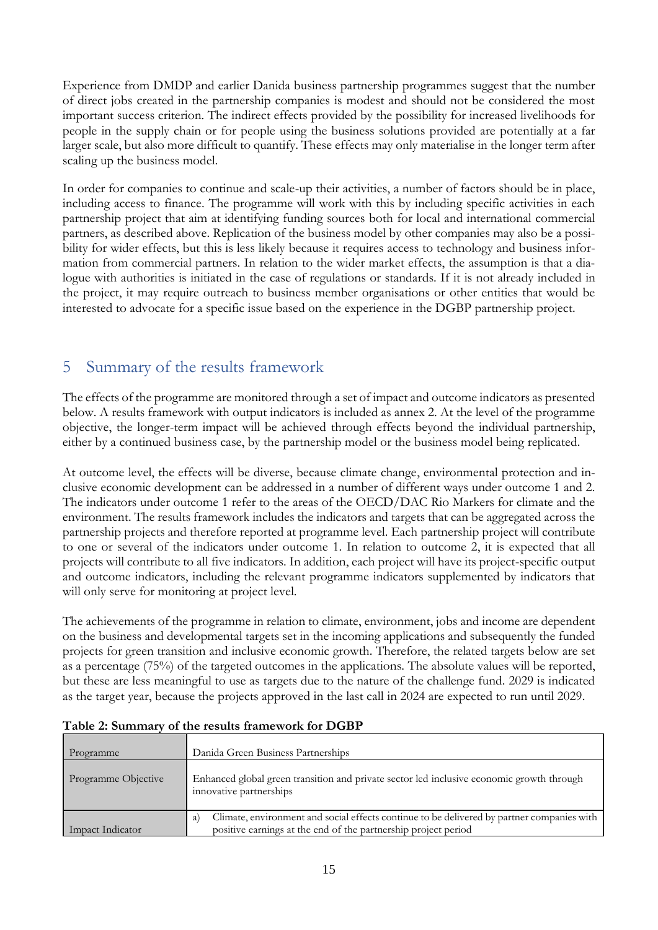Experience from DMDP and earlier Danida business partnership programmes suggest that the number of direct jobs created in the partnership companies is modest and should not be considered the most important success criterion. The indirect effects provided by the possibility for increased livelihoods for people in the supply chain or for people using the business solutions provided are potentially at a far larger scale, but also more difficult to quantify. These effects may only materialise in the longer term after scaling up the business model.

In order for companies to continue and scale-up their activities, a number of factors should be in place, including access to finance. The programme will work with this by including specific activities in each partnership project that aim at identifying funding sources both for local and international commercial partners, as described above. Replication of the business model by other companies may also be a possibility for wider effects, but this is less likely because it requires access to technology and business information from commercial partners. In relation to the wider market effects, the assumption is that a dialogue with authorities is initiated in the case of regulations or standards. If it is not already included in the project, it may require outreach to business member organisations or other entities that would be interested to advocate for a specific issue based on the experience in the DGBP partnership project.

### <span id="page-18-0"></span>5 Summary of the results framework

The effects of the programme are monitored through a set of impact and outcome indicators as presented below. A results framework with output indicators is included as annex 2. At the level of the programme objective, the longer-term impact will be achieved through effects beyond the individual partnership, either by a continued business case, by the partnership model or the business model being replicated.

At outcome level, the effects will be diverse, because climate change, environmental protection and inclusive economic development can be addressed in a number of different ways under outcome 1 and 2. The indicators under outcome 1 refer to the areas of the OECD/DAC Rio Markers for climate and the environment. The results framework includes the indicators and targets that can be aggregated across the partnership projects and therefore reported at programme level. Each partnership project will contribute to one or several of the indicators under outcome 1. In relation to outcome 2, it is expected that all projects will contribute to all five indicators. In addition, each project will have its project-specific output and outcome indicators, including the relevant programme indicators supplemented by indicators that will only serve for monitoring at project level.

The achievements of the programme in relation to climate, environment, jobs and income are dependent on the business and developmental targets set in the incoming applications and subsequently the funded projects for green transition and inclusive economic growth. Therefore, the related targets below are set as a percentage (75%) of the targeted outcomes in the applications. The absolute values will be reported, but these are less meaningful to use as targets due to the nature of the challenge fund. 2029 is indicated as the target year, because the projects approved in the last call in 2024 are expected to run until 2029.

| Programme           | Danida Green Business Partnerships                                                                                                                                 |
|---------------------|--------------------------------------------------------------------------------------------------------------------------------------------------------------------|
| Programme Objective | Enhanced global green transition and private sector led inclusive economic growth through<br>innovative partnerships                                               |
| Impact Indicator    | Climate, environment and social effects continue to be delivered by partner companies with<br>a)<br>positive earnings at the end of the partnership project period |

**Table 2: Summary of the results framework for DGBP**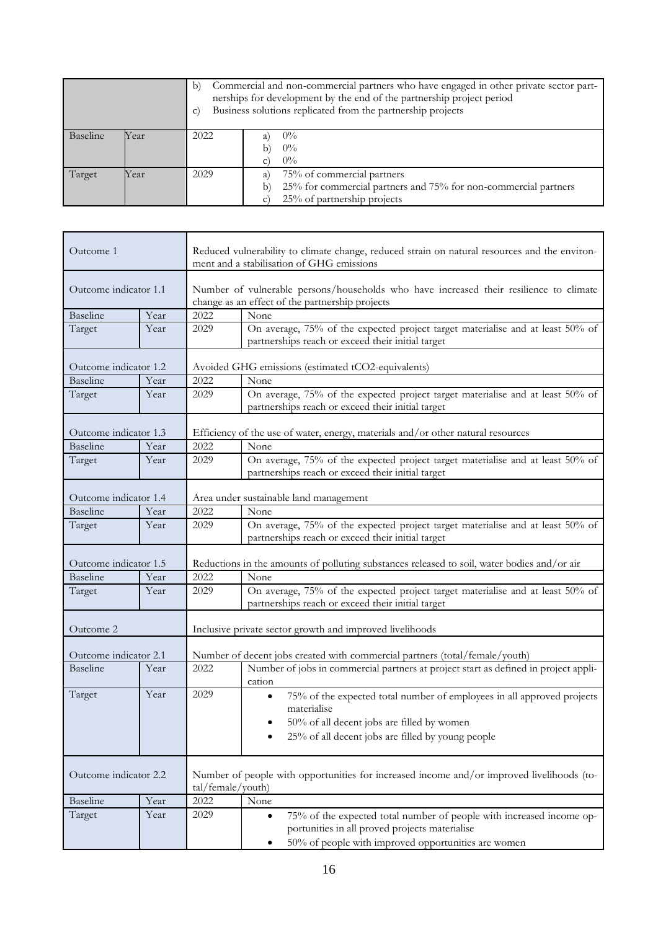|          |      | b)<br>$\mathbf{C}$ | Commercial and non-commercial partners who have engaged in other private sector part-<br>nerships for development by the end of the partnership project period<br>Business solutions replicated from the partnership projects |  |  |
|----------|------|--------------------|-------------------------------------------------------------------------------------------------------------------------------------------------------------------------------------------------------------------------------|--|--|
| Baseline | Year | 2022               | $0\%$<br>$0\%$<br>b                                                                                                                                                                                                           |  |  |
|          |      |                    | $0\%$                                                                                                                                                                                                                         |  |  |
| Target   | Year | 2029               | 75% of commercial partners<br>a'                                                                                                                                                                                              |  |  |
|          |      |                    | 25% for commercial partners and 75% for non-commercial partners<br>b)                                                                                                                                                         |  |  |
|          |      |                    | 25% of partnership projects                                                                                                                                                                                                   |  |  |

 $\mathbf{r}$ 

| Outcome 1             |      |                                                                                             | Reduced vulnerability to climate change, reduced strain on natural resources and the environ-<br>ment and a stabilisation of GHG emissions                                                            |  |  |
|-----------------------|------|---------------------------------------------------------------------------------------------|-------------------------------------------------------------------------------------------------------------------------------------------------------------------------------------------------------|--|--|
| Outcome indicator 1.1 |      |                                                                                             | Number of vulnerable persons/households who have increased their resilience to climate<br>change as an effect of the partnership projects                                                             |  |  |
| Baseline              | Year | 2022                                                                                        | None                                                                                                                                                                                                  |  |  |
| Target                | Year | 2029                                                                                        | On average, 75% of the expected project target materialise and at least 50% of<br>partnerships reach or exceed their initial target                                                                   |  |  |
| Outcome indicator 1.2 |      |                                                                                             | Avoided GHG emissions (estimated tCO2-equivalents)                                                                                                                                                    |  |  |
| <b>Baseline</b>       | Year | 2022                                                                                        | None                                                                                                                                                                                                  |  |  |
| Target                | Year | 2029                                                                                        | On average, 75% of the expected project target materialise and at least 50% of<br>partnerships reach or exceed their initial target                                                                   |  |  |
| Outcome indicator 1.3 |      |                                                                                             | Efficiency of the use of water, energy, materials and/or other natural resources                                                                                                                      |  |  |
| <b>Baseline</b>       | Year | 2022                                                                                        | None                                                                                                                                                                                                  |  |  |
| Target                | Year | 2029                                                                                        | On average, 75% of the expected project target materialise and at least 50% of<br>partnerships reach or exceed their initial target                                                                   |  |  |
| Outcome indicator 1.4 |      |                                                                                             | Area under sustainable land management                                                                                                                                                                |  |  |
| Baseline              | Year | 2022                                                                                        | None                                                                                                                                                                                                  |  |  |
| Target                | Year | 2029                                                                                        | On average, 75% of the expected project target materialise and at least 50% of<br>partnerships reach or exceed their initial target                                                                   |  |  |
| Outcome indicator 1.5 |      | Reductions in the amounts of polluting substances released to soil, water bodies and/or air |                                                                                                                                                                                                       |  |  |
| Baseline              | Year | 2022                                                                                        | None                                                                                                                                                                                                  |  |  |
| Target                | Year | 2029                                                                                        | On average, 75% of the expected project target materialise and at least 50% of<br>partnerships reach or exceed their initial target                                                                   |  |  |
| Outcome 2             |      |                                                                                             | Inclusive private sector growth and improved livelihoods                                                                                                                                              |  |  |
| Outcome indicator 2.1 |      |                                                                                             | Number of decent jobs created with commercial partners (total/female/youth)                                                                                                                           |  |  |
| <b>Baseline</b>       | Year | 2022                                                                                        | Number of jobs in commercial partners at project start as defined in project appli-<br>cation                                                                                                         |  |  |
| Target                | Year | 2029                                                                                        | 75% of the expected total number of employees in all approved projects<br>$\bullet$<br>materialise<br>50% of all decent jobs are filled by women<br>25% of all decent jobs are filled by young people |  |  |
| Outcome indicator 2.2 |      |                                                                                             | Number of people with opportunities for increased income and/or improved livelihoods (to-<br>tal/female/youth)                                                                                        |  |  |
| Baseline              | Year | 2022                                                                                        | None                                                                                                                                                                                                  |  |  |
| Target                | Year | 2029                                                                                        | 75% of the expected total number of people with increased income op-<br>$\bullet$<br>portunities in all proved projects materialise                                                                   |  |  |
|                       |      |                                                                                             | 50% of people with improved opportunities are women<br>٠                                                                                                                                              |  |  |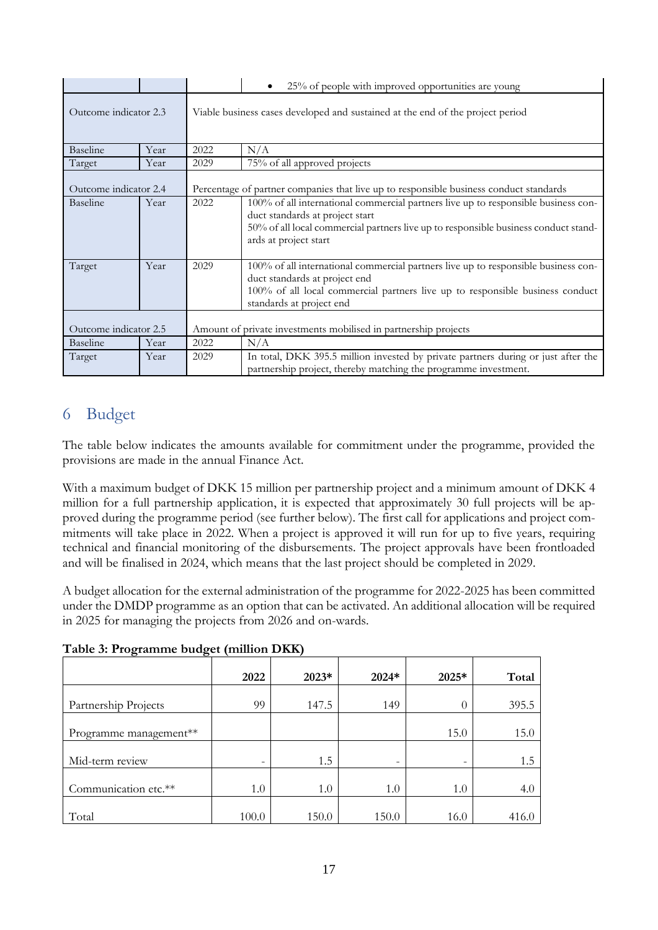|                                                                                      |                                                                                 | 25% of people with improved opportunities are young<br>٠ |                                                                                                                                                                                                                                  |  |  |
|--------------------------------------------------------------------------------------|---------------------------------------------------------------------------------|----------------------------------------------------------|----------------------------------------------------------------------------------------------------------------------------------------------------------------------------------------------------------------------------------|--|--|
| Outcome indicator 2.3                                                                |                                                                                 |                                                          | Viable business cases developed and sustained at the end of the project period                                                                                                                                                   |  |  |
| <b>Baseline</b>                                                                      | Year                                                                            | 2022                                                     | N/A                                                                                                                                                                                                                              |  |  |
| Target                                                                               | Year                                                                            | 2029                                                     | 75% of all approved projects                                                                                                                                                                                                     |  |  |
| Outcome indicator 2.4                                                                |                                                                                 |                                                          | Percentage of partner companies that live up to responsible business conduct standards                                                                                                                                           |  |  |
| Baseline<br>2022<br>Year<br>duct standards at project start<br>ards at project start |                                                                                 |                                                          | 100% of all international commercial partners live up to responsible business con-<br>50% of all local commercial partners live up to responsible business conduct stand-                                                        |  |  |
| Target<br>Year                                                                       |                                                                                 | 2029                                                     | 100% of all international commercial partners live up to responsible business con-<br>duct standards at project end<br>100% of all local commercial partners live up to responsible business conduct<br>standards at project end |  |  |
| Outcome indicator 2.5                                                                |                                                                                 |                                                          | Amount of private investments mobilised in partnership projects                                                                                                                                                                  |  |  |
| Baseline                                                                             | Year                                                                            | 2022                                                     | N/A                                                                                                                                                                                                                              |  |  |
| Target                                                                               | 2029<br>Year<br>partnership project, thereby matching the programme investment. |                                                          | In total, DKK 395.5 million invested by private partners during or just after the                                                                                                                                                |  |  |

### <span id="page-20-0"></span>6 Budget

The table below indicates the amounts available for commitment under the programme, provided the provisions are made in the annual Finance Act.

With a maximum budget of DKK 15 million per partnership project and a minimum amount of DKK 4 million for a full partnership application, it is expected that approximately 30 full projects will be approved during the programme period (see further below). The first call for applications and project commitments will take place in 2022. When a project is approved it will run for up to five years, requiring technical and financial monitoring of the disbursements. The project approvals have been frontloaded and will be finalised in 2024, which means that the last project should be completed in 2029.

A budget allocation for the external administration of the programme for 2022-2025 has been committed under the DMDP programme as an option that can be activated. An additional allocation will be required in 2025 for managing the projects from 2026 and on-wards.

| Table 3: Programme budget (million DKK) |  |  |
|-----------------------------------------|--|--|
|                                         |  |  |

| $\sigma$<br>$\sigma$   |                          |       |                          |                          |       |
|------------------------|--------------------------|-------|--------------------------|--------------------------|-------|
|                        | 2022                     | 2023* | 2024*                    | $2025*$                  | Total |
| Partnership Projects   | 99                       | 147.5 | 149                      | 0                        | 395.5 |
| Programme management** |                          |       |                          | 15.0                     | 15.0  |
| Mid-term review        | $\overline{\phantom{0}}$ | 1.5   | $\overline{\phantom{a}}$ | $\overline{\phantom{0}}$ | 1.5   |
| Communication etc.**   | 1.0                      | 1.0   | 1.0                      | 1.0                      | 4.0   |
| Total                  | 100.0                    | 150.0 | 150.0                    | 16.0                     | 416.0 |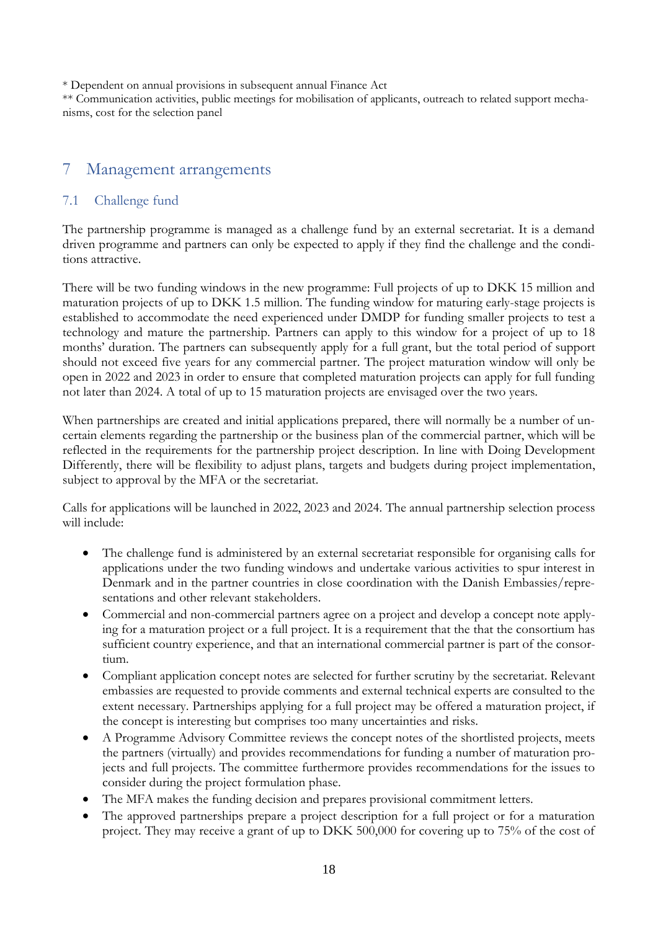\* Dependent on annual provisions in subsequent annual Finance Act

\*\* Communication activities, public meetings for mobilisation of applicants, outreach to related support mechanisms, cost for the selection panel

### <span id="page-21-0"></span>7 Management arrangements

### <span id="page-21-1"></span>7.1 Challenge fund

The partnership programme is managed as a challenge fund by an external secretariat. It is a demand driven programme and partners can only be expected to apply if they find the challenge and the conditions attractive.

There will be two funding windows in the new programme: Full projects of up to DKK 15 million and maturation projects of up to DKK 1.5 million. The funding window for maturing early-stage projects is established to accommodate the need experienced under DMDP for funding smaller projects to test a technology and mature the partnership. Partners can apply to this window for a project of up to 18 months' duration. The partners can subsequently apply for a full grant, but the total period of support should not exceed five years for any commercial partner. The project maturation window will only be open in 2022 and 2023 in order to ensure that completed maturation projects can apply for full funding not later than 2024. A total of up to 15 maturation projects are envisaged over the two years.

When partnerships are created and initial applications prepared, there will normally be a number of uncertain elements regarding the partnership or the business plan of the commercial partner, which will be reflected in the requirements for the partnership project description. In line with Doing Development Differently, there will be flexibility to adjust plans, targets and budgets during project implementation, subject to approval by the MFA or the secretariat.

Calls for applications will be launched in 2022, 2023 and 2024. The annual partnership selection process will include:

- The challenge fund is administered by an external secretariat responsible for organising calls for applications under the two funding windows and undertake various activities to spur interest in Denmark and in the partner countries in close coordination with the Danish Embassies/representations and other relevant stakeholders.
- Commercial and non-commercial partners agree on a project and develop a concept note applying for a maturation project or a full project. It is a requirement that the that the consortium has sufficient country experience, and that an international commercial partner is part of the consortium.
- Compliant application concept notes are selected for further scrutiny by the secretariat. Relevant embassies are requested to provide comments and external technical experts are consulted to the extent necessary. Partnerships applying for a full project may be offered a maturation project, if the concept is interesting but comprises too many uncertainties and risks.
- A Programme Advisory Committee reviews the concept notes of the shortlisted projects, meets the partners (virtually) and provides recommendations for funding a number of maturation projects and full projects. The committee furthermore provides recommendations for the issues to consider during the project formulation phase.
- The MFA makes the funding decision and prepares provisional commitment letters.
- The approved partnerships prepare a project description for a full project or for a maturation project. They may receive a grant of up to DKK 500,000 for covering up to 75% of the cost of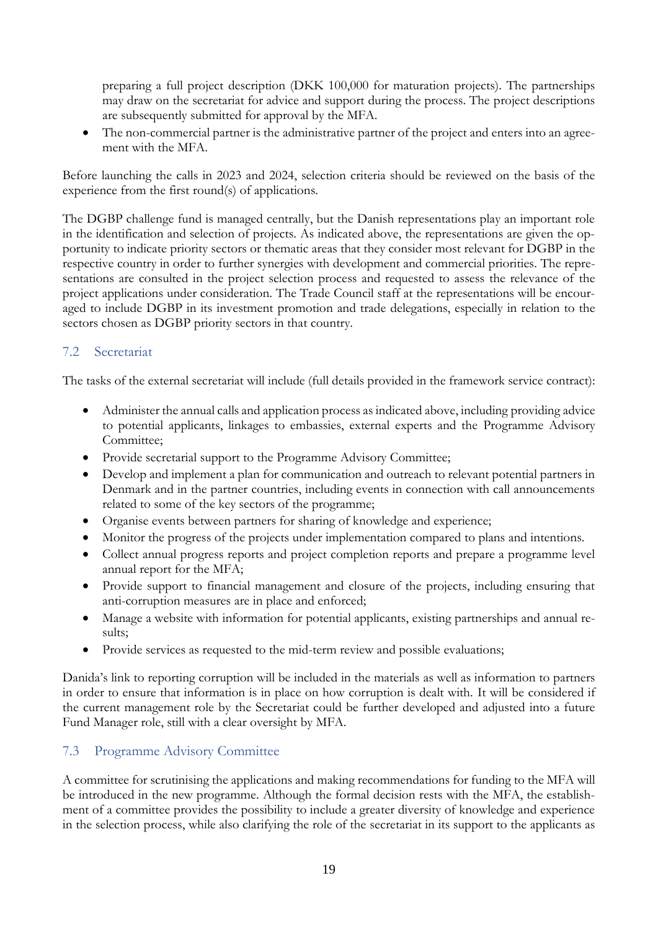preparing a full project description (DKK 100,000 for maturation projects). The partnerships may draw on the secretariat for advice and support during the process. The project descriptions are subsequently submitted for approval by the MFA.

 The non-commercial partner is the administrative partner of the project and enters into an agreement with the MFA.

Before launching the calls in 2023 and 2024, selection criteria should be reviewed on the basis of the experience from the first round(s) of applications.

The DGBP challenge fund is managed centrally, but the Danish representations play an important role in the identification and selection of projects. As indicated above, the representations are given the opportunity to indicate priority sectors or thematic areas that they consider most relevant for DGBP in the respective country in order to further synergies with development and commercial priorities. The representations are consulted in the project selection process and requested to assess the relevance of the project applications under consideration. The Trade Council staff at the representations will be encouraged to include DGBP in its investment promotion and trade delegations, especially in relation to the sectors chosen as DGBP priority sectors in that country.

### <span id="page-22-0"></span>7.2 Secretariat

The tasks of the external secretariat will include (full details provided in the framework service contract):

- Administer the annual calls and application process as indicated above, including providing advice to potential applicants, linkages to embassies, external experts and the Programme Advisory Committee;
- Provide secretarial support to the Programme Advisory Committee;
- Develop and implement a plan for communication and outreach to relevant potential partners in Denmark and in the partner countries, including events in connection with call announcements related to some of the key sectors of the programme;
- Organise events between partners for sharing of knowledge and experience;
- Monitor the progress of the projects under implementation compared to plans and intentions.
- Collect annual progress reports and project completion reports and prepare a programme level annual report for the MFA;
- Provide support to financial management and closure of the projects, including ensuring that anti-corruption measures are in place and enforced;
- Manage a website with information for potential applicants, existing partnerships and annual results;
- Provide services as requested to the mid-term review and possible evaluations;

Danida's link to reporting corruption will be included in the materials as well as information to partners in order to ensure that information is in place on how corruption is dealt with. It will be considered if the current management role by the Secretariat could be further developed and adjusted into a future Fund Manager role, still with a clear oversight by MFA.

### <span id="page-22-1"></span>7.3 Programme Advisory Committee

A committee for scrutinising the applications and making recommendations for funding to the MFA will be introduced in the new programme. Although the formal decision rests with the MFA, the establishment of a committee provides the possibility to include a greater diversity of knowledge and experience in the selection process, while also clarifying the role of the secretariat in its support to the applicants as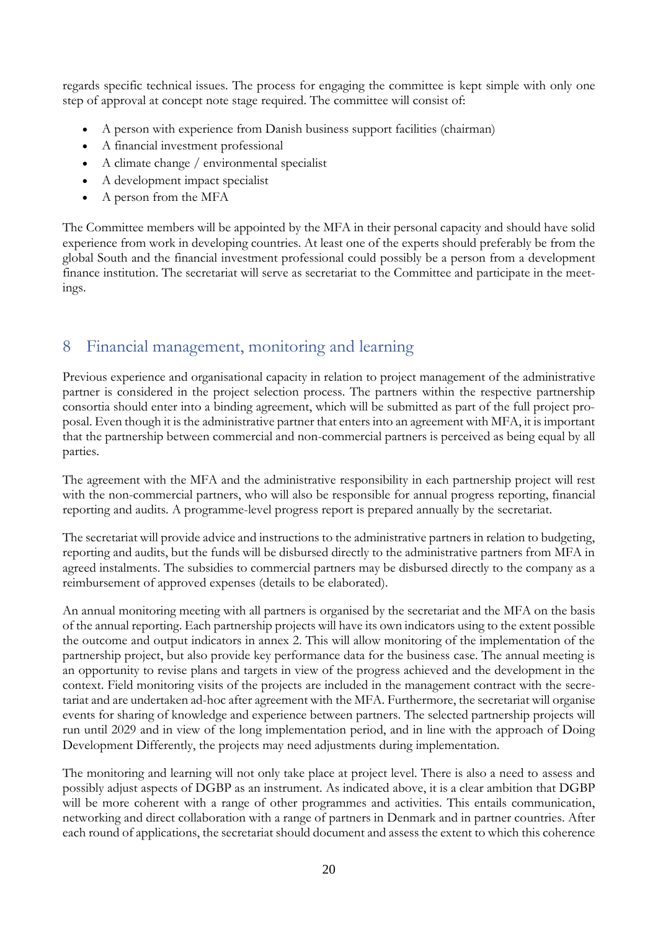regards specific technical issues. The process for engaging the committee is kept simple with only one step of approval at concept note stage required. The committee will consist of:

- A person with experience from Danish business support facilities (chairman)
- A financial investment professional
- A climate change / environmental specialist
- A development impact specialist
- A person from the MFA

The Committee members will be appointed by the MFA in their personal capacity and should have solid experience from work in developing countries. At least one of the experts should preferably be from the global South and the financial investment professional could possibly be a person from a development finance institution. The secretariat will serve as secretariat to the Committee and participate in the meetings.

### <span id="page-23-0"></span>8 Financial management, monitoring and learning

Previous experience and organisational capacity in relation to project management of the administrative partner is considered in the project selection process. The partners within the respective partnership consortia should enter into a binding agreement, which will be submitted as part of the full project proposal. Even though it is the administrative partner that enters into an agreement with MFA, it is important that the partnership between commercial and non-commercial partners is perceived as being equal by all parties.

The agreement with the MFA and the administrative responsibility in each partnership project will rest with the non-commercial partners, who will also be responsible for annual progress reporting, financial reporting and audits. A programme-level progress report is prepared annually by the secretariat.

The secretariat will provide advice and instructions to the administrative partners in relation to budgeting, reporting and audits, but the funds will be disbursed directly to the administrative partners from MFA in agreed instalments. The subsidies to commercial partners may be disbursed directly to the company as a reimbursement of approved expenses (details to be elaborated).

An annual monitoring meeting with all partners is organised by the secretariat and the MFA on the basis of the annual reporting. Each partnership projects will have its own indicators using to the extent possible the outcome and output indicators in annex 2. This will allow monitoring of the implementation of the partnership project, but also provide key performance data for the business case. The annual meeting is an opportunity to revise plans and targets in view of the progress achieved and the development in the context. Field monitoring visits of the projects are included in the management contract with the secretariat and are undertaken ad-hoc after agreement with the MFA. Furthermore, the secretariat will organise events for sharing of knowledge and experience between partners. The selected partnership projects will run until 2029 and in view of the long implementation period, and in line with the approach of Doing Development Differently, the projects may need adjustments during implementation.

The monitoring and learning will not only take place at project level. There is also a need to assess and possibly adjust aspects of DGBP as an instrument. As indicated above, it is a clear ambition that DGBP will be more coherent with a range of other programmes and activities. This entails communication, networking and direct collaboration with a range of partners in Denmark and in partner countries. After each round of applications, the secretariat should document and assess the extent to which this coherence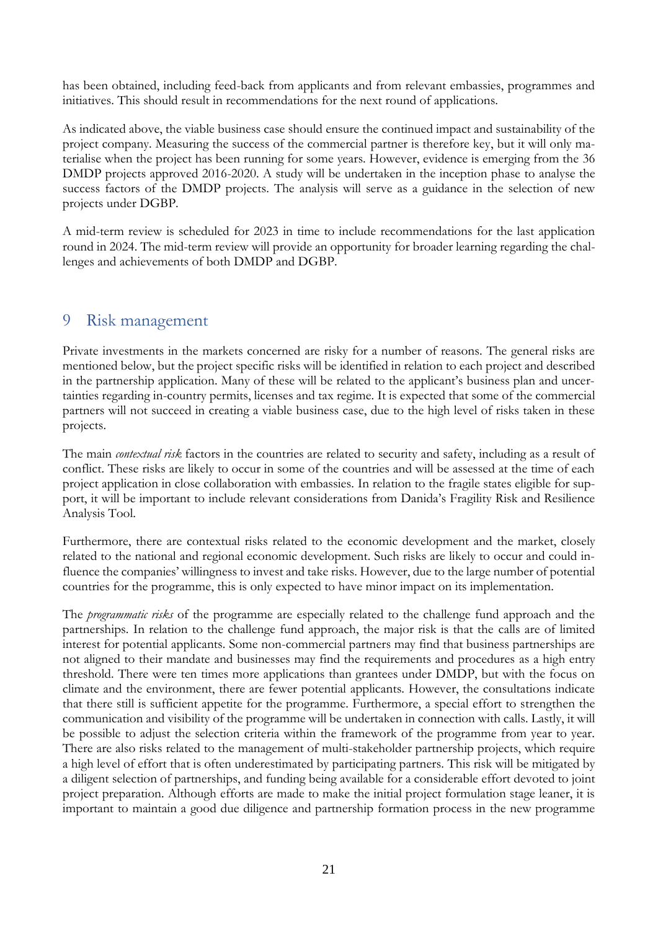has been obtained, including feed-back from applicants and from relevant embassies, programmes and initiatives. This should result in recommendations for the next round of applications.

As indicated above, the viable business case should ensure the continued impact and sustainability of the project company. Measuring the success of the commercial partner is therefore key, but it will only materialise when the project has been running for some years. However, evidence is emerging from the 36 DMDP projects approved 2016-2020. A study will be undertaken in the inception phase to analyse the success factors of the DMDP projects. The analysis will serve as a guidance in the selection of new projects under DGBP.

A mid-term review is scheduled for 2023 in time to include recommendations for the last application round in 2024. The mid-term review will provide an opportunity for broader learning regarding the challenges and achievements of both DMDP and DGBP.

### <span id="page-24-0"></span>9 Risk management

Private investments in the markets concerned are risky for a number of reasons. The general risks are mentioned below, but the project specific risks will be identified in relation to each project and described in the partnership application. Many of these will be related to the applicant's business plan and uncertainties regarding in-country permits, licenses and tax regime. It is expected that some of the commercial partners will not succeed in creating a viable business case, due to the high level of risks taken in these projects.

The main *contextual risk* factors in the countries are related to security and safety, including as a result of conflict. These risks are likely to occur in some of the countries and will be assessed at the time of each project application in close collaboration with embassies. In relation to the fragile states eligible for support, it will be important to include relevant considerations from Danida's Fragility Risk and Resilience Analysis Tool.

Furthermore, there are contextual risks related to the economic development and the market, closely related to the national and regional economic development. Such risks are likely to occur and could influence the companies' willingness to invest and take risks. However, due to the large number of potential countries for the programme, this is only expected to have minor impact on its implementation.

The *programmatic risks* of the programme are especially related to the challenge fund approach and the partnerships. In relation to the challenge fund approach, the major risk is that the calls are of limited interest for potential applicants. Some non-commercial partners may find that business partnerships are not aligned to their mandate and businesses may find the requirements and procedures as a high entry threshold. There were ten times more applications than grantees under DMDP, but with the focus on climate and the environment, there are fewer potential applicants. However, the consultations indicate that there still is sufficient appetite for the programme. Furthermore, a special effort to strengthen the communication and visibility of the programme will be undertaken in connection with calls. Lastly, it will be possible to adjust the selection criteria within the framework of the programme from year to year. There are also risks related to the management of multi-stakeholder partnership projects, which require a high level of effort that is often underestimated by participating partners. This risk will be mitigated by a diligent selection of partnerships, and funding being available for a considerable effort devoted to joint project preparation. Although efforts are made to make the initial project formulation stage leaner, it is important to maintain a good due diligence and partnership formation process in the new programme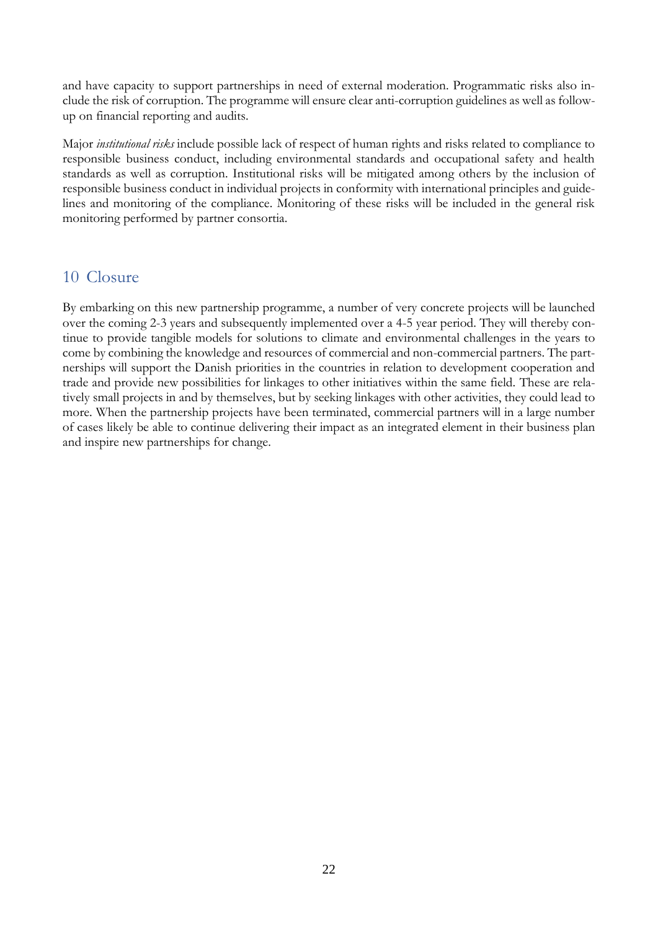and have capacity to support partnerships in need of external moderation. Programmatic risks also include the risk of corruption. The programme will ensure clear anti-corruption guidelines as well as followup on financial reporting and audits.

Major *institutional risks* include possible lack of respect of human rights and risks related to compliance to responsible business conduct, including environmental standards and occupational safety and health standards as well as corruption. Institutional risks will be mitigated among others by the inclusion of responsible business conduct in individual projects in conformity with international principles and guidelines and monitoring of the compliance. Monitoring of these risks will be included in the general risk monitoring performed by partner consortia.

### <span id="page-25-0"></span>10 Closure

By embarking on this new partnership programme, a number of very concrete projects will be launched over the coming 2-3 years and subsequently implemented over a 4-5 year period. They will thereby continue to provide tangible models for solutions to climate and environmental challenges in the years to come by combining the knowledge and resources of commercial and non-commercial partners. The partnerships will support the Danish priorities in the countries in relation to development cooperation and trade and provide new possibilities for linkages to other initiatives within the same field. These are relatively small projects in and by themselves, but by seeking linkages with other activities, they could lead to more. When the partnership projects have been terminated, commercial partners will in a large number of cases likely be able to continue delivering their impact as an integrated element in their business plan and inspire new partnerships for change.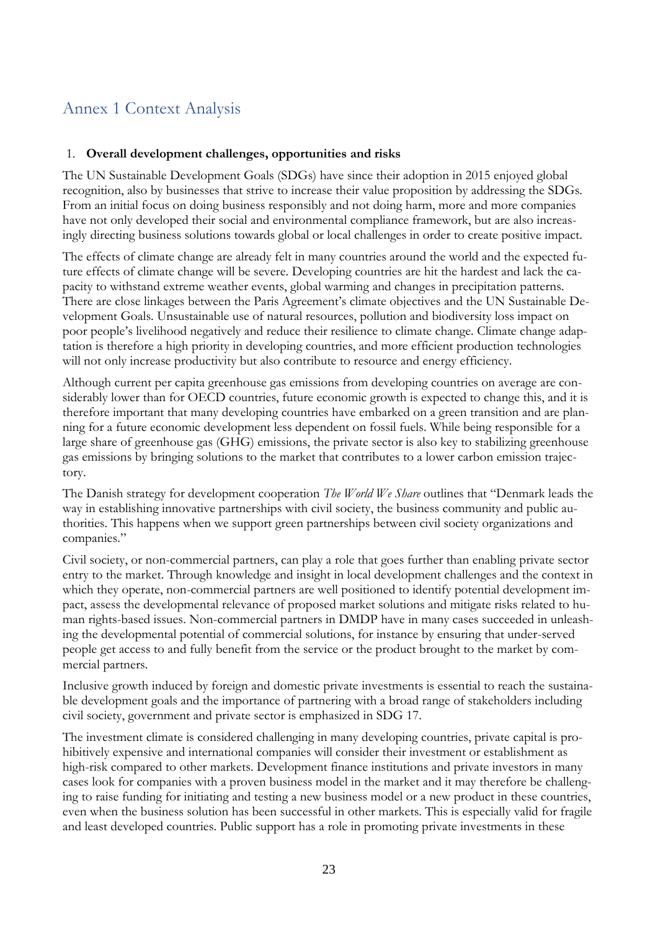## <span id="page-26-0"></span>Annex 1 Context Analysis

### 1. **Overall development challenges, opportunities and risks**

The UN Sustainable Development Goals (SDGs) have since their adoption in 2015 enjoyed global recognition, also by businesses that strive to increase their value proposition by addressing the SDGs. From an initial focus on doing business responsibly and not doing harm, more and more companies have not only developed their social and environmental compliance framework, but are also increasingly directing business solutions towards global or local challenges in order to create positive impact.

The effects of climate change are already felt in many countries around the world and the expected future effects of climate change will be severe. Developing countries are hit the hardest and lack the capacity to withstand extreme weather events, global warming and changes in precipitation patterns. There are close linkages between the Paris Agreement's climate objectives and the UN Sustainable Development Goals. Unsustainable use of natural resources, pollution and biodiversity loss impact on poor people's livelihood negatively and reduce their resilience to climate change. Climate change adaptation is therefore a high priority in developing countries, and more efficient production technologies will not only increase productivity but also contribute to resource and energy efficiency.

Although current per capita greenhouse gas emissions from developing countries on average are considerably lower than for OECD countries, future economic growth is expected to change this, and it is therefore important that many developing countries have embarked on a green transition and are planning for a future economic development less dependent on fossil fuels. While being responsible for a large share of greenhouse gas (GHG) emissions, the private sector is also key to stabilizing greenhouse gas emissions by bringing solutions to the market that contributes to a lower carbon emission trajectory.

The Danish strategy for development cooperation *The World We Share* outlines that "Denmark leads the way in establishing innovative partnerships with civil society, the business community and public authorities. This happens when we support green partnerships between civil society organizations and companies."

Civil society, or non-commercial partners, can play a role that goes further than enabling private sector entry to the market. Through knowledge and insight in local development challenges and the context in which they operate, non-commercial partners are well positioned to identify potential development impact, assess the developmental relevance of proposed market solutions and mitigate risks related to human rights-based issues. Non-commercial partners in DMDP have in many cases succeeded in unleashing the developmental potential of commercial solutions, for instance by ensuring that under-served people get access to and fully benefit from the service or the product brought to the market by commercial partners.

Inclusive growth induced by foreign and domestic private investments is essential to reach the sustainable development goals and the importance of partnering with a broad range of stakeholders including civil society, government and private sector is emphasized in SDG 17.

The investment climate is considered challenging in many developing countries, private capital is prohibitively expensive and international companies will consider their investment or establishment as high-risk compared to other markets. Development finance institutions and private investors in many cases look for companies with a proven business model in the market and it may therefore be challenging to raise funding for initiating and testing a new business model or a new product in these countries, even when the business solution has been successful in other markets. This is especially valid for fragile and least developed countries. Public support has a role in promoting private investments in these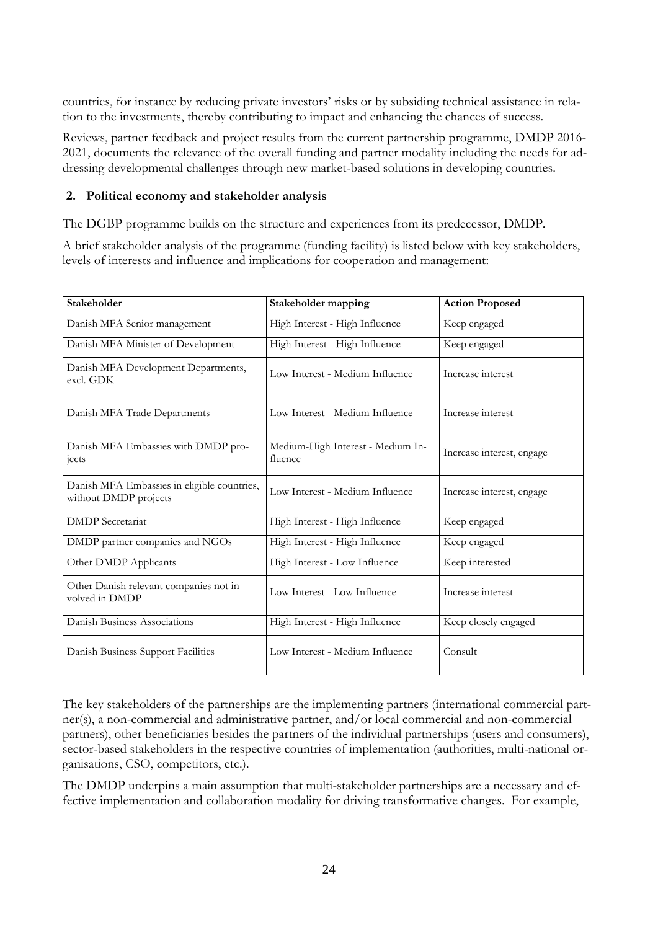countries, for instance by reducing private investors' risks or by subsiding technical assistance in relation to the investments, thereby contributing to impact and enhancing the chances of success.

Reviews, partner feedback and project results from the current partnership programme, DMDP 2016- 2021, documents the relevance of the overall funding and partner modality including the needs for addressing developmental challenges through new market-based solutions in developing countries.

#### **2. Political economy and stakeholder analysis**

The DGBP programme builds on the structure and experiences from its predecessor, DMDP.

A brief stakeholder analysis of the programme (funding facility) is listed below with key stakeholders, levels of interests and influence and implications for cooperation and management:

| Stakeholder                                                          | Stakeholder mapping                          | <b>Action Proposed</b>    |
|----------------------------------------------------------------------|----------------------------------------------|---------------------------|
| Danish MFA Senior management                                         | High Interest - High Influence               | Keep engaged              |
| Danish MFA Minister of Development                                   | High Interest - High Influence               | Keep engaged              |
| Danish MFA Development Departments,<br>excl. GDK                     | Low Interest - Medium Influence              | Increase interest         |
| Danish MFA Trade Departments                                         | Low Interest - Medium Influence              | Increase interest         |
| Danish MFA Embassies with DMDP pro-<br>jects                         | Medium-High Interest - Medium In-<br>fluence | Increase interest, engage |
| Danish MFA Embassies in eligible countries,<br>without DMDP projects | Low Interest - Medium Influence              | Increase interest, engage |
| <b>DMDP</b> Secretariat                                              | High Interest - High Influence               | Keep engaged              |
| DMDP partner companies and NGOs                                      | High Interest - High Influence               | Keep engaged              |
| Other DMDP Applicants                                                | High Interest - Low Influence                | Keep interested           |
| Other Danish relevant companies not in-<br>volved in DMDP            | Low Interest - Low Influence                 | Increase interest         |
| Danish Business Associations                                         | High Interest - High Influence               | Keep closely engaged      |
| Danish Business Support Facilities                                   | Low Interest - Medium Influence              | Consult                   |

The key stakeholders of the partnerships are the implementing partners (international commercial partner(s), a non-commercial and administrative partner, and/or local commercial and non-commercial partners), other beneficiaries besides the partners of the individual partnerships (users and consumers), sector-based stakeholders in the respective countries of implementation (authorities, multi-national organisations, CSO, competitors, etc.).

The DMDP underpins a main assumption that multi-stakeholder partnerships are a necessary and effective implementation and collaboration modality for driving transformative changes. For example,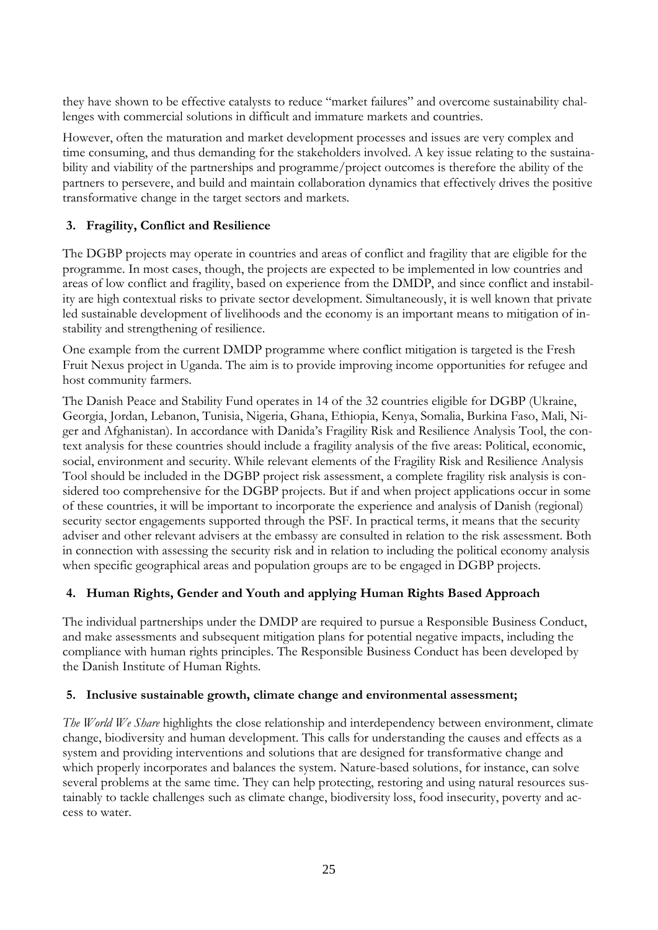they have shown to be effective catalysts to reduce "market failures" and overcome sustainability challenges with commercial solutions in difficult and immature markets and countries.

However, often the maturation and market development processes and issues are very complex and time consuming, and thus demanding for the stakeholders involved. A key issue relating to the sustainability and viability of the partnerships and programme/project outcomes is therefore the ability of the partners to persevere, and build and maintain collaboration dynamics that effectively drives the positive transformative change in the target sectors and markets.

### **3. Fragility, Conflict and Resilience**

The DGBP projects may operate in countries and areas of conflict and fragility that are eligible for the programme. In most cases, though, the projects are expected to be implemented in low countries and areas of low conflict and fragility, based on experience from the DMDP, and since conflict and instability are high contextual risks to private sector development. Simultaneously, it is well known that private led sustainable development of livelihoods and the economy is an important means to mitigation of instability and strengthening of resilience.

One example from the current DMDP programme where conflict mitigation is targeted is the Fresh Fruit Nexus project in Uganda. The aim is to provide improving income opportunities for refugee and host community farmers.

The Danish Peace and Stability Fund operates in 14 of the 32 countries eligible for DGBP (Ukraine, Georgia, Jordan, Lebanon, Tunisia, Nigeria, Ghana, Ethiopia, Kenya, Somalia, Burkina Faso, Mali, Niger and Afghanistan). In accordance with Danida's Fragility Risk and Resilience Analysis Tool, the context analysis for these countries should include a fragility analysis of the five areas: Political, economic, social, environment and security. While relevant elements of the Fragility Risk and Resilience Analysis Tool should be included in the DGBP project risk assessment, a complete fragility risk analysis is considered too comprehensive for the DGBP projects. But if and when project applications occur in some of these countries, it will be important to incorporate the experience and analysis of Danish (regional) security sector engagements supported through the PSF. In practical terms, it means that the security adviser and other relevant advisers at the embassy are consulted in relation to the risk assessment. Both in connection with assessing the security risk and in relation to including the political economy analysis when specific geographical areas and population groups are to be engaged in DGBP projects.

### **4. Human Rights, Gender and Youth and applying Human Rights Based Approach**

The individual partnerships under the DMDP are required to pursue a Responsible Business Conduct, and make assessments and subsequent mitigation plans for potential negative impacts, including the compliance with human rights principles. The Responsible Business Conduct has been developed by the Danish Institute of Human Rights.

### **5. Inclusive sustainable growth, climate change and environmental assessment;**

*The World We Share* highlights the close relationship and interdependency between environment, climate change, biodiversity and human development. This calls for understanding the causes and effects as a system and providing interventions and solutions that are designed for transformative change and which properly incorporates and balances the system. Nature-based solutions, for instance, can solve several problems at the same time. They can help protecting, restoring and using natural resources sustainably to tackle challenges such as climate change, biodiversity loss, food insecurity, poverty and access to water.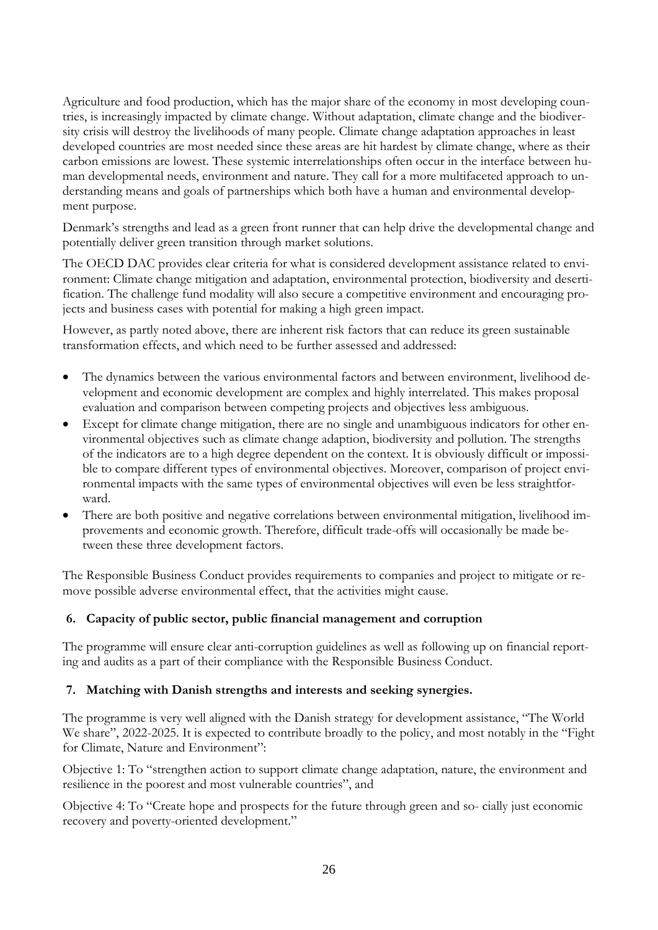Agriculture and food production, which has the major share of the economy in most developing countries, is increasingly impacted by climate change. Without adaptation, climate change and the biodiversity crisis will destroy the livelihoods of many people. Climate change adaptation approaches in least developed countries are most needed since these areas are hit hardest by climate change, where as their carbon emissions are lowest. These systemic interrelationships often occur in the interface between human developmental needs, environment and nature. They call for a more multifaceted approach to understanding means and goals of partnerships which both have a human and environmental development purpose.

Denmark's strengths and lead as a green front runner that can help drive the developmental change and potentially deliver green transition through market solutions.

The OECD DAC provides clear criteria for what is considered development assistance related to environment: Climate change mitigation and adaptation, environmental protection, biodiversity and desertification. The challenge fund modality will also secure a competitive environment and encouraging projects and business cases with potential for making a high green impact.

However, as partly noted above, there are inherent risk factors that can reduce its green sustainable transformation effects, and which need to be further assessed and addressed:

- The dynamics between the various environmental factors and between environment, livelihood development and economic development are complex and highly interrelated. This makes proposal evaluation and comparison between competing projects and objectives less ambiguous.
- Except for climate change mitigation, there are no single and unambiguous indicators for other environmental objectives such as climate change adaption, biodiversity and pollution. The strengths of the indicators are to a high degree dependent on the context. It is obviously difficult or impossible to compare different types of environmental objectives. Moreover, comparison of project environmental impacts with the same types of environmental objectives will even be less straightforward.
- There are both positive and negative correlations between environmental mitigation, livelihood improvements and economic growth. Therefore, difficult trade-offs will occasionally be made between these three development factors.

The Responsible Business Conduct provides requirements to companies and project to mitigate or remove possible adverse environmental effect, that the activities might cause.

### **6. Capacity of public sector, public financial management and corruption**

The programme will ensure clear anti-corruption guidelines as well as following up on financial reporting and audits as a part of their compliance with the Responsible Business Conduct.

#### **7. Matching with Danish strengths and interests and seeking synergies.**

The programme is very well aligned with the Danish strategy for development assistance, "The World We share", 2022-2025. It is expected to contribute broadly to the policy, and most notably in the "Fight" for Climate, Nature and Environment":

Objective 1: To "strengthen action to support climate change adaptation, nature, the environment and resilience in the poorest and most vulnerable countries", and

Objective 4: To "Create hope and prospects for the future through green and so- cially just economic recovery and poverty-oriented development."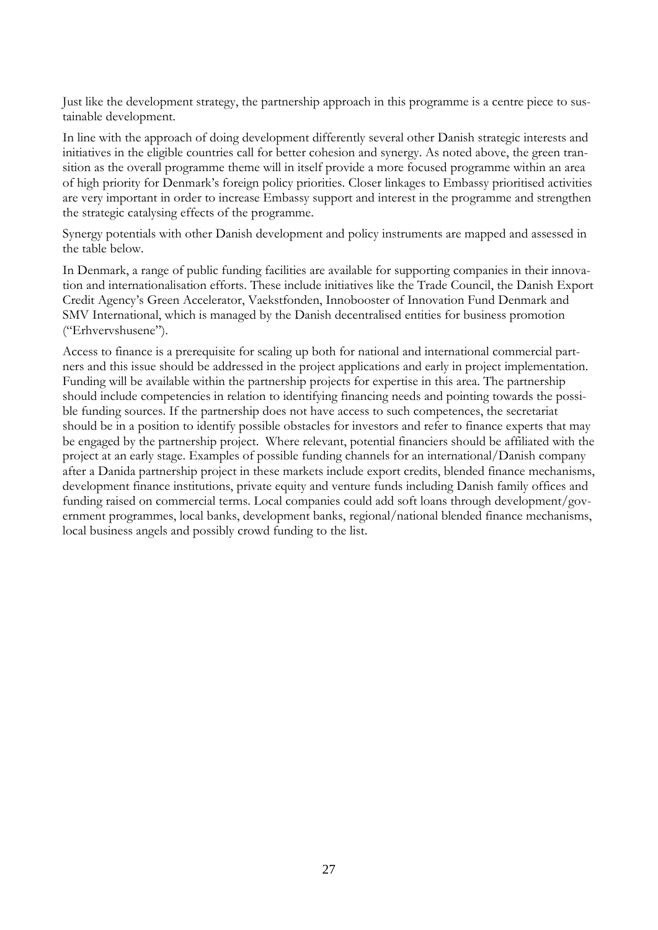Just like the development strategy, the partnership approach in this programme is a centre piece to sustainable development.

In line with the approach of doing development differently several other Danish strategic interests and initiatives in the eligible countries call for better cohesion and synergy. As noted above, the green transition as the overall programme theme will in itself provide a more focused programme within an area of high priority for Denmark's foreign policy priorities. Closer linkages to Embassy prioritised activities are very important in order to increase Embassy support and interest in the programme and strengthen the strategic catalysing effects of the programme.

Synergy potentials with other Danish development and policy instruments are mapped and assessed in the table below.

In Denmark, a range of public funding facilities are available for supporting companies in their innovation and internationalisation efforts. These include initiatives like the Trade Council, the Danish Export Credit Agency's Green Accelerator, Vaekstfonden, Innobooster of Innovation Fund Denmark and SMV International, which is managed by the Danish decentralised entities for business promotion ("Erhvervshusene").

Access to finance is a prerequisite for scaling up both for national and international commercial partners and this issue should be addressed in the project applications and early in project implementation. Funding will be available within the partnership projects for expertise in this area. The partnership should include competencies in relation to identifying financing needs and pointing towards the possible funding sources. If the partnership does not have access to such competences, the secretariat should be in a position to identify possible obstacles for investors and refer to finance experts that may be engaged by the partnership project. Where relevant, potential financiers should be affiliated with the project at an early stage. Examples of possible funding channels for an international/Danish company after a Danida partnership project in these markets include export credits, blended finance mechanisms, development finance institutions, private equity and venture funds including Danish family offices and funding raised on commercial terms. Local companies could add soft loans through development/government programmes, local banks, development banks, regional/national blended finance mechanisms, local business angels and possibly crowd funding to the list.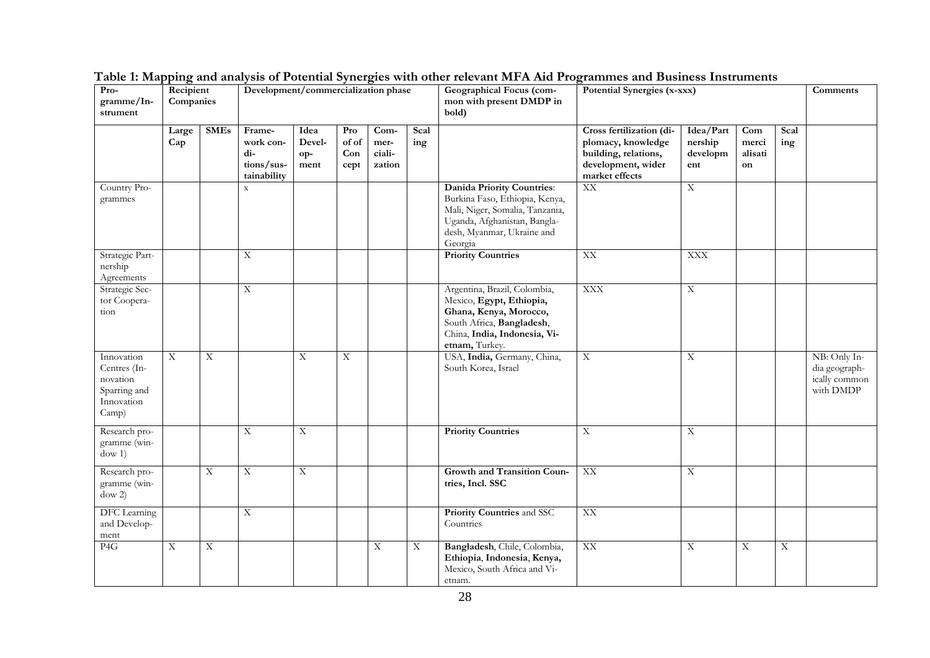| Pro-<br>gramme/In-<br>strument                                                | Recipient<br>Companies  |             |                                                         |                               | Development/commercialization phase<br>Potential Synergies (x-xxx)<br><b>Geographical Focus (com-</b><br>mon with present DMDP in<br>bold) |                                  |             |                                                                                                                                                                                 |                                                                                                                |                                         |                               |             |                                                             |
|-------------------------------------------------------------------------------|-------------------------|-------------|---------------------------------------------------------|-------------------------------|--------------------------------------------------------------------------------------------------------------------------------------------|----------------------------------|-------------|---------------------------------------------------------------------------------------------------------------------------------------------------------------------------------|----------------------------------------------------------------------------------------------------------------|-----------------------------------------|-------------------------------|-------------|-------------------------------------------------------------|
|                                                                               | Large<br>Cap            | <b>SMEs</b> | Frame-<br>work con-<br>di-<br>tions/sus-<br>tainability | Idea<br>Devel-<br>op-<br>ment | Pro<br>of of<br>Con<br>cept                                                                                                                | Com-<br>mer-<br>ciali-<br>zation | Scal<br>ing |                                                                                                                                                                                 | Cross fertilization (di-<br>plomacy, knowledge<br>building, relations,<br>development, wider<br>market effects | Idea/Part<br>nership<br>developm<br>ent | Com<br>merci<br>alisati<br>on | Scal<br>ing |                                                             |
| Country Pro-<br>grammes                                                       |                         |             | $\mathbf X$                                             |                               |                                                                                                                                            |                                  |             | <b>Danida Priority Countries:</b><br>Burkina Faso, Ethiopia, Kenya,<br>Mali, Niger, Somalia, Tanzania,<br>Uganda, Afghanistan, Bangla-<br>desh, Myanmar, Ukraine and<br>Georgia | XX                                                                                                             | $\boldsymbol{\mathrm{X}}$               |                               |             |                                                             |
| Strategic Part-<br>nership<br>Agreements                                      |                         |             | $\overline{\text{X}}$                                   |                               |                                                                                                                                            |                                  |             | <b>Priority Countries</b>                                                                                                                                                       | XX                                                                                                             | <b>XXX</b>                              |                               |             |                                                             |
| Strategic Sec-<br>tor Coopera-<br>tion                                        |                         |             | $\mathbf X$                                             |                               |                                                                                                                                            |                                  |             | Argentina, Brazil, Colombia,<br>Mexico, Egypt, Ethiopia,<br>Ghana, Kenya, Morocco,<br>South Africa, Bangladesh,<br>China, India, Indonesia, Vi-<br>etnam, Turkey.               | <b>XXX</b>                                                                                                     | $\mathbf X$                             |                               |             |                                                             |
| Innovation<br>Centres (In-<br>novation<br>Sparring and<br>Innovation<br>Camp) | $\overline{\mathbf{X}}$ | X           |                                                         | $\overline{\text{X}}$         | $\overline{\mathbf{X}}$                                                                                                                    |                                  |             | USA, India, Germany, China,<br>South Korea, Israel                                                                                                                              | $\mathbf X$                                                                                                    | $\mathbf X$                             |                               |             | NB: Only In-<br>dia geograph-<br>ically common<br>with DMDP |
| Research pro-<br>gramme (win-<br>down 1)                                      |                         |             | $\mathbf X$                                             | $\mathbf X$                   |                                                                                                                                            |                                  |             | <b>Priority Countries</b>                                                                                                                                                       | $\mathbf X$                                                                                                    | $\mathbf X$                             |                               |             |                                                             |
| Research pro-<br>gramme (win-<br>dow 2                                        |                         | X           | $\mathbf X$                                             | X                             |                                                                                                                                            |                                  |             | Growth and Transition Coun-<br>tries, Incl. SSC                                                                                                                                 | XX                                                                                                             | $\mathbf X$                             |                               |             |                                                             |
| <b>DFC</b> Learning<br>and Develop-<br>ment                                   |                         |             | $\overline{\mathbf{X}}$                                 |                               |                                                                                                                                            |                                  |             | Priority Countries and SSC<br>Countries                                                                                                                                         | XX                                                                                                             |                                         |                               |             |                                                             |
| P <sub>4</sub> G                                                              | $\mathbf X$             | X           |                                                         |                               |                                                                                                                                            | X                                | Χ           | Bangladesh, Chile, Colombia,<br>Ethiopia, Indonesia, Kenya,<br>Mexico, South Africa and Vi-<br>etnam.                                                                           | XX                                                                                                             | $\mathbf X$                             | $\mathbf X$                   | X           |                                                             |

**Table 1: Mapping and analysis of Potential Synergies with other relevant MFA Aid Programmes and Business Instruments**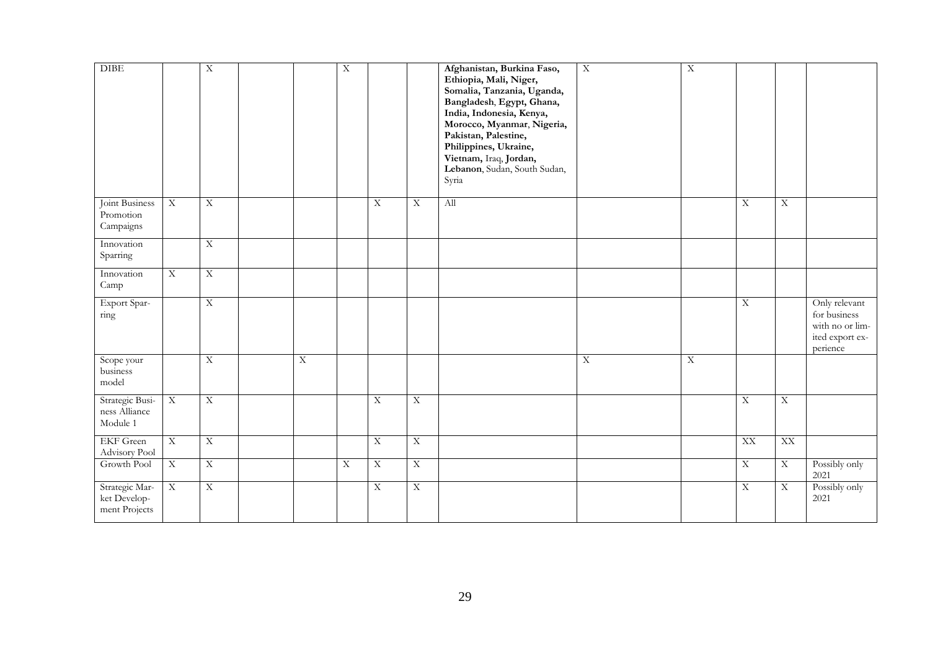| <b>DIBE</b>                                     |                         | $\overline{\textbf{X}}$ |            | $\mathbf X$ |                         |                         | Afghanistan, Burkina Faso,<br>Ethiopia, Mali, Niger,<br>Somalia, Tanzania, Uganda,<br>Bangladesh, Egypt, Ghana,<br>India, Indonesia, Kenya,<br>Morocco, Myanmar, Nigeria,<br>Pakistan, Palestine,<br>Philippines, Ukraine,<br>Vietnam, Iraq, Jordan,<br>Lebanon, Sudan, South Sudan,<br>Syria | $\bold{X}$ | $\overline{\mathbf{X}}$ |                         |                         |                                                                                 |
|-------------------------------------------------|-------------------------|-------------------------|------------|-------------|-------------------------|-------------------------|-----------------------------------------------------------------------------------------------------------------------------------------------------------------------------------------------------------------------------------------------------------------------------------------------|------------|-------------------------|-------------------------|-------------------------|---------------------------------------------------------------------------------|
| Joint Business<br>Promotion<br>Campaigns        | $\overline{X}$          | $\overline{\text{X}}$   |            |             | $\overline{\text{X}}$   | $\mathbf X$             | All                                                                                                                                                                                                                                                                                           |            |                         | $\overline{X}$          | $\overline{\textbf{X}}$ |                                                                                 |
| Innovation<br>Sparring                          |                         | $\overline{X}$          |            |             |                         |                         |                                                                                                                                                                                                                                                                                               |            |                         |                         |                         |                                                                                 |
| Innovation<br>Camp                              | $\overline{\mathbf{X}}$ | $\overline{X}$          |            |             |                         |                         |                                                                                                                                                                                                                                                                                               |            |                         |                         |                         |                                                                                 |
| Export Spar-<br>ring                            |                         | $\overline{\textbf{X}}$ |            |             |                         |                         |                                                                                                                                                                                                                                                                                               |            |                         | $\overline{\mathbf{X}}$ |                         | Only relevant<br>for business<br>with no or lim-<br>ited export ex-<br>perience |
| Scope your<br>business<br>model                 |                         | $\overline{X}$          | $\bold{X}$ |             |                         |                         |                                                                                                                                                                                                                                                                                               | $\bold{X}$ | $\overline{X}$          |                         |                         |                                                                                 |
| Strategic Busi-<br>ness Alliance<br>Module 1    | $\bold{X}$              | $\overline{\textbf{X}}$ |            |             | $\overline{\text{X}}$   | $\mathbf X$             |                                                                                                                                                                                                                                                                                               |            |                         | $\overline{X}$          | $\overline{\mathbf{X}}$ |                                                                                 |
| <b>EKF</b> Green<br>Advisory Pool               | $\overline{X}$          | $\overline{\text{X}}$   |            |             | $\overline{X}$          | $\overline{\textbf{X}}$ |                                                                                                                                                                                                                                                                                               |            |                         | XX                      | XX                      |                                                                                 |
| Growth Pool                                     | $\overline{X}$          | $\overline{X}$          |            | $\mathbf X$ | $\overline{X}$          | $\mathbf X$             |                                                                                                                                                                                                                                                                                               |            |                         | $\overline{\text{X}}$   | $\bold{X}$              | Possibly only<br>2021                                                           |
| Strategic Mar-<br>ket Develop-<br>ment Projects | $\bold{X}$              | $\overline{\textbf{X}}$ |            |             | $\overline{\textbf{X}}$ | $\overline{\mathbf{X}}$ |                                                                                                                                                                                                                                                                                               |            |                         | $\overline{\mathbf{X}}$ | $\overline{\mathbf{X}}$ | Possibly only<br>2021                                                           |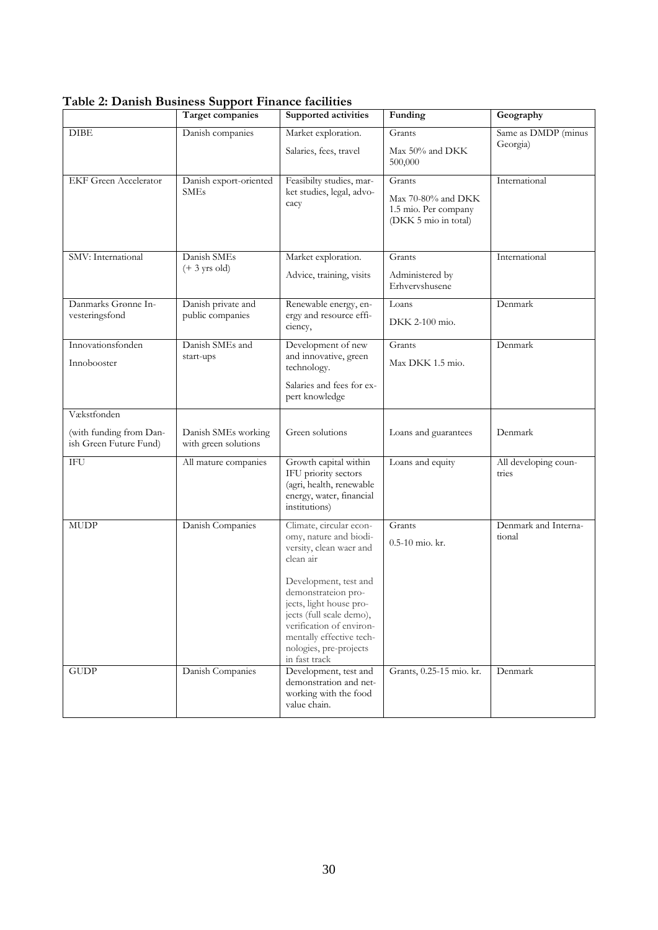|                                                                  | <b>Target companies</b>                     | Supported activities                                                                                                                                                                                                                                                                                | Funding                                                                        | Geography                       |
|------------------------------------------------------------------|---------------------------------------------|-----------------------------------------------------------------------------------------------------------------------------------------------------------------------------------------------------------------------------------------------------------------------------------------------------|--------------------------------------------------------------------------------|---------------------------------|
| <b>DIBE</b>                                                      | Danish companies                            | Market exploration.<br>Salaries, fees, travel                                                                                                                                                                                                                                                       | Grants<br>Max 50% and DKK<br>500,000                                           | Same as DMDP (minus<br>Georgia) |
| <b>EKF</b> Green Accelerator                                     | Danish export-oriented<br><b>SMEs</b>       | Feasibilty studies, mar-<br>ket studies, legal, advo-<br>cacy                                                                                                                                                                                                                                       | Grants<br>$Max 70-80%$ and DKK<br>1.5 mio. Per company<br>(DKK 5 mio in total) | International                   |
| SMV: International                                               | Danish SMEs<br>$(+ 3 \text{ yrs old})$      | Market exploration.<br>Advice, training, visits                                                                                                                                                                                                                                                     | Grants<br>Administered by<br>Erhvervshusene                                    | International                   |
| Danmarks Grønne In-<br>vesteringsfond                            | Danish private and<br>public companies      | Renewable energy, en-<br>ergy and resource effi-<br>ciency,                                                                                                                                                                                                                                         | Loans<br>DKK 2-100 mio.                                                        | Denmark                         |
| Innovationsfonden<br>Innobooster                                 | Danish SMEs and<br>start-ups                | Development of new<br>and innovative, green<br>technology.<br>Salaries and fees for ex-<br>pert knowledge                                                                                                                                                                                           | Grants<br>Max DKK 1.5 mio.                                                     | Denmark                         |
| Vækstfonden<br>(with funding from Dan-<br>ish Green Future Fund) | Danish SMEs working<br>with green solutions | Green solutions                                                                                                                                                                                                                                                                                     | Loans and guarantees                                                           | Denmark                         |
| <b>IFU</b>                                                       | All mature companies                        | Growth capital within<br>IFU priority sectors<br>(agri, health, renewable<br>energy, water, financial<br>institutions)                                                                                                                                                                              | Loans and equity                                                               | All developing coun-<br>tries   |
| <b>MUDP</b>                                                      | Danish Companies                            | Climate, circular econ-<br>omy, nature and biodi-<br>versity, clean waer and<br>clean air<br>Development, test and<br>demonstrateion pro-<br>jects, light house pro-<br>jects (full scale demo),<br>verification of environ-<br>mentally effective tech-<br>nologies, pre-projects<br>in fast track | Grants<br>$0.5-10$ mio. kr.                                                    | Denmark and Interna-<br>tional  |
| <b>GUDP</b>                                                      | Danish Companies                            | Development, test and<br>demonstration and net-<br>working with the food<br>value chain.                                                                                                                                                                                                            | Grants, 0.25-15 mio. kr.                                                       | Denmark                         |

**Table 2: Danish Business Support Finance facilities**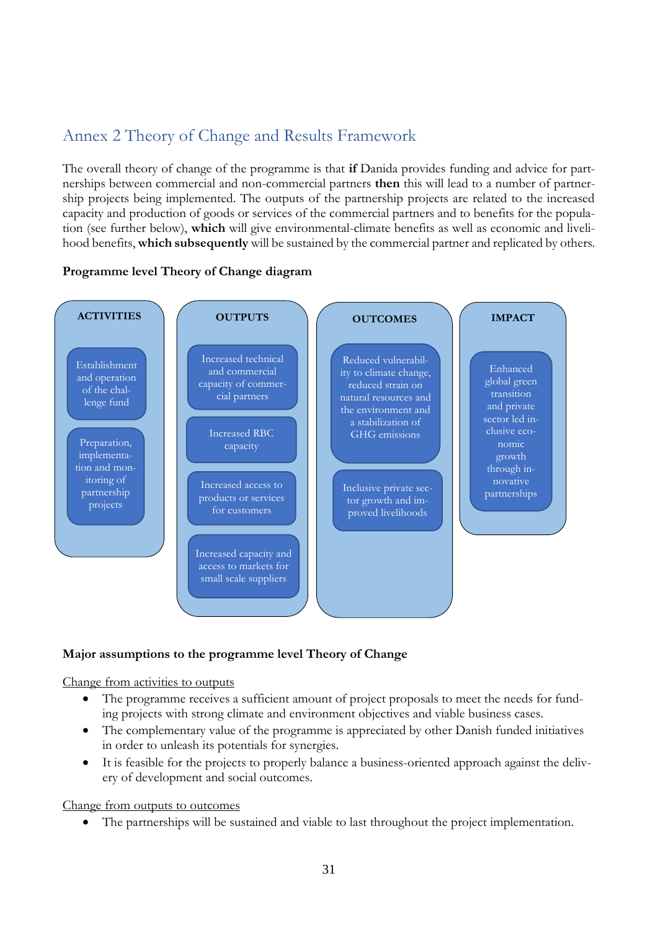### <span id="page-34-0"></span>Annex 2 Theory of Change and Results Framework

The overall theory of change of the programme is that **if** Danida provides funding and advice for partnerships between commercial and non-commercial partners **then** this will lead to a number of partnership projects being implemented. The outputs of the partnership projects are related to the increased capacity and production of goods or services of the commercial partners and to benefits for the population (see further below), **which** will give environmental-climate benefits as well as economic and livelihood benefits, **which subsequently** will be sustained by the commercial partner and replicated by others.



### **Programme level Theory of Change diagram**

### **Major assumptions to the programme level Theory of Change**

#### Change from activities to outputs

- The programme receives a sufficient amount of project proposals to meet the needs for funding projects with strong climate and environment objectives and viable business cases.
- The complementary value of the programme is appreciated by other Danish funded initiatives in order to unleash its potentials for synergies.
- It is feasible for the projects to properly balance a business-oriented approach against the delivery of development and social outcomes.

Change from outputs to outcomes

The partnerships will be sustained and viable to last throughout the project implementation.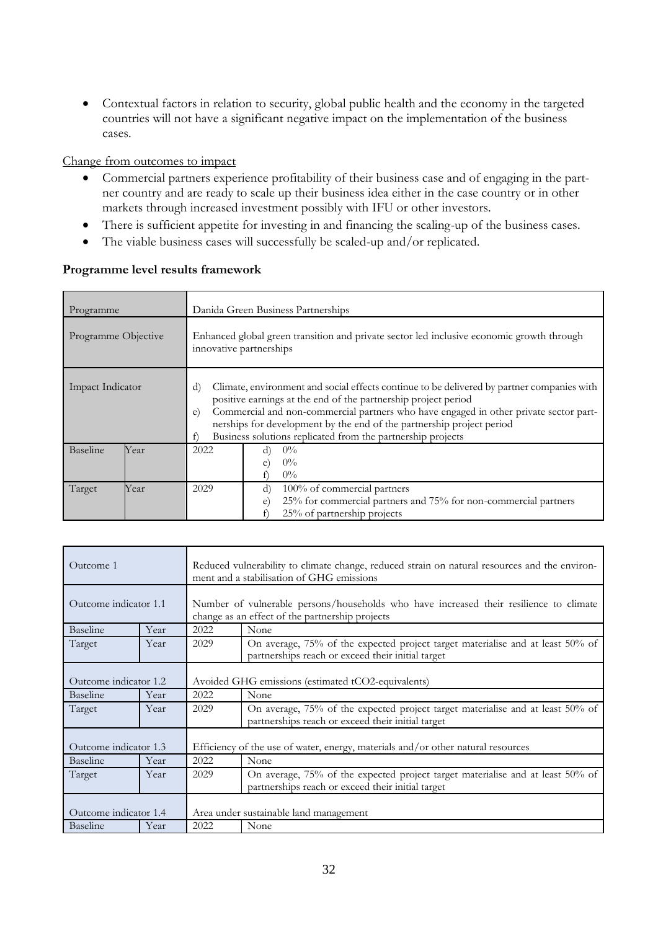Contextual factors in relation to security, global public health and the economy in the targeted countries will not have a significant negative impact on the implementation of the business cases.

Change from outcomes to impact

- Commercial partners experience profitability of their business case and of engaging in the partner country and are ready to scale up their business idea either in the case country or in other markets through increased investment possibly with IFU or other investors.
- There is sufficient appetite for investing in and financing the scaling-up of the business cases.
- The viable business cases will successfully be scaled-up and/or replicated.

### **Programme level results framework**

| Programme           |      | Danida Green Business Partnerships                                                                                                                                                                                                                                                                                                                                                                             |  |  |  |  |  |
|---------------------|------|----------------------------------------------------------------------------------------------------------------------------------------------------------------------------------------------------------------------------------------------------------------------------------------------------------------------------------------------------------------------------------------------------------------|--|--|--|--|--|
| Programme Objective |      | Enhanced global green transition and private sector led inclusive economic growth through<br>innovative partnerships                                                                                                                                                                                                                                                                                           |  |  |  |  |  |
| Impact Indicator    |      | $\rm d$<br>Climate, environment and social effects continue to be delivered by partner companies with<br>positive earnings at the end of the partnership project period<br>Commercial and non-commercial partners who have engaged in other private sector part-<br>e)<br>nerships for development by the end of the partnership project period<br>Business solutions replicated from the partnership projects |  |  |  |  |  |
| <b>Baseline</b>     | Year | 2022<br>$0\%$<br>d)<br>$0\%$<br>e<br>$0\%$                                                                                                                                                                                                                                                                                                                                                                     |  |  |  |  |  |
| Target              | Year | 2029<br>$\rm d$<br>100% of commercial partners<br>25% for commercial partners and 75% for non-commercial partners<br>e<br>25% of partnership projects                                                                                                                                                                                                                                                          |  |  |  |  |  |

| Outcome 1             |      | Reduced vulnerability to climate change, reduced strain on natural resources and the environ-<br>ment and a stabilisation of GHG emissions |                                                                                                                                           |  |  |  |
|-----------------------|------|--------------------------------------------------------------------------------------------------------------------------------------------|-------------------------------------------------------------------------------------------------------------------------------------------|--|--|--|
| Outcome indicator 1.1 |      |                                                                                                                                            | Number of vulnerable persons/households who have increased their resilience to climate<br>change as an effect of the partnership projects |  |  |  |
| Baseline              | Year | 2022                                                                                                                                       | None                                                                                                                                      |  |  |  |
| Target                | Year | 2029                                                                                                                                       | On average, 75% of the expected project target materialise and at least 50% of<br>partnerships reach or exceed their initial target       |  |  |  |
| Outcome indicator 1.2 |      | Avoided GHG emissions (estimated tCO2-equivalents)                                                                                         |                                                                                                                                           |  |  |  |
| <b>Baseline</b>       | Year | 2022                                                                                                                                       | None                                                                                                                                      |  |  |  |
| Target                | Year | 2029                                                                                                                                       | On average, 75% of the expected project target materialise and at least 50% of<br>partnerships reach or exceed their initial target       |  |  |  |
| Outcome indicator 1.3 |      |                                                                                                                                            | Efficiency of the use of water, energy, materials and/or other natural resources                                                          |  |  |  |
| Baseline              | Year | 2022                                                                                                                                       | None                                                                                                                                      |  |  |  |
| Target                | Year | 2029                                                                                                                                       | On average, 75% of the expected project target materialise and at least 50% of<br>partnerships reach or exceed their initial target       |  |  |  |
| Outcome indicator 1.4 |      |                                                                                                                                            | Area under sustainable land management                                                                                                    |  |  |  |
| <b>Baseline</b>       | Year | 2022                                                                                                                                       | None                                                                                                                                      |  |  |  |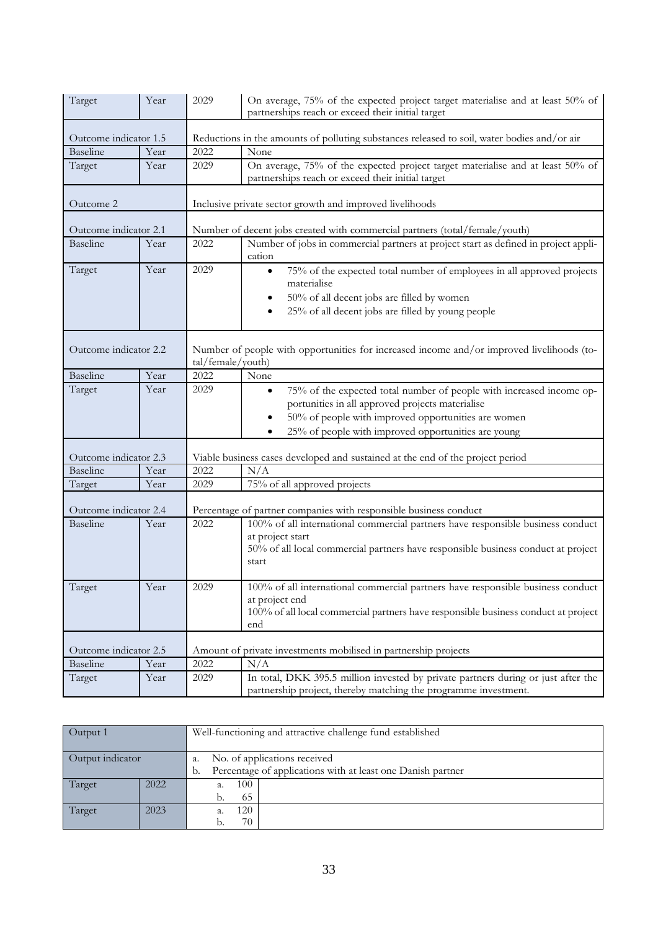| Target                | Year  | 2029              | On average, 75% of the expected project target materialise and at least 50% of<br>partnerships reach or exceed their initial target                                                                                                                 |  |  |  |  |  |
|-----------------------|-------|-------------------|-----------------------------------------------------------------------------------------------------------------------------------------------------------------------------------------------------------------------------------------------------|--|--|--|--|--|
| Outcome indicator 1.5 |       |                   | Reductions in the amounts of polluting substances released to soil, water bodies and/or air                                                                                                                                                         |  |  |  |  |  |
| <b>Baseline</b>       | Year  | 2022              | None                                                                                                                                                                                                                                                |  |  |  |  |  |
| Target                | Year  | 2029              | On average, 75% of the expected project target materialise and at least 50% of<br>partnerships reach or exceed their initial target                                                                                                                 |  |  |  |  |  |
| Outcome 2             |       |                   | Inclusive private sector growth and improved livelihoods                                                                                                                                                                                            |  |  |  |  |  |
| Outcome indicator 2.1 |       |                   | Number of decent jobs created with commercial partners (total/female/youth)                                                                                                                                                                         |  |  |  |  |  |
| <b>Baseline</b>       | Year  | 2022              | Number of jobs in commercial partners at project start as defined in project appli-<br>cation                                                                                                                                                       |  |  |  |  |  |
| Target                | Year  | 2029              | 75% of the expected total number of employees in all approved projects<br>$\bullet$<br>materialise<br>50% of all decent jobs are filled by women<br>25% of all decent jobs are filled by young people                                               |  |  |  |  |  |
| Outcome indicator 2.2 |       | tal/female/youth) | Number of people with opportunities for increased income and/or improved livelihoods (to-                                                                                                                                                           |  |  |  |  |  |
| <b>Baseline</b>       | Year  | 2022              | None                                                                                                                                                                                                                                                |  |  |  |  |  |
| Target                | Year  | 2029              | 75% of the expected total number of people with increased income op-<br>$\bullet$<br>portunities in all approved projects materialise<br>50% of people with improved opportunities are women<br>25% of people with improved opportunities are young |  |  |  |  |  |
| Outcome indicator 2.3 |       |                   | Viable business cases developed and sustained at the end of the project period                                                                                                                                                                      |  |  |  |  |  |
| <b>Baseline</b>       | Year  | 2022              | N/A                                                                                                                                                                                                                                                 |  |  |  |  |  |
| Target                | Year  | 2029              | 75% of all approved projects                                                                                                                                                                                                                        |  |  |  |  |  |
|                       |       |                   |                                                                                                                                                                                                                                                     |  |  |  |  |  |
| Outcome indicator 2.4 |       |                   | Percentage of partner companies with responsible business conduct                                                                                                                                                                                   |  |  |  |  |  |
| <b>Baseline</b>       | Year  | 2022              | 100% of all international commercial partners have responsible business conduct<br>at project start<br>50% of all local commercial partners have responsible business conduct at project<br>start                                                   |  |  |  |  |  |
| Target                | Y ear | 2029              | 100% of all international commercial partners have responsible business conduct<br>at project end<br>100% of all local commercial partners have responsible business conduct at project<br>end                                                      |  |  |  |  |  |
| Outcome indicator 2.5 |       |                   | Amount of private investments mobilised in partnership projects                                                                                                                                                                                     |  |  |  |  |  |
| Baseline              | Year  | 2022              | N/A                                                                                                                                                                                                                                                 |  |  |  |  |  |
| Target                | Year  | 2029              | In total, DKK 395.5 million invested by private partners during or just after the<br>partnership project, thereby matching the programme investment.                                                                                                |  |  |  |  |  |

| Output 1         |      | Well-functioning and attractive challenge fund established        |  |  |  |  |
|------------------|------|-------------------------------------------------------------------|--|--|--|--|
|                  |      |                                                                   |  |  |  |  |
| Output indicator |      | No. of applications received<br>а.                                |  |  |  |  |
|                  |      | Percentage of applications with at least one Danish partner<br>b. |  |  |  |  |
| Target           | 2022 | 100<br>а.                                                         |  |  |  |  |
|                  |      | 65                                                                |  |  |  |  |
| Target           | 2023 | 20                                                                |  |  |  |  |
|                  |      | 70<br>b.                                                          |  |  |  |  |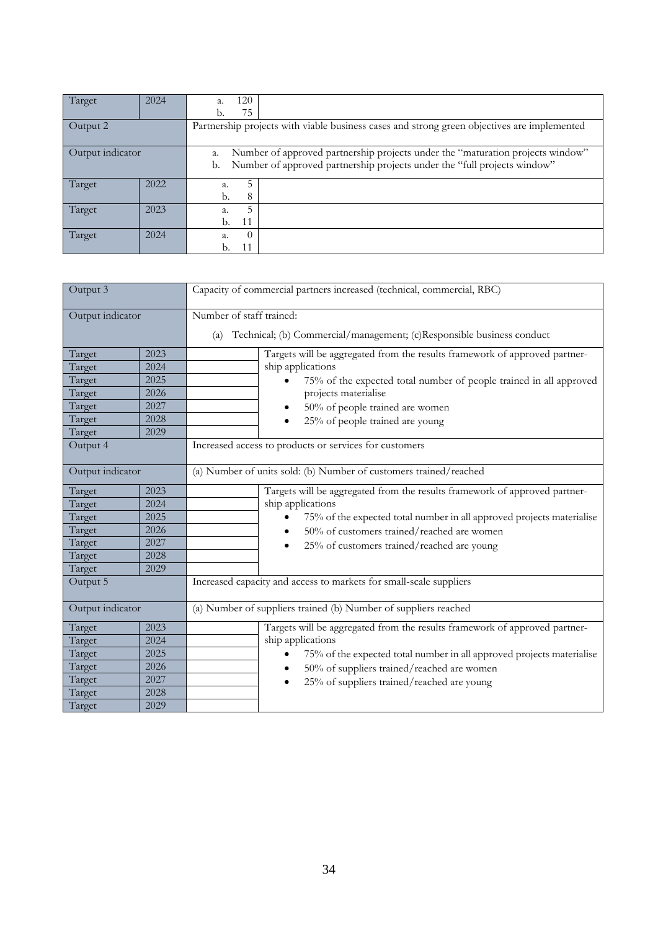| Target           | 2024 | 120<br>a.                                                                                                                                                              |  |  |  |  |
|------------------|------|------------------------------------------------------------------------------------------------------------------------------------------------------------------------|--|--|--|--|
|                  |      | 75                                                                                                                                                                     |  |  |  |  |
| Output 2         |      | Partnership projects with viable business cases and strong green objectives are implemented                                                                            |  |  |  |  |
| Output indicator |      | Number of approved partnership projects under the "maturation projects window"<br>a.<br>Number of approved partnership projects under the "full projects window"<br>b. |  |  |  |  |
| Target           | 2022 | a.<br>8<br>b.                                                                                                                                                          |  |  |  |  |
| Target           | 2023 | a.<br>11<br>b.                                                                                                                                                         |  |  |  |  |
| Target           | 2024 | a.<br>$\theta$                                                                                                                                                         |  |  |  |  |

| Output 3         |      | Capacity of commercial partners increased (technical, commercial, RBC)       |  |  |  |  |  |  |
|------------------|------|------------------------------------------------------------------------------|--|--|--|--|--|--|
| Output indicator |      | Number of staff trained:                                                     |  |  |  |  |  |  |
|                  |      | Technical; (b) Commercial/management; (c)Responsible business conduct<br>(a) |  |  |  |  |  |  |
| Target           | 2023 | Targets will be aggregated from the results framework of approved partner-   |  |  |  |  |  |  |
| Target           | 2024 | ship applications                                                            |  |  |  |  |  |  |
| Target           | 2025 | 75% of the expected total number of people trained in all approved           |  |  |  |  |  |  |
| Target           | 2026 | projects materialise                                                         |  |  |  |  |  |  |
| Target           | 2027 | 50% of people trained are women<br>$\bullet$                                 |  |  |  |  |  |  |
| Target           | 2028 | 25% of people trained are young<br>٠                                         |  |  |  |  |  |  |
| Target           | 2029 |                                                                              |  |  |  |  |  |  |
| Output 4         |      | Increased access to products or services for customers                       |  |  |  |  |  |  |
| Output indicator |      | (a) Number of units sold: (b) Number of customers trained/reached            |  |  |  |  |  |  |
| Target           | 2023 | Targets will be aggregated from the results framework of approved partner-   |  |  |  |  |  |  |
| Target           | 2024 | ship applications                                                            |  |  |  |  |  |  |
| Target           | 2025 | 75% of the expected total number in all approved projects materialise        |  |  |  |  |  |  |
| Target           | 2026 | 50% of customers trained/reached are women<br>$\bullet$                      |  |  |  |  |  |  |
| Target           | 2027 | 25% of customers trained/reached are young                                   |  |  |  |  |  |  |
| Target           | 2028 |                                                                              |  |  |  |  |  |  |
| Target           | 2029 |                                                                              |  |  |  |  |  |  |
| Output 5         |      | Increased capacity and access to markets for small-scale suppliers           |  |  |  |  |  |  |
| Output indicator |      | (a) Number of suppliers trained (b) Number of suppliers reached              |  |  |  |  |  |  |
| Target           | 2023 | Targets will be aggregated from the results framework of approved partner-   |  |  |  |  |  |  |
| Target           | 2024 | ship applications                                                            |  |  |  |  |  |  |
| Target           | 2025 | 75% of the expected total number in all approved projects materialise        |  |  |  |  |  |  |
| Target           | 2026 | 50% of suppliers trained/reached are women<br>$\bullet$                      |  |  |  |  |  |  |
| Target           | 2027 | 25% of suppliers trained/reached are young<br>٠                              |  |  |  |  |  |  |
| Target           | 2028 |                                                                              |  |  |  |  |  |  |
| Target           | 2029 |                                                                              |  |  |  |  |  |  |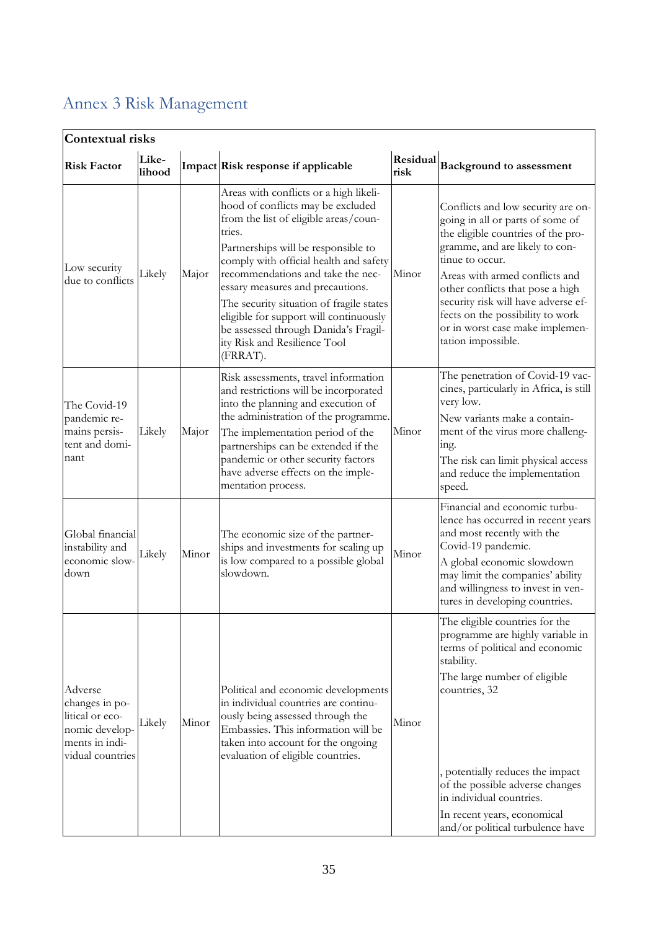|                                                                                                      | Contextual risks |       |                                                                                                                                                                                                                                                                                                                                                                                                                                                                    |                  |                                                                                                                                                                                                                                                                                                                                                                             |  |  |  |  |
|------------------------------------------------------------------------------------------------------|------------------|-------|--------------------------------------------------------------------------------------------------------------------------------------------------------------------------------------------------------------------------------------------------------------------------------------------------------------------------------------------------------------------------------------------------------------------------------------------------------------------|------------------|-----------------------------------------------------------------------------------------------------------------------------------------------------------------------------------------------------------------------------------------------------------------------------------------------------------------------------------------------------------------------------|--|--|--|--|
| <b>Risk Factor</b>                                                                                   | Like-<br>lihood  |       | Impact Risk response if applicable                                                                                                                                                                                                                                                                                                                                                                                                                                 | Residual<br>risk | <b>Background to assessment</b>                                                                                                                                                                                                                                                                                                                                             |  |  |  |  |
| Low security<br>due to conflicts                                                                     | Likely           | Major | Areas with conflicts or a high likeli-<br>hood of conflicts may be excluded<br>from the list of eligible areas/coun-<br>tries.<br>Partnerships will be responsible to<br>comply with official health and safety<br>recommendations and take the nec-<br>essary measures and precautions.<br>The security situation of fragile states<br>eligible for support will continuously<br>be assessed through Danida's Fragil-<br>ity Risk and Resilience Tool<br>(FRRAT). | Minor            | Conflicts and low security are on-<br>going in all or parts of some of<br>the eligible countries of the pro-<br>gramme, and are likely to con-<br>tinue to occur.<br>Areas with armed conflicts and<br>other conflicts that pose a high<br>security risk will have adverse ef-<br>fects on the possibility to work<br>or in worst case make implemen-<br>tation impossible. |  |  |  |  |
| The Covid-19<br>pandemic re-<br>mains persis-<br>tent and domi-<br>nant                              | Likely           | Major | Risk assessments, travel information<br>and restrictions will be incorporated<br>into the planning and execution of<br>the administration of the programme.<br>The implementation period of the<br>partnerships can be extended if the<br>pandemic or other security factors<br>have adverse effects on the imple-<br>mentation process.                                                                                                                           | Minor            | The penetration of Covid-19 vac-<br>cines, particularly in Africa, is still<br>very low.<br>New variants make a contain-<br>ment of the virus more challeng-<br>ing.<br>The risk can limit physical access<br>and reduce the implementation<br>speed.                                                                                                                       |  |  |  |  |
| Global financial<br>instability and<br>economic slow-<br>down                                        | Likely           | Minor | The economic size of the partner-<br>ships and investments for scaling up<br>is low compared to a possible global<br>slowdown.                                                                                                                                                                                                                                                                                                                                     | Minor            | Financial and economic turbu-<br>lence has occurred in recent years<br>and most recently with the<br>Covid-19 pandemic.<br>A global economic slowdown<br>may limit the companies' ability<br>and willingness to invest in ven-<br>tures in developing countries.                                                                                                            |  |  |  |  |
| Adverse<br>changes in po-<br>litical or eco-<br>nomic develop-<br>ments in indi-<br>vidual countries | Likely           | Minor | Political and economic developments<br>in individual countries are continu-<br>ously being assessed through the<br>Embassies. This information will be<br>taken into account for the ongoing<br>evaluation of eligible countries.                                                                                                                                                                                                                                  | Minor            | The eligible countries for the<br>programme are highly variable in<br>terms of political and economic<br>stability.<br>The large number of eligible<br>countries, 32<br>, potentially reduces the impact<br>of the possible adverse changes<br>in individual countries.<br>In recent years, economical<br>and/or political turbulence have                                  |  |  |  |  |

## <span id="page-38-0"></span>Annex 3 Risk Management

 $\overline{\phantom{a}}$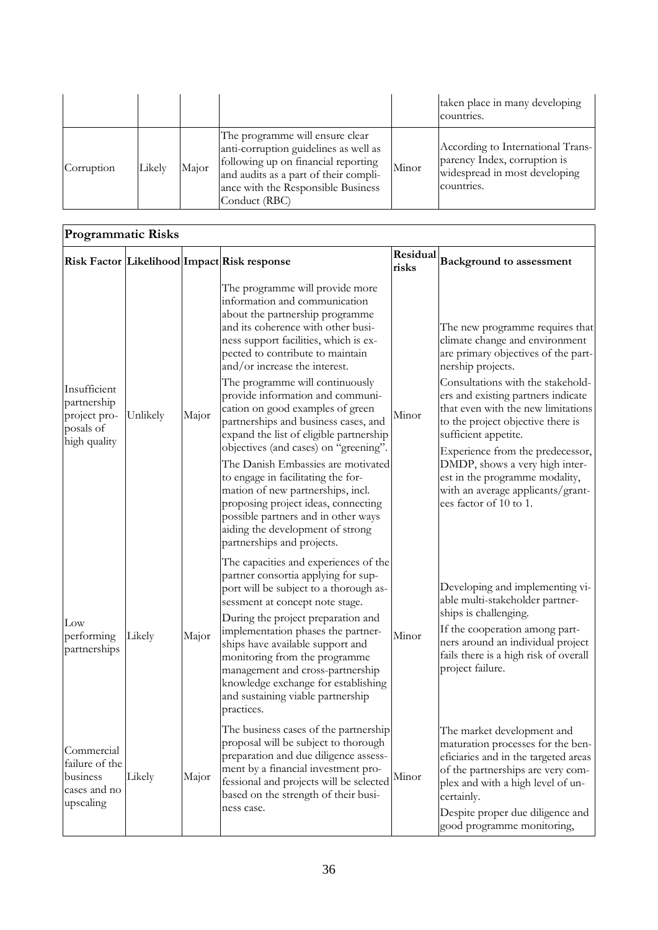|            |        |       |                                                                                                                                                                                                                 |       | taken place in many developing<br>countries.                                                                     |
|------------|--------|-------|-----------------------------------------------------------------------------------------------------------------------------------------------------------------------------------------------------------------|-------|------------------------------------------------------------------------------------------------------------------|
| Corruption | Likely | Major | The programme will ensure clear<br>anti-corruption guidelines as well as<br>following up on financial reporting<br>and audits as a part of their compli-<br>ance with the Responsible Business<br>Conduct (RBC) | Minor | According to International Trans-<br>parency Index, corruption is<br>widespread in most developing<br>countries. |

| <b>Programmatic Risks</b>                                                |          |       |                                                                                                                                                                                                                                                                                                                                                                                                                                                                                                                                                                                                                                                                                                                                                                 |                   |                                                                                                                                                                                                                                                                                                                                                                                                                                                                                    |  |  |  |
|--------------------------------------------------------------------------|----------|-------|-----------------------------------------------------------------------------------------------------------------------------------------------------------------------------------------------------------------------------------------------------------------------------------------------------------------------------------------------------------------------------------------------------------------------------------------------------------------------------------------------------------------------------------------------------------------------------------------------------------------------------------------------------------------------------------------------------------------------------------------------------------------|-------------------|------------------------------------------------------------------------------------------------------------------------------------------------------------------------------------------------------------------------------------------------------------------------------------------------------------------------------------------------------------------------------------------------------------------------------------------------------------------------------------|--|--|--|
|                                                                          |          |       | Risk Factor Likelihood Impact Risk response                                                                                                                                                                                                                                                                                                                                                                                                                                                                                                                                                                                                                                                                                                                     | Residual<br>risks | <b>Background to assessment</b>                                                                                                                                                                                                                                                                                                                                                                                                                                                    |  |  |  |
| Insufficient<br>partnership<br>project pro-<br>posals of<br>high quality | Unlikely | Major | The programme will provide more<br>information and communication<br>about the partnership programme<br>and its coherence with other busi-<br>ness support facilities, which is ex-<br>pected to contribute to maintain<br>and/or increase the interest.<br>The programme will continuously<br>provide information and communi-<br>cation on good examples of green<br>partnerships and business cases, and<br>expand the list of eligible partnership<br>objectives (and cases) on "greening".<br>The Danish Embassies are motivated<br>to engage in facilitating the for-<br>mation of new partnerships, incl.<br>proposing project ideas, connecting<br>possible partners and in other ways<br>aiding the development of strong<br>partnerships and projects. | Minor             | The new programme requires that<br>climate change and environment<br>are primary objectives of the part-<br>nership projects.<br>Consultations with the stakehold-<br>ers and existing partners indicate<br>that even with the new limitations<br>to the project objective there is<br>sufficient appetite.<br>Experience from the predecessor,<br>DMDP, shows a very high inter-<br>est in the programme modality,<br>with an average applicants/grant-<br>ees factor of 10 to 1. |  |  |  |
| $_{\text{Low}}$<br>performing<br>partnerships                            | Likely   | Major | The capacities and experiences of the<br>partner consortia applying for sup-<br>port will be subject to a thorough as-<br>sessment at concept note stage.<br>During the project preparation and<br>implementation phases the partner-<br>ships have available support and<br>monitoring from the programme<br>management and cross-partnership<br>knowledge exchange for establishing<br>and sustaining viable partnership<br>practices.                                                                                                                                                                                                                                                                                                                        | Minor             | Developing and implementing vi-<br>able multi-stakeholder partner-<br>ships is challenging.<br>If the cooperation among part-<br>ners around an individual project<br>fails there is a high risk of overall<br>project failure.                                                                                                                                                                                                                                                    |  |  |  |
| Commercial<br>failure of the<br>business<br>cases and no<br>upscaling    | Likely   | Major | The business cases of the partnership<br>proposal will be subject to thorough<br>preparation and due diligence assess-<br>ment by a financial investment pro-<br>fessional and projects will be selected<br>based on the strength of their busi-<br>ness case.                                                                                                                                                                                                                                                                                                                                                                                                                                                                                                  | Minor             | The market development and<br>maturation processes for the ben-<br>eficiaries and in the targeted areas<br>of the partnerships are very com-<br>plex and with a high level of un-<br>certainly.<br>Despite proper due diligence and<br>good programme monitoring,                                                                                                                                                                                                                  |  |  |  |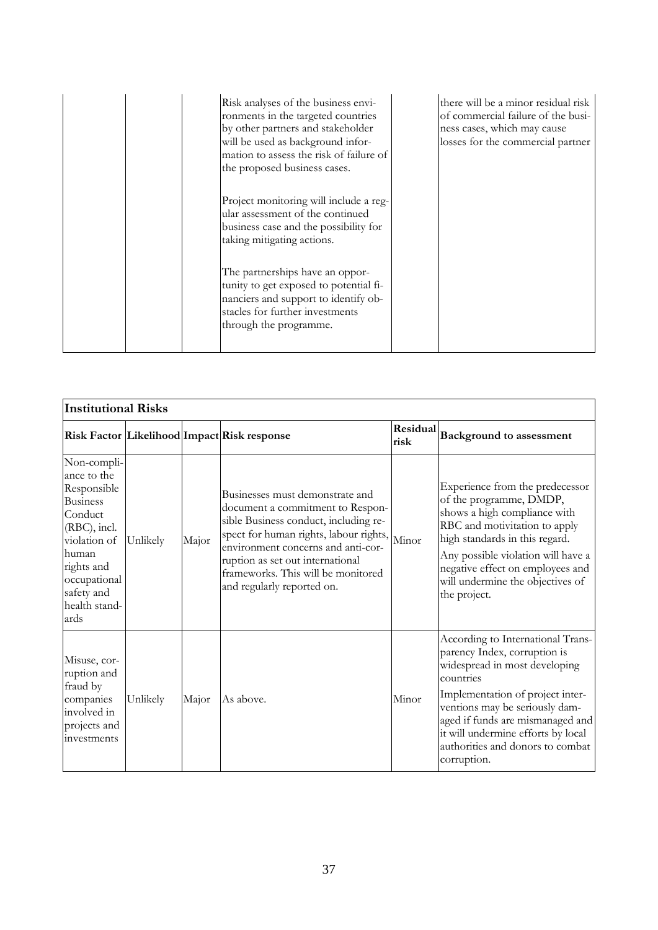| Risk analyses of the business envi-<br>ronments in the targeted countries<br>by other partners and stakeholder<br>will be used as background infor-<br>mation to assess the risk of failure of<br>the proposed business cases. | there will be a minor residual risk<br>of commercial failure of the busi-<br>ness cases, which may cause<br>losses for the commercial partner |
|--------------------------------------------------------------------------------------------------------------------------------------------------------------------------------------------------------------------------------|-----------------------------------------------------------------------------------------------------------------------------------------------|
| Project monitoring will include a reg-<br>ular assessment of the continued<br>business case and the possibility for<br>taking mitigating actions.                                                                              |                                                                                                                                               |
| The partnerships have an oppor-<br>tunity to get exposed to potential fi-<br>nanciers and support to identify ob-<br>stacles for further investments<br>through the programme.                                                 |                                                                                                                                               |

| <b>Institutional Risks</b>                                                                                                                                                            |          |       |                                                                                                                                                                                                                                                                                                      |       |                                                                                                                                                                                                                                                                                                                    |
|---------------------------------------------------------------------------------------------------------------------------------------------------------------------------------------|----------|-------|------------------------------------------------------------------------------------------------------------------------------------------------------------------------------------------------------------------------------------------------------------------------------------------------------|-------|--------------------------------------------------------------------------------------------------------------------------------------------------------------------------------------------------------------------------------------------------------------------------------------------------------------------|
|                                                                                                                                                                                       |          |       | Risk Factor Likelihood Impact Risk response                                                                                                                                                                                                                                                          |       | Residual Background to assessment                                                                                                                                                                                                                                                                                  |
| Non-compli-<br>ance to the<br>Responsible<br><b>Business</b><br>Conduct<br>(RBC), incl.<br>violation of<br>human<br>rights and<br>occupational<br>safety and<br>health stand-<br>ards | Unlikely | Major | Businesses must demonstrate and<br>document a commitment to Respon-<br>sible Business conduct, including re-<br>spect for human rights, labour rights,<br>environment concerns and anti-cor-<br>ruption as set out international<br>frameworks. This will be monitored<br>and regularly reported on. | Minor | Experience from the predecessor<br>of the programme, DMDP,<br>shows a high compliance with<br>RBC and motivitation to apply<br>high standards in this regard.<br>Any possible violation will have a<br>negative effect on employees and<br>will undermine the objectives of<br>the project.                        |
| Misuse, cor-<br>ruption and<br>fraud by<br>companies<br>involved in<br>projects and<br>investments                                                                                    | Unlikely | Major | As above.                                                                                                                                                                                                                                                                                            | Minor | According to International Trans-<br>parency Index, corruption is<br>widespread in most developing<br>countries<br>Implementation of project inter-<br>ventions may be seriously dam-<br>aged if funds are mismanaged and<br>it will undermine efforts by local<br>authorities and donors to combat<br>corruption. |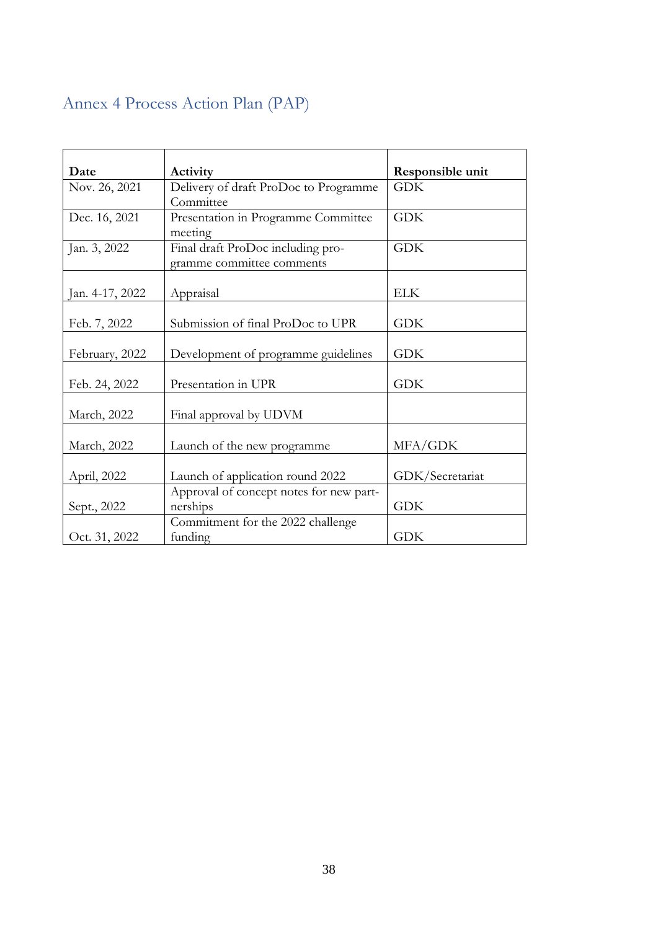## <span id="page-41-0"></span>Annex 4 Process Action Plan (PAP)

| Date            | Activity                                | Responsible unit |
|-----------------|-----------------------------------------|------------------|
| Nov. 26, 2021   | Delivery of draft ProDoc to Programme   | <b>GDK</b>       |
|                 | Committee                               |                  |
| Dec. 16, 2021   | Presentation in Programme Committee     | <b>GDK</b>       |
|                 | meeting                                 |                  |
| Jan. 3, 2022    | Final draft ProDoc including pro-       | <b>GDK</b>       |
|                 | gramme committee comments               |                  |
|                 |                                         |                  |
| Jan. 4-17, 2022 | Appraisal                               | <b>ELK</b>       |
|                 |                                         |                  |
| Feb. 7, 2022    | Submission of final ProDoc to UPR       | <b>GDK</b>       |
|                 |                                         |                  |
| February, 2022  | Development of programme guidelines     | <b>GDK</b>       |
|                 |                                         |                  |
| Feb. 24, 2022   | Presentation in UPR                     | <b>GDK</b>       |
|                 |                                         |                  |
| March, 2022     | Final approval by UDVM                  |                  |
|                 |                                         |                  |
| March, 2022     | Launch of the new programme             | MFA/GDK          |
|                 |                                         |                  |
| April, 2022     | Launch of application round 2022        | GDK/Secretariat  |
|                 | Approval of concept notes for new part- |                  |
| Sept., 2022     | nerships                                | <b>GDK</b>       |
|                 | Commitment for the 2022 challenge       |                  |
| Oct. 31, 2022   | funding                                 | <b>GDK</b>       |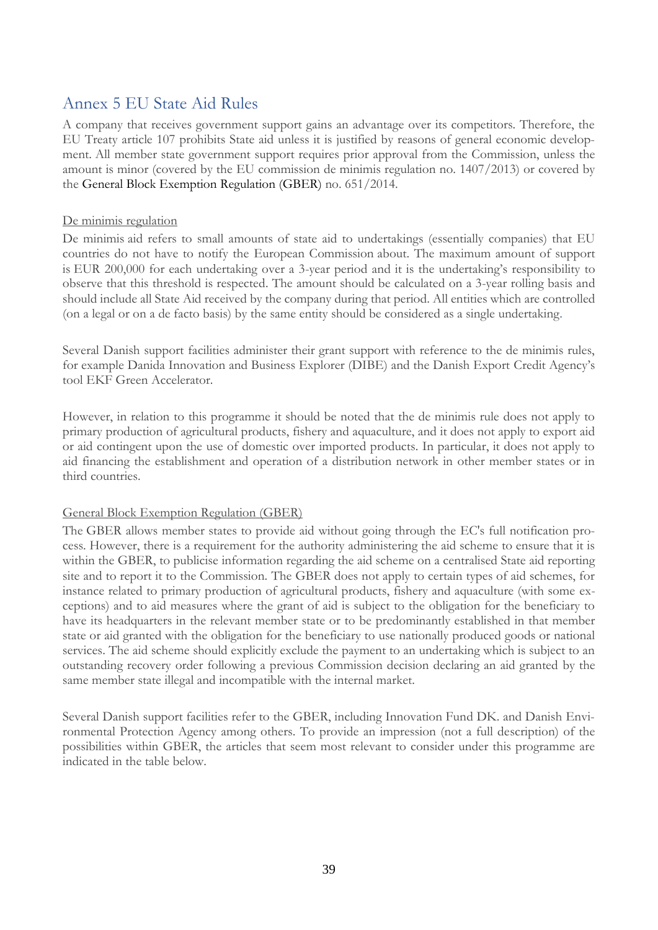### <span id="page-42-0"></span>Annex 5 EU State Aid Rules

A company that receives government support gains an advantage over its competitors. Therefore, the EU Treaty article 107 prohibits State aid unless it is justified by reasons of general economic development. All member state government support requires prior approval from the Commission, unless the amount is minor (covered by the EU commission de minimis regulation no. 1407/2013) or covered by the General Block Exemption Regulation (GBER) no. 651/2014.

#### De minimis regulation

De minimis aid refers to small amounts of state aid to undertakings (essentially companies) that EU countries do not have to notify the European Commission about. The maximum amount of support is EUR 200,000 for each undertaking over a 3-year period and it is the undertaking's responsibility to observe that this threshold is respected. The amount should be calculated on a 3-year rolling basis and should include all State Aid received by the company during that period. All entities which are controlled (on a legal or on a de facto basis) by the same entity should be considered as a single undertaking.

Several Danish support facilities administer their grant support with reference to the de minimis rules, for example Danida Innovation and Business Explorer (DIBE) and the Danish Export Credit Agency's tool EKF Green Accelerator.

However, in relation to this programme it should be noted that the de minimis rule does not apply to primary production of agricultural products, fishery and aquaculture, and it does not apply to export aid or aid contingent upon the use of domestic over imported products. In particular, it does not apply to aid financing the establishment and operation of a distribution network in other member states or in third countries.

#### General Block Exemption Regulation (GBER)

The GBER allows member states to provide aid without going through the EC's full notification process. However, there is a requirement for the authority administering the aid scheme to ensure that it is within the GBER, to publicise information regarding the aid scheme on a centralised State aid reporting site and to report it to the Commission. The GBER does not apply to certain types of aid schemes, for instance related to primary production of agricultural products, fishery and aquaculture (with some exceptions) and to aid measures where the grant of aid is subject to the obligation for the beneficiary to have its headquarters in the relevant member state or to be predominantly established in that member state or aid granted with the obligation for the beneficiary to use nationally produced goods or national services. The aid scheme should explicitly exclude the payment to an undertaking which is subject to an outstanding recovery order following a previous Commission decision declaring an aid granted by the same member state illegal and incompatible with the internal market.

Several Danish support facilities refer to the GBER, including Innovation Fund DK. and Danish Environmental Protection Agency among others. To provide an impression (not a full description) of the possibilities within GBER, the articles that seem most relevant to consider under this programme are indicated in the table below.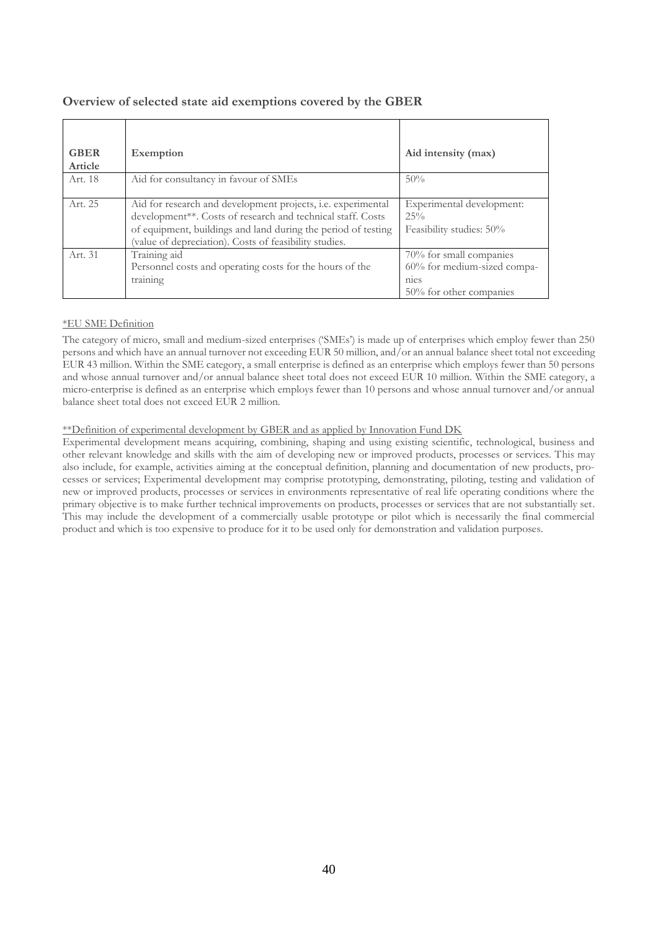| <b>GBER</b> | Exemption                                                     | Aid intensity (max)         |
|-------------|---------------------------------------------------------------|-----------------------------|
| Article     |                                                               |                             |
| Art. 18     | Aid for consultancy in favour of SMEs                         | 50%                         |
|             |                                                               |                             |
|             |                                                               |                             |
| Art. 25     | Aid for research and development projects, i.e. experimental  | Experimental development:   |
|             | development**. Costs of research and technical staff. Costs   | 25%                         |
|             | of equipment, buildings and land during the period of testing | Feasibility studies: 50%    |
|             | (value of depreciation). Costs of feasibility studies.        |                             |
| Art. 31     | Training aid                                                  | 70% for small companies     |
|             | Personnel costs and operating costs for the hours of the      | 60% for medium-sized compa- |
|             | training                                                      | mes                         |
|             |                                                               | 50% for other companies     |

#### **Overview of selected state aid exemptions covered by the GBER**

#### \*EU SME Definition

The category of micro, small and medium-sized enterprises ('SMEs') is made up of enterprises which employ fewer than 250 persons and which have an annual turnover not exceeding EUR 50 million, and/or an annual balance sheet total not exceeding EUR 43 million. Within the SME category, a small enterprise is defined as an enterprise which employs fewer than 50 persons and whose annual turnover and/or annual balance sheet total does not exceed EUR 10 million. Within the SME category, a micro-enterprise is defined as an enterprise which employs fewer than 10 persons and whose annual turnover and/or annual balance sheet total does not exceed EUR 2 million.

\*\*Definition of experimental development by GBER and as applied by Innovation Fund DK

Experimental development means acquiring, combining, shaping and using existing scientific, technological, business and other relevant knowledge and skills with the aim of developing new or improved products, processes or services. This may also include, for example, activities aiming at the conceptual definition, planning and documentation of new products, processes or services; Experimental development may comprise prototyping, demonstrating, piloting, testing and validation of new or improved products, processes or services in environments representative of real life operating conditions where the primary objective is to make further technical improvements on products, processes or services that are not substantially set. This may include the development of a commercially usable prototype or pilot which is necessarily the final commercial product and which is too expensive to produce for it to be used only for demonstration and validation purposes.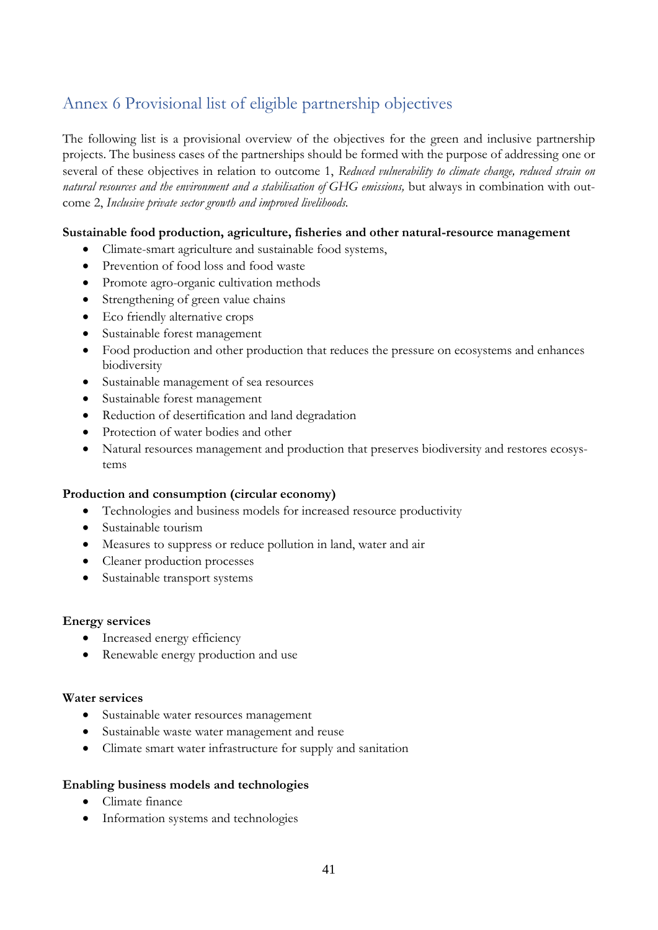## <span id="page-44-0"></span>Annex 6 Provisional list of eligible partnership objectives

The following list is a provisional overview of the objectives for the green and inclusive partnership projects. The business cases of the partnerships should be formed with the purpose of addressing one or several of these objectives in relation to outcome 1, *Reduced vulnerability to climate change, reduced strain on*  natural resources and the environment and a stabilisation of GHG emissions, but always in combination with outcome 2, *Inclusive private sector growth and improved livelihoods.*

### **Sustainable food production, agriculture, fisheries and other natural-resource management**

- Climate-smart agriculture and sustainable food systems,
- Prevention of food loss and food waste
- Promote agro-organic cultivation methods
- Strengthening of green value chains
- Eco friendly alternative crops
- Sustainable forest management
- Food production and other production that reduces the pressure on ecosystems and enhances biodiversity
- Sustainable management of sea resources
- Sustainable forest management
- Reduction of desertification and land degradation
- Protection of water bodies and other
- Natural resources management and production that preserves biodiversity and restores ecosystems

#### **Production and consumption (circular economy)**

- Technologies and business models for increased resource productivity
- Sustainable tourism
- Measures to suppress or reduce pollution in land, water and air
- Cleaner production processes
- Sustainable transport systems

#### **Energy services**

- Increased energy efficiency
- Renewable energy production and use

#### **Water services**

- Sustainable water resources management
- Sustainable waste water management and reuse
- Climate smart water infrastructure for supply and sanitation

#### **Enabling business models and technologies**

- Climate finance
- Information systems and technologies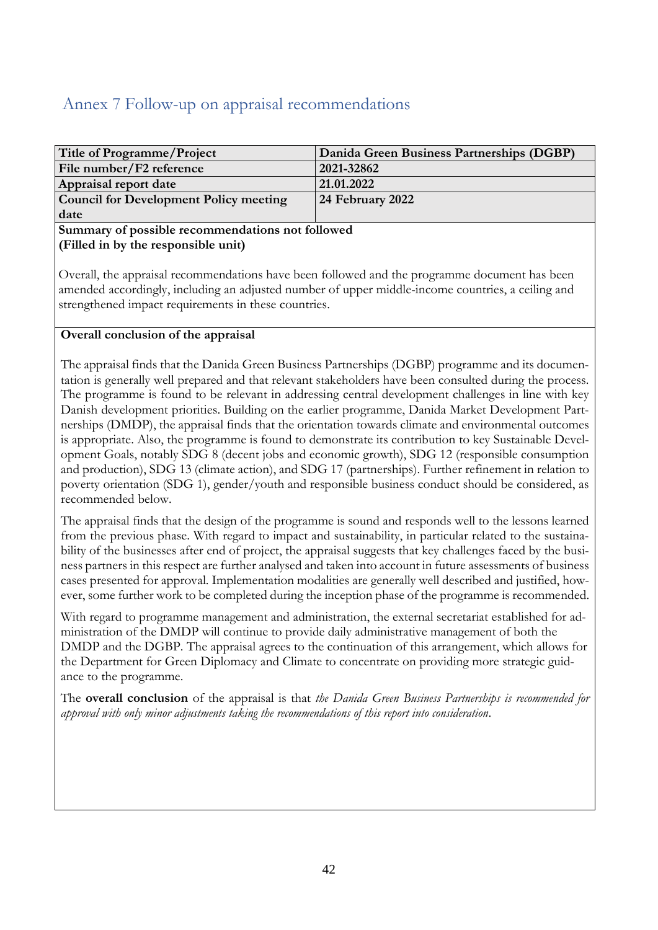### <span id="page-45-0"></span>Annex 7 Follow-up on appraisal recommendations

| Title of Programme/Project                    | Danida Green Business Partnerships (DGBP) |
|-----------------------------------------------|-------------------------------------------|
| File number/F2 reference                      | 2021-32862                                |
| Appraisal report date                         | 21.01.2022                                |
| <b>Council for Development Policy meeting</b> | 24 February 2022                          |
| date                                          |                                           |

#### **Summary of possible recommendations not followed (Filled in by the responsible unit)**

Overall, the appraisal recommendations have been followed and the programme document has been amended accordingly, including an adjusted number of upper middle-income countries, a ceiling and strengthened impact requirements in these countries.

### **Overall conclusion of the appraisal**

The appraisal finds that the Danida Green Business Partnerships (DGBP) programme and its documentation is generally well prepared and that relevant stakeholders have been consulted during the process. The programme is found to be relevant in addressing central development challenges in line with key Danish development priorities. Building on the earlier programme, Danida Market Development Partnerships (DMDP), the appraisal finds that the orientation towards climate and environmental outcomes is appropriate. Also, the programme is found to demonstrate its contribution to key Sustainable Development Goals, notably SDG 8 (decent jobs and economic growth), SDG 12 (responsible consumption and production), SDG 13 (climate action), and SDG 17 (partnerships). Further refinement in relation to poverty orientation (SDG 1), gender/youth and responsible business conduct should be considered, as recommended below.

The appraisal finds that the design of the programme is sound and responds well to the lessons learned from the previous phase. With regard to impact and sustainability, in particular related to the sustainability of the businesses after end of project, the appraisal suggests that key challenges faced by the business partners in this respect are further analysed and taken into account in future assessments of business cases presented for approval. Implementation modalities are generally well described and justified, however, some further work to be completed during the inception phase of the programme is recommended.

With regard to programme management and administration, the external secretariat established for administration of the DMDP will continue to provide daily administrative management of both the DMDP and the DGBP. The appraisal agrees to the continuation of this arrangement, which allows for the Department for Green Diplomacy and Climate to concentrate on providing more strategic guidance to the programme.

The **overall conclusion** of the appraisal is that *the Danida Green Business Partnerships is recommended for approval with only minor adjustments taking the recommendations of this report into consideration*.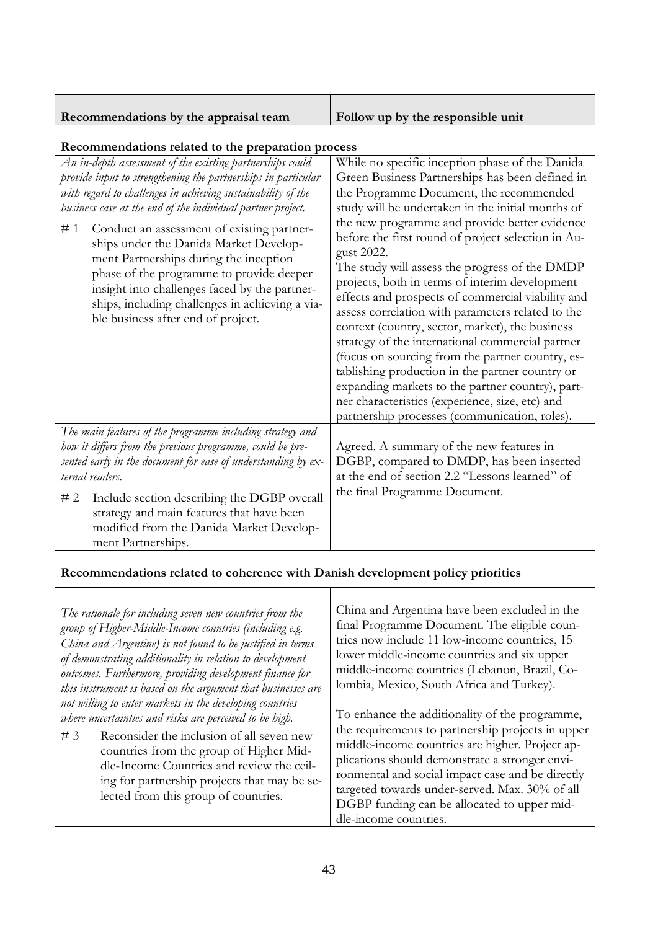| Recommendations by the appraisal team | Follow up by the responsible unit |
|---------------------------------------|-----------------------------------|
|                                       |                                   |

**Recommendations related to the preparation process** *An in-depth assessment of the existing partnerships could provide input to strengthening the partnerships in particular with regard to challenges in achieving sustainability of the business case at the end of the individual partner project.*  # 1 Conduct an assessment of existing partnerships under the Danida Market Development Partnerships during the inception phase of the programme to provide deeper insight into challenges faced by the partnerships, including challenges in achieving a viable business after end of project. While no specific inception phase of the Danida Green Business Partnerships has been defined in the Programme Document, the recommended study will be undertaken in the initial months of the new programme and provide better evidence before the first round of project selection in August 2022. The study will assess the progress of the DMDP projects, both in terms of interim development effects and prospects of commercial viability and assess correlation with parameters related to the context (country, sector, market), the business strategy of the international commercial partner (focus on sourcing from the partner country, establishing production in the partner country or expanding markets to the partner country), partner characteristics (experience, size, etc) and partnership processes (communication, roles). *The main features of the programme including strategy and how it differs from the previous programme, could be presented early in the document for ease of understanding by external readers.*  Agreed. A summary of the new features in DGBP, compared to DMDP, has been inserted at the end of section 2.2 "Lessons learned" of the final Programme Document.

# 2 Include section describing the DGBP overall strategy and main features that have been modified from the Danida Market Development Partnerships.

### **Recommendations related to coherence with Danish development policy priorities**

| The rationale for including seven new countries from the<br>group of Higher-Middle-Income countries (including e.g.<br>China and Argentine) is not found to be justified in terms<br>of demonstrating additionality in relation to development<br>outcomes. Furthermore, providing development finance for<br>this instrument is based on the argument that businesses are<br>not willing to enter markets in the developing countries<br>where uncertainties and risks are perceived to be high.<br>#3<br>Reconsider the inclusion of all seven new<br>countries from the group of Higher Mid- | China and Argentina have been excluded in the<br>final Programme Document. The eligible coun-<br>tries now include 11 low-income countries, 15<br>lower middle-income countries and six upper<br>middle-income countries (Lebanon, Brazil, Co-<br>lombia, Mexico, South Africa and Turkey).<br>To enhance the additionality of the programme,<br>the requirements to partnership projects in upper<br>middle-income countries are higher. Project ap- |
|-------------------------------------------------------------------------------------------------------------------------------------------------------------------------------------------------------------------------------------------------------------------------------------------------------------------------------------------------------------------------------------------------------------------------------------------------------------------------------------------------------------------------------------------------------------------------------------------------|-------------------------------------------------------------------------------------------------------------------------------------------------------------------------------------------------------------------------------------------------------------------------------------------------------------------------------------------------------------------------------------------------------------------------------------------------------|
| dle-Income Countries and review the ceil-<br>ing for partnership projects that may be se-<br>lected from this group of countries.                                                                                                                                                                                                                                                                                                                                                                                                                                                               | plications should demonstrate a stronger envi-<br>ronmental and social impact case and be directly<br>targeted towards under-served. Max. 30% of all<br>DGBP funding can be allocated to upper mid-<br>dle-income countries.                                                                                                                                                                                                                          |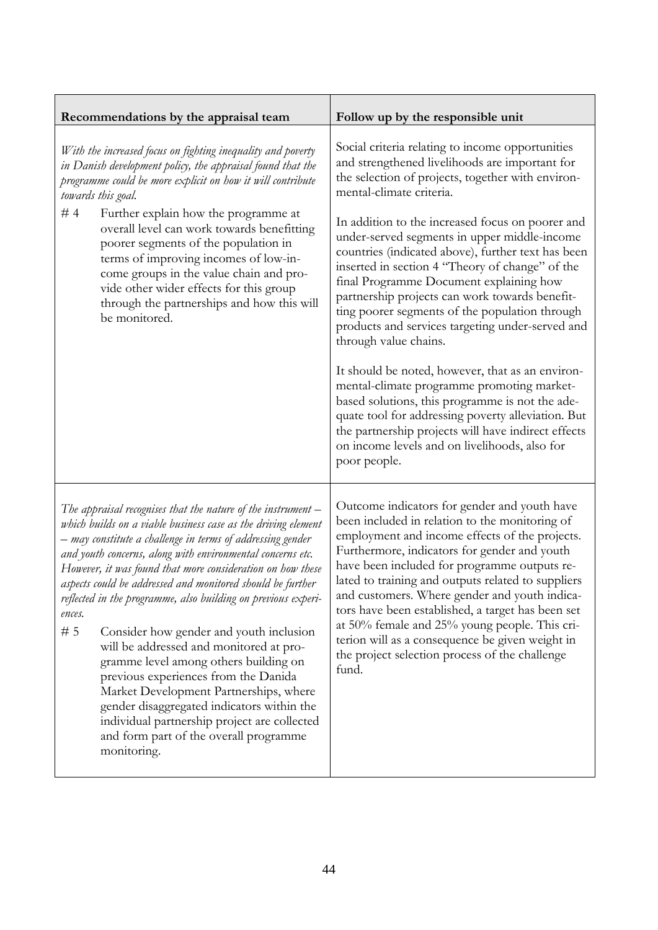| Recommendations by the appraisal team                                                                                                                                                                                                                                                                                                                                                                                                                                                                                                                                                                                                                                                                                                                                                                                                            | Follow up by the responsible unit                                                                                                                                                                                                                                                                                                                                                                                                                                                                                                                                                                                                                                                                                                                                                                                                                                                                                                                               |  |
|--------------------------------------------------------------------------------------------------------------------------------------------------------------------------------------------------------------------------------------------------------------------------------------------------------------------------------------------------------------------------------------------------------------------------------------------------------------------------------------------------------------------------------------------------------------------------------------------------------------------------------------------------------------------------------------------------------------------------------------------------------------------------------------------------------------------------------------------------|-----------------------------------------------------------------------------------------------------------------------------------------------------------------------------------------------------------------------------------------------------------------------------------------------------------------------------------------------------------------------------------------------------------------------------------------------------------------------------------------------------------------------------------------------------------------------------------------------------------------------------------------------------------------------------------------------------------------------------------------------------------------------------------------------------------------------------------------------------------------------------------------------------------------------------------------------------------------|--|
| With the increased focus on fighting inequality and poverty<br>in Danish development policy, the appraisal found that the<br>programme could be more explicit on how it will contribute<br>towards this goal.<br>#4<br>Further explain how the programme at<br>overall level can work towards benefitting<br>poorer segments of the population in<br>terms of improving incomes of low-in-<br>come groups in the value chain and pro-<br>vide other wider effects for this group<br>through the partnerships and how this will<br>be monitored.                                                                                                                                                                                                                                                                                                  | Social criteria relating to income opportunities<br>and strengthened livelihoods are important for<br>the selection of projects, together with environ-<br>mental-climate criteria.<br>In addition to the increased focus on poorer and<br>under-served segments in upper middle-income<br>countries (indicated above), further text has been<br>inserted in section 4 "Theory of change" of the<br>final Programme Document explaining how<br>partnership projects can work towards benefit-<br>ting poorer segments of the population through<br>products and services targeting under-served and<br>through value chains.<br>It should be noted, however, that as an environ-<br>mental-climate programme promoting market-<br>based solutions, this programme is not the ade-<br>quate tool for addressing poverty alleviation. But<br>the partnership projects will have indirect effects<br>on income levels and on livelihoods, also for<br>poor people. |  |
| The appraisal recognises that the nature of the instrument $-$<br>which builds on a viable business case as the driving element<br>– may constitute a challenge in terms of addressing gender<br>and youth concerns, along with environmental concerns etc.<br>However, it was found that more consideration on how these<br>aspects could be addressed and monitored should be further<br>reflected in the programme, also building on previous experi-<br>ences.<br>#5<br>Consider how gender and youth inclusion<br>will be addressed and monitored at pro-<br>gramme level among others building on<br>previous experiences from the Danida<br>Market Development Partnerships, where<br>gender disaggregated indicators within the<br>individual partnership project are collected<br>and form part of the overall programme<br>monitoring. | Outcome indicators for gender and youth have<br>been included in relation to the monitoring of<br>employment and income effects of the projects.<br>Furthermore, indicators for gender and youth<br>have been included for programme outputs re-<br>lated to training and outputs related to suppliers<br>and customers. Where gender and youth indica-<br>tors have been established, a target has been set<br>at 50% female and 25% young people. This cri-<br>terion will as a consequence be given weight in<br>the project selection process of the challenge<br>fund.                                                                                                                                                                                                                                                                                                                                                                                     |  |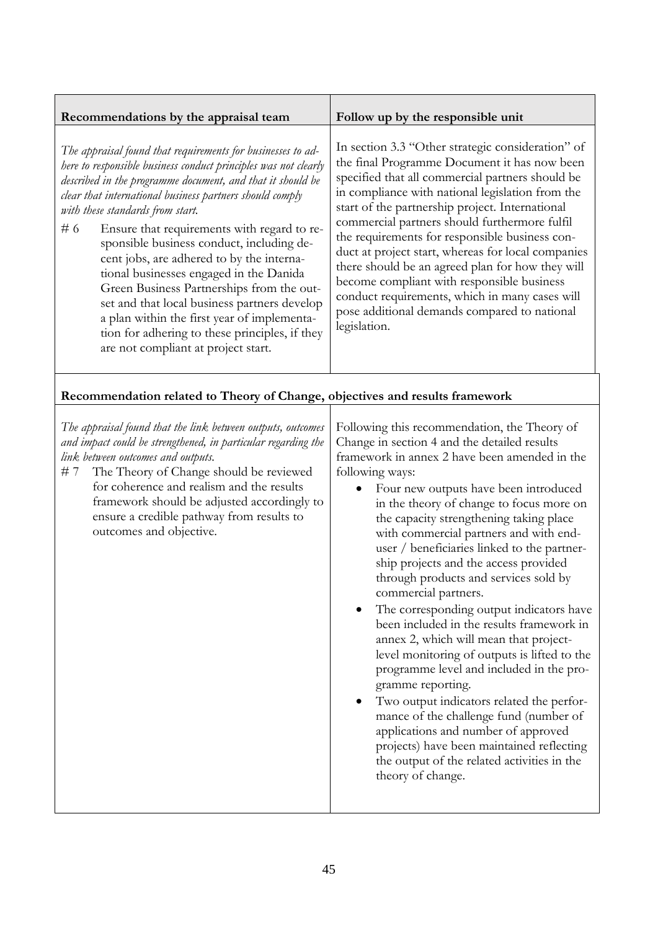| Recommendations by the appraisal team                                                                                                                                                                                                                                                                                                                                                                                                                                                                                                                                                                                                                                                                                       | Follow up by the responsible unit                                                                                                                                                                                                                                                                                                                                                                                                                                                                                                                                                                                                                                                                                                                                                                                                                                                                                                                                                                      |
|-----------------------------------------------------------------------------------------------------------------------------------------------------------------------------------------------------------------------------------------------------------------------------------------------------------------------------------------------------------------------------------------------------------------------------------------------------------------------------------------------------------------------------------------------------------------------------------------------------------------------------------------------------------------------------------------------------------------------------|--------------------------------------------------------------------------------------------------------------------------------------------------------------------------------------------------------------------------------------------------------------------------------------------------------------------------------------------------------------------------------------------------------------------------------------------------------------------------------------------------------------------------------------------------------------------------------------------------------------------------------------------------------------------------------------------------------------------------------------------------------------------------------------------------------------------------------------------------------------------------------------------------------------------------------------------------------------------------------------------------------|
| The appraisal found that requirements for businesses to ad-<br>here to responsible business conduct principles was not clearly<br>described in the programme document, and that it should be<br>clear that international business partners should comply<br>with these standards from start.<br>#6<br>Ensure that requirements with regard to re-<br>sponsible business conduct, including de-<br>cent jobs, are adhered to by the interna-<br>tional businesses engaged in the Danida<br>Green Business Partnerships from the out-<br>set and that local business partners develop<br>a plan within the first year of implementa-<br>tion for adhering to these principles, if they<br>are not compliant at project start. | In section 3.3 "Other strategic consideration" of<br>the final Programme Document it has now been<br>specified that all commercial partners should be<br>in compliance with national legislation from the<br>start of the partnership project. International<br>commercial partners should furthermore fulfil<br>the requirements for responsible business con-<br>duct at project start, whereas for local companies<br>there should be an agreed plan for how they will<br>become compliant with responsible business<br>conduct requirements, which in many cases will<br>pose additional demands compared to national<br>legislation.                                                                                                                                                                                                                                                                                                                                                              |
| Recommendation related to Theory of Change, objectives and results framework                                                                                                                                                                                                                                                                                                                                                                                                                                                                                                                                                                                                                                                |                                                                                                                                                                                                                                                                                                                                                                                                                                                                                                                                                                                                                                                                                                                                                                                                                                                                                                                                                                                                        |
| The appraisal found that the link between outputs, outcomes<br>and impact could be strengthened, in particular regarding the<br>link between outcomes and outputs.<br>The Theory of Change should be reviewed<br># 7<br>for coherence and realism and the results<br>framework should be adjusted accordingly to<br>ensure a credible pathway from results to<br>outcomes and objective.                                                                                                                                                                                                                                                                                                                                    | Following this recommendation, the Theory of<br>Change in section 4 and the detailed results<br>framework in annex 2 have been amended in the<br>following ways:<br>Four new outputs have been introduced<br>in the theory of change to focus more on<br>the capacity strengthening taking place<br>with commercial partners and with end-<br>user / beneficiaries linked to the partner-<br>ship projects and the access provided<br>through products and services sold by<br>commercial partners.<br>The corresponding output indicators have<br>been included in the results framework in<br>annex 2, which will mean that project-<br>level monitoring of outputs is lifted to the<br>programme level and included in the pro-<br>gramme reporting.<br>Two output indicators related the perfor-<br>mance of the challenge fund (number of<br>applications and number of approved<br>projects) have been maintained reflecting<br>the output of the related activities in the<br>theory of change. |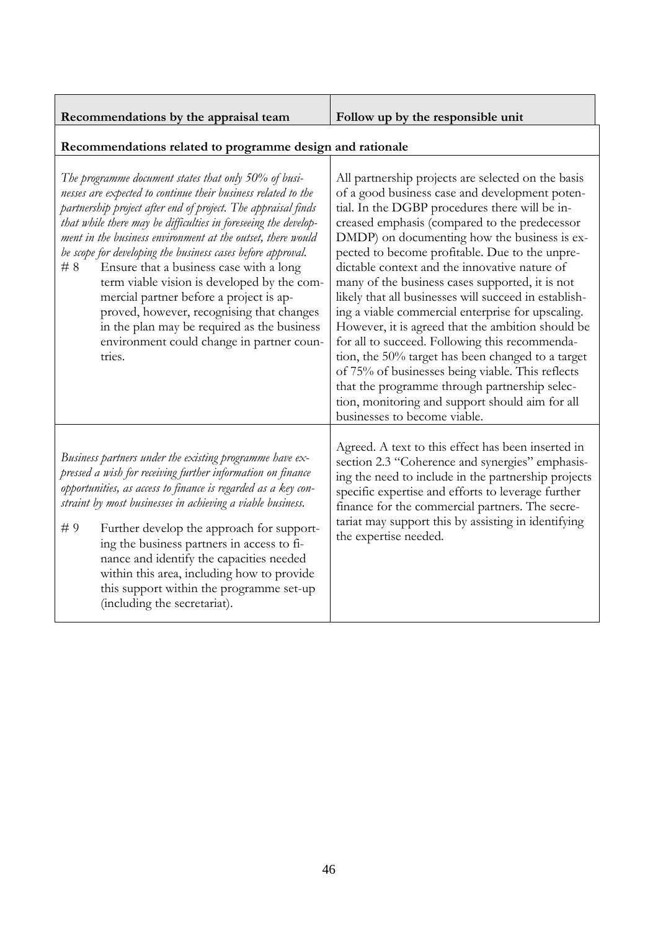| Recommendations by the appraisal team |  |  |
|---------------------------------------|--|--|

**Recommendations by the appraisal team Follow up by the responsible unit**

# **Recommendations related to programme design and rationale**

| The programme document states that only 50% of busi-<br>nesses are expected to continue their business related to the<br>partnership project after end of project. The appraisal finds<br>that while there may be difficulties in foreseeing the develop-<br>ment in the business environment at the outset, there would<br>be scope for developing the business cases before approval.<br>Ensure that a business case with a long<br>#8<br>term viable vision is developed by the com-<br>mercial partner before a project is ap-<br>proved, however, recognising that changes<br>in the plan may be required as the business<br>environment could change in partner coun-<br>tries. | All partnership projects are selected on the basis<br>of a good business case and development poten-<br>tial. In the DGBP procedures there will be in-<br>creased emphasis (compared to the predecessor<br>DMDP) on documenting how the business is ex-<br>pected to become profitable. Due to the unpre-<br>dictable context and the innovative nature of<br>many of the business cases supported, it is not<br>likely that all businesses will succeed in establish-<br>ing a viable commercial enterprise for upscaling.<br>However, it is agreed that the ambition should be<br>for all to succeed. Following this recommenda-<br>tion, the 50% target has been changed to a target<br>of 75% of businesses being viable. This reflects<br>that the programme through partnership selec-<br>tion, monitoring and support should aim for all<br>businesses to become viable. |
|---------------------------------------------------------------------------------------------------------------------------------------------------------------------------------------------------------------------------------------------------------------------------------------------------------------------------------------------------------------------------------------------------------------------------------------------------------------------------------------------------------------------------------------------------------------------------------------------------------------------------------------------------------------------------------------|---------------------------------------------------------------------------------------------------------------------------------------------------------------------------------------------------------------------------------------------------------------------------------------------------------------------------------------------------------------------------------------------------------------------------------------------------------------------------------------------------------------------------------------------------------------------------------------------------------------------------------------------------------------------------------------------------------------------------------------------------------------------------------------------------------------------------------------------------------------------------------|
| Business partners under the existing programme have ex-<br>pressed a wish for receiving further information on finance<br>opportunities, as access to finance is regarded as a key con-<br>straint by most businesses in achieving a viable business.<br>#9<br>Further develop the approach for support-<br>ing the business partners in access to fi-<br>nance and identify the capacities needed<br>within this area, including how to provide<br>this support within the programme set-up<br>(including the secretariat).                                                                                                                                                          | Agreed. A text to this effect has been inserted in<br>section 2.3 "Coherence and synergies" emphasis-<br>ing the need to include in the partnership projects<br>specific expertise and efforts to leverage further<br>finance for the commercial partners. The secre-<br>tariat may support this by assisting in identifying<br>the expertise needed.                                                                                                                                                                                                                                                                                                                                                                                                                                                                                                                           |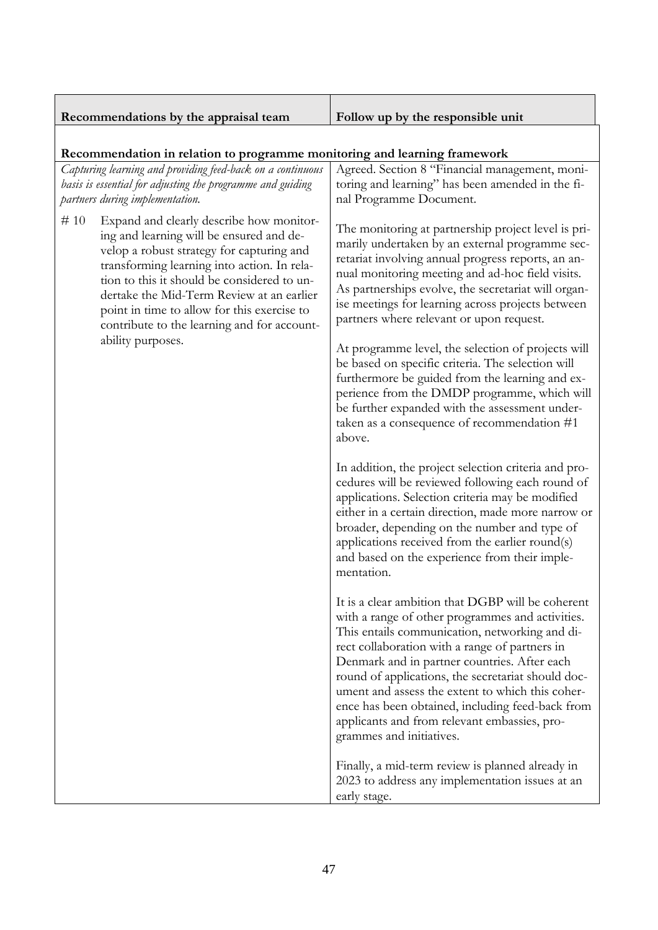| Recommendations by the appraisal team                                                                                                                                                                                                                                                                                                                                             | Follow up by the responsible unit                                                                                                                                                                                                                                                                                                                                                                                                                                                                   |  |
|-----------------------------------------------------------------------------------------------------------------------------------------------------------------------------------------------------------------------------------------------------------------------------------------------------------------------------------------------------------------------------------|-----------------------------------------------------------------------------------------------------------------------------------------------------------------------------------------------------------------------------------------------------------------------------------------------------------------------------------------------------------------------------------------------------------------------------------------------------------------------------------------------------|--|
| Recommendation in relation to programme monitoring and learning framework                                                                                                                                                                                                                                                                                                         |                                                                                                                                                                                                                                                                                                                                                                                                                                                                                                     |  |
| Capturing learning and providing feed-back on a continuous<br>basis is essential for adjusting the programme and guiding<br>partners during implementation.                                                                                                                                                                                                                       | Agreed. Section 8 "Financial management, moni-<br>toring and learning" has been amended in the fi-<br>nal Programme Document.                                                                                                                                                                                                                                                                                                                                                                       |  |
| #10<br>Expand and clearly describe how monitor-<br>ing and learning will be ensured and de-<br>velop a robust strategy for capturing and<br>transforming learning into action. In rela-<br>tion to this it should be considered to un-<br>dertake the Mid-Term Review at an earlier<br>point in time to allow for this exercise to<br>contribute to the learning and for account- | The monitoring at partnership project level is pri-<br>marily undertaken by an external programme sec-<br>retariat involving annual progress reports, an an-<br>nual monitoring meeting and ad-hoc field visits.<br>As partnerships evolve, the secretariat will organ-<br>ise meetings for learning across projects between<br>partners where relevant or upon request.                                                                                                                            |  |
| ability purposes.                                                                                                                                                                                                                                                                                                                                                                 | At programme level, the selection of projects will<br>be based on specific criteria. The selection will<br>furthermore be guided from the learning and ex-<br>perience from the DMDP programme, which will<br>be further expanded with the assessment under-<br>taken as a consequence of recommendation #1<br>above.                                                                                                                                                                               |  |
|                                                                                                                                                                                                                                                                                                                                                                                   | In addition, the project selection criteria and pro-<br>cedures will be reviewed following each round of<br>applications. Selection criteria may be modified<br>either in a certain direction, made more narrow or<br>broader, depending on the number and type of<br>applications received from the earlier round(s)<br>and based on the experience from their imple-<br>mentation.                                                                                                                |  |
|                                                                                                                                                                                                                                                                                                                                                                                   | It is a clear ambition that DGBP will be coherent<br>with a range of other programmes and activities.<br>This entails communication, networking and di-<br>rect collaboration with a range of partners in<br>Denmark and in partner countries. After each<br>round of applications, the secretariat should doc-<br>ument and assess the extent to which this coher-<br>ence has been obtained, including feed-back from<br>applicants and from relevant embassies, pro-<br>grammes and initiatives. |  |
|                                                                                                                                                                                                                                                                                                                                                                                   | Finally, a mid-term review is planned already in<br>2023 to address any implementation issues at an<br>early stage.                                                                                                                                                                                                                                                                                                                                                                                 |  |